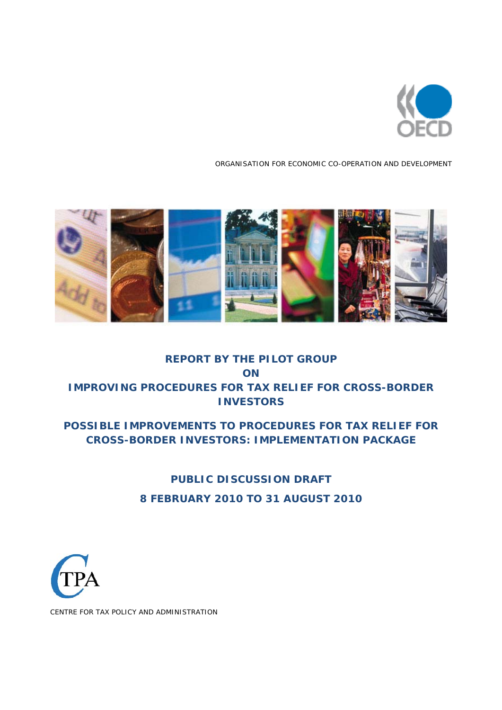

ORGANISATION FOR ECONOMIC CO-OPERATION AND DEVELOPMENT



# **REPORT BY THE PILOT GROUP ON IMPROVING PROCEDURES FOR TAX RELIEF FOR CROSS-BORDER INVESTORS**

# **POSSIBLE IMPROVEMENTS TO PROCEDURES FOR TAX RELIEF FOR CROSS-BORDER INVESTORS: IMPLEMENTATION PACKAGE**

# **PUBLIC DISCUSSION DRAFT 8 FEBRUARY 2010 TO 31 AUGUST 2010**



CENTRE FOR TAX POLICY AND ADMINISTRATION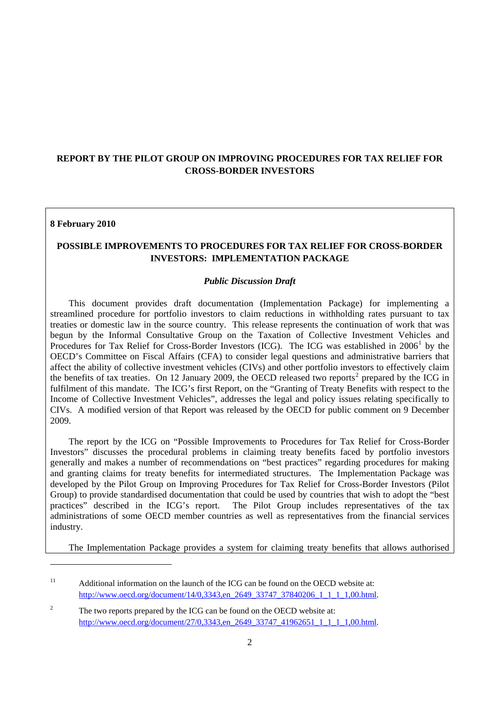### <span id="page-1-2"></span>**REPORT BY THE PILOT GROUP ON IMPROVING PROCEDURES FOR TAX RELIEF FOR CROSS-BORDER INVESTORS**

#### **8 February 2010**

1

### **POSSIBLE IMPROVEMENTS TO PROCEDURES FOR TAX RELIEF FOR CROSS-BORDER INVESTORS: IMPLEMENTATION PACKAGE**

#### *Public Discussion Draft*

This document provides draft documentation (Implementation Package) for implementing a streamlined procedure for portfolio investors to claim reductions in withholding rates pursuant to tax treaties or domestic law in the source country. This release represents the continuation of work that was begun by the Informal Consultative Group on the Taxation of Collective Investment Vehicles and Procedures for Tax Relief for Cross-Border Investors (ICG). The ICG was established in 2006<sup>[1](#page-1-0)</sup> by the OECD's Committee on Fiscal Affairs (CFA) to consider legal questions and administrative barriers that affect the ability of collective investment vehicles (CIVs) and other portfolio investors to effectively claim the benefits of tax treaties. On 1[2](#page-1-1) January 2009, the OECD released two reports<sup>2</sup> prepared by the ICG in fulfilment of this mandate. The ICG's first Report, on the "Granting of Treaty Benefits with respect to the Income of Collective Investment Vehicles", addresses the legal and policy issues relating specifically to CIVs. A modified version of that Report was released by the OECD for public comment on 9 December 2009.

The report by the ICG on "Possible Improvements to Procedures for Tax Relief for Cross-Border Investors" discusses the procedural problems in claiming treaty benefits faced by portfolio investors generally and makes a number of recommendations on "best practices" regarding procedures for making and granting claims for treaty benefits for intermediated structures. The Implementation Package was developed by the Pilot Group on Improving Procedures for Tax Relief for Cross-Border Investors (Pilot Group) to provide standardised documentation that could be used by countries that wish to adopt the "best" practices" described in the ICG's report. The Pilot Group includes representatives of the tax administrations of some OECD member countries as well as representatives from the financial services industry.

The Implementation Package provides a system for claiming treaty benefits that allows authorised

<span id="page-1-0"></span><sup>&</sup>lt;sup>11</sup> Additional information on the launch of the ICG can be found on the OECD website at: [http://www.oecd.org/document/14/0,3343,en\\_2649\\_33747\\_37840206\\_1\\_1\\_1\\_1,00.html.](http://www.oecd.org/document/14/0,3343,en_2649_33747_37840206_1_1_1_1,00.html)

<span id="page-1-1"></span><sup>&</sup>lt;sup>2</sup> The two reports prepared by the ICG can be found on the OECD website at: [http://www.oecd.org/document/27/0,3343,en\\_2649\\_33747\\_41962651\\_1\\_1\\_1\\_1,00.html.](http://www.oecd.org/document/27/0,3343,en_2649_33747_41962651_1_1_1_1,00.html)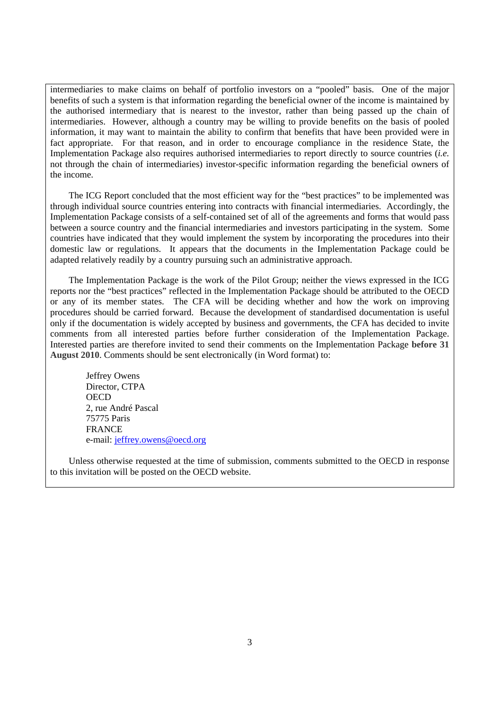intermediaries to make claims on behalf of portfolio investors on a "pooled" basis. One of the major benefits of such a system is that information regarding the beneficial owner of the income is maintained by the authorised intermediary that is nearest to the investor, rather than being passed up the chain of intermediaries. However, although a country may be willing to provide benefits on the basis of pooled information, it may want to maintain the ability to confirm that benefits that have been provided were in fact appropriate. For that reason, and in order to encourage compliance in the residence State, the Implementation Package also requires authorised intermediaries to report directly to source countries (*i.e.* not through the chain of intermediaries) investor-specific information regarding the beneficial owners of the income.

The ICG Report concluded that the most efficient way for the "best practices" to be implemented was through individual source countries entering into contracts with financial intermediaries. Accordingly, the Implementation Package consists of a self-contained set of all of the agreements and forms that would pass between a source country and the financial intermediaries and investors participating in the system. Some countries have indicated that they would implement the system by incorporating the procedures into their domestic law or regulations. It appears that the documents in the Implementation Package could be adapted relatively readily by a country pursuing such an administrative approach.

The Implementation Package is the work of the Pilot Group; neither the views expressed in the ICG reports nor the "best practices" reflected in the Implementation Package should be attributed to the OECD or any of its member states. The CFA will be deciding whether and how the work on improving procedures should be carried forward. Because the development of standardised documentation is useful only if the documentation is widely accepted by business and governments, the CFA has decided to invite comments from all interested parties before further consideration of the Implementation Package. Interested parties are therefore invited to send their comments on the Implementation Package **before 31 August 2010**. Comments should be sent electronically (in Word format) to:

 Jeffrey Owens Director, CTPA **OECD**  2, rue André Pascal 75775 Paris FRANCE e-mail: [jeffrey.owens@oecd.org](mailto:jeffrey.owens@oecd.org)

Unless otherwise requested at the time of submission, comments submitted to the OECD in response to this invitation will be posted on the OECD website.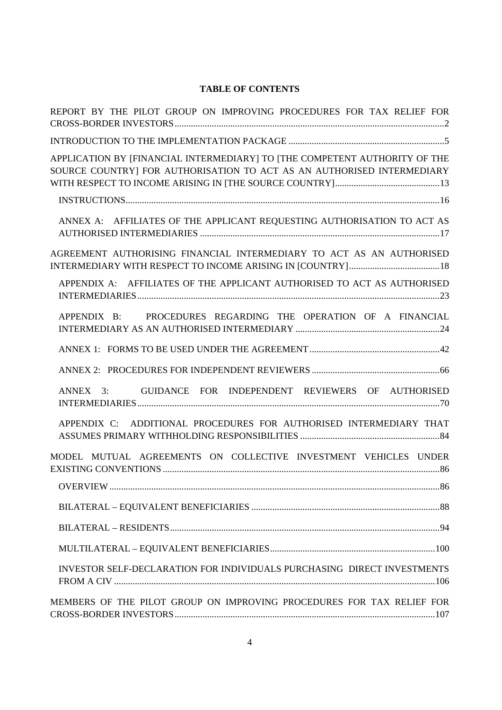### **TABLE OF CONTENTS**

| REPORT BY THE PILOT GROUP ON IMPROVING PROCEDURES FOR TAX RELIEF FOR                                                                                 |
|------------------------------------------------------------------------------------------------------------------------------------------------------|
|                                                                                                                                                      |
| APPLICATION BY [FINANCIAL INTERMEDIARY] TO [THE COMPETENT AUTHORITY OF THE<br>SOURCE COUNTRY] FOR AUTHORISATION TO ACT AS AN AUTHORISED INTERMEDIARY |
|                                                                                                                                                      |
| ANNEX A: AFFILIATES OF THE APPLICANT REQUESTING AUTHORISATION TO ACT AS                                                                              |
| AGREEMENT AUTHORISING FINANCIAL INTERMEDIARY TO ACT AS AN AUTHORISED                                                                                 |
| APPENDIX A: AFFILIATES OF THE APPLICANT AUTHORISED TO ACT AS AUTHORISED                                                                              |
| APPENDIX B: PROCEDURES REGARDING THE OPERATION OF A FINANCIAL                                                                                        |
|                                                                                                                                                      |
|                                                                                                                                                      |
| ANNEX 3: GUIDANCE FOR INDEPENDENT REVIEWERS OF AUTHORISED                                                                                            |
| APPENDIX C: ADDITIONAL PROCEDURES FOR AUTHORISED INTERMEDIARY THAT                                                                                   |
| MODEL MUTUAL AGREEMENTS ON COLLECTIVE INVESTMENT VEHICLES UNDER                                                                                      |
|                                                                                                                                                      |
|                                                                                                                                                      |
|                                                                                                                                                      |
|                                                                                                                                                      |
| INVESTOR SELF-DECLARATION FOR INDIVIDUALS PURCHASING DIRECT INVESTMENTS                                                                              |
| MEMBERS OF THE PILOT GROUP ON IMPROVING PROCEDURES FOR TAX RELIEF FOR                                                                                |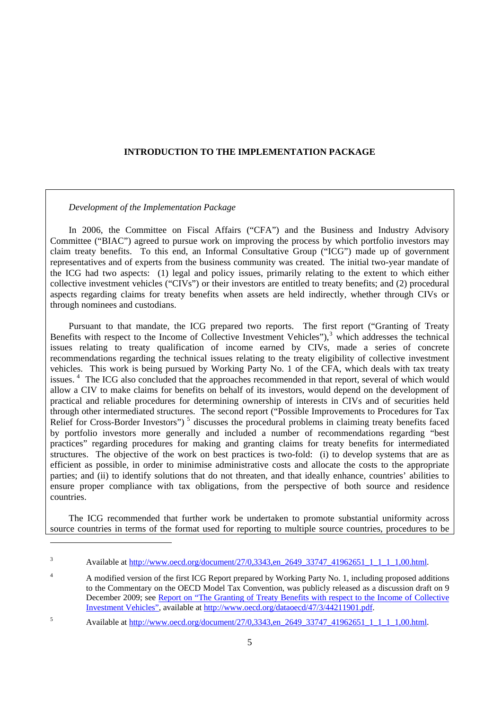#### <span id="page-4-0"></span>**INTRODUCTION TO THE IMPLEMENTATION PACKAGE**

#### *Development of the Implementation Package*

1

In 2006, the Committee on Fiscal Affairs ("CFA") and the Business and Industry Advisory Committee ("BIAC") agreed to pursue work on improving the process by which portfolio investors may claim treaty benefits. To this end, an Informal Consultative Group ("ICG") made up of government representatives and of experts from the business community was created. The initial two-year mandate of the ICG had two aspects: (1) legal and policy issues, primarily relating to the extent to which either collective investment vehicles ("CIVs") or their investors are entitled to treaty benefits; and (2) procedural aspects regarding claims for treaty benefits when assets are held indirectly, whether through CIVs or through nominees and custodians.

Pursuant to that mandate, the ICG prepared two reports. The first report ("Granting of Treaty Benefits with respect to the Income of Collective Investment Vehicles"),<sup>[3](#page-4-1)</sup> which addresses the technical issues relating to treaty qualification of income earned by CIVs, made a series of concrete recommendations regarding the technical issues relating to the treaty eligibility of collective investment vehicles. This work is being pursued by Working Party No. 1 of the CFA, which deals with tax treaty issues.<sup>[4](#page-4-2)</sup> The ICG also concluded that the approaches recommended in that report, several of which would allow a CIV to make claims for benefits on behalf of its investors, would depend on the development of practical and reliable procedures for determining ownership of interests in CIVs and of securities held through other intermediated structures. The second report ("Possible Improvements to Procedures for Tax Relief for Cross-Border Investors")<sup>[5](#page-4-3)</sup> discusses the procedural problems in claiming treaty benefits faced by portfolio investors more generally and included a number of recommendations regarding "best practices" regarding procedures for making and granting claims for treaty benefits for intermediated structures. The objective of the work on best practices is two-fold: (i) to develop systems that are as efficient as possible, in order to minimise administrative costs and allocate the costs to the appropriate parties; and (ii) to identify solutions that do not threaten, and that ideally enhance, countries' abilities to ensure proper compliance with tax obligations, from the perspective of both source and residence countries.

The ICG recommended that further work be undertaken to promote substantial uniformity across source countries in terms of the format used for reporting to multiple source countries, procedures to be

<span id="page-4-1"></span><sup>3</sup> Available at [http://www.oecd.org/document/27/0,3343,en\\_2649\\_33747\\_41962651\\_1\\_1\\_1\\_1,00.html](http://www.oecd.org/document/27/0,3343,en_2649_33747_41962651_1_1_1_1,00.html).

<span id="page-4-2"></span><sup>4</sup> A modified version of the first ICG Report prepared by Working Party No. 1, including proposed additions to the Commentary on the OECD Model Tax Convention, was publicly released as a discussion draft on 9 December 2009; see [Report on "The Granting of Treaty Benefits with respect to the Income of Collective](http://www.oecd.org/dataoecd/47/3/44211901.pdf)  [Investment Vehicles",](http://www.oecd.org/dataoecd/47/3/44211901.pdf) available at <http://www.oecd.org/dataoecd/47/3/44211901.pdf>.

<span id="page-4-3"></span><sup>5</sup> Available at [http://www.oecd.org/document/27/0,3343,en\\_2649\\_33747\\_41962651\\_1\\_1\\_1\\_1,00.html](http://www.oecd.org/document/27/0,3343,en_2649_33747_41962651_1_1_1_1,00.html).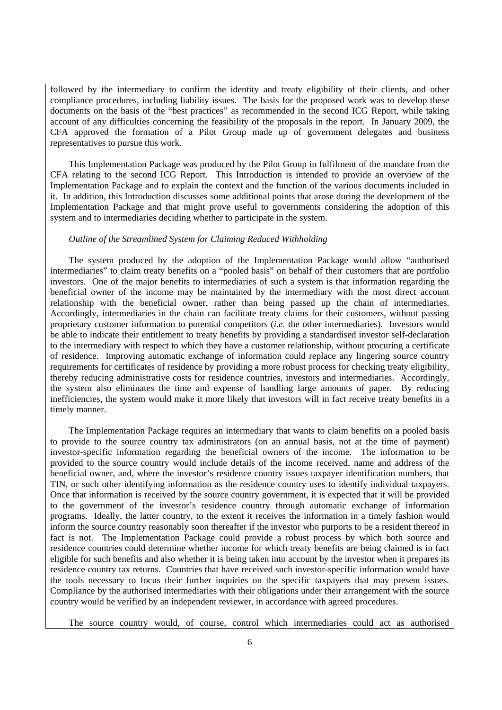followed by the intermediary to confirm the identity and treaty eligibility of their clients, and other compliance procedures, including liability issues. The basis for the proposed work was to develop these documents on the basis of the "best practices" as recommended in the second ICG Report, while taking account of any difficulties concerning the feasibility of the proposals in the report. In January 2009, the CFA approved the formation of a Pilot Group made up of government delegates and business representatives to pursue this work.

Implementation Package and that might prove useful to governments considering the adoption of this system and to intermediaries deciding whether to participate in the system. This Implementation Package was produced by the Pilot Group in fulfilment of the mandate from the CFA relating to the second ICG Report. This Introduction is intended to provide an overview of the Implementation Package and to explain the context and the function of the various documents included in it. In addition, this Introduction discusses some additional points that arose during the development of the

#### Outline of the Streamlined System for Claiming Reduced Withholding

inefficiencies, the system would make it more likely that investors will in fact receive treaty benefits in a timely manner. The system produced by the adoption of the Implementation Package would allow "authorised intermediaries" to claim treaty benefits on a "pooled basis" on behalf of their customers that are portfolio investors. One of the major benefits to intermediaries of such a system is that information regarding the beneficial owner of the income may be maintained by the intermediary with the most direct account relationship with the beneficial owner, rather than being passed up the chain of intermediaries. Accordingly, intermediaries in the chain can facilitate treaty claims for their customers, without passing proprietary customer information to potential competitors (*i.e.* the other intermediaries). Investors would be able to indicate their entitlement to treaty benefits by providing a standardised investor self-declaration to the intermediary with respect to which they have a customer relationship, without procuring a certificate of residence. Improving automatic exchange of information could replace any lingering source country requirements for certificates of residence by providing a more robust process for checking treaty eligibility, thereby reducing administrative costs for residence countries, investors and intermediaries. Accordingly, the system also eliminates the time and expense of handling large amounts of paper. By reducing

Compliance by the authorised intermediaries with their obligations under their arrangement with the source country would be verified by an independent reviewer, in accordance with agreed procedures. The Implementation Package requires an intermediary that wants to claim benefits on a pooled basis to provide to the source country tax administrators (on an annual basis, not at the time of payment) investor-specific information regarding the beneficial owners of the income. The information to be provided to the source country would include details of the income received, name and address of the beneficial owner, and, where the investor's residence country issues taxpayer identification numbers, that TIN, or such other identifying information as the residence country uses to identify individual taxpayers. Once that information is received by the source country government, it is expected that it will be provided to the government of the investor's residence country through automatic exchange of information programs. Ideally, the latter country, to the extent it receives the information in a timely fashion would inform the source country reasonably soon thereafter if the investor who purports to be a resident thereof in fact is not. The Implementation Package could provide a robust process by which both source and residence countries could determine whether income for which treaty benefits are being claimed is in fact eligible for such benefits and also whether it is being taken into account by the investor when it prepares its residence country tax returns. Countries that have received such investor-specific information would have the tools necessary to focus their further inquiries on the specific taxpayers that may present issues.

The source country would, of course, control which intermediaries could act as authorised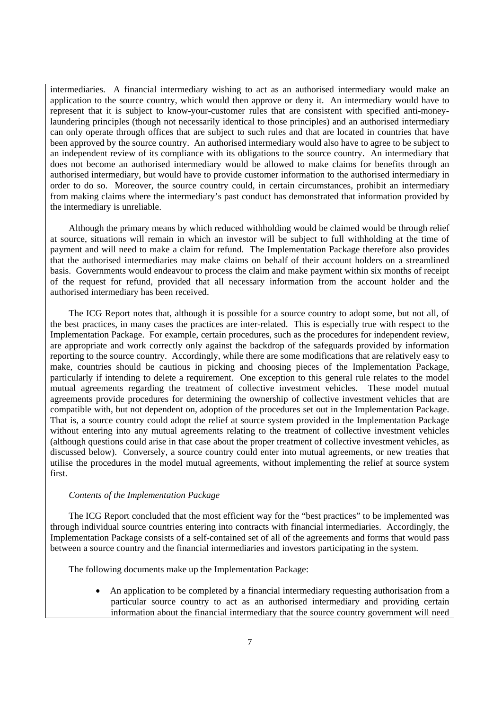intermediaries. A financial intermediary wishing to act as an authorised intermediary would make an application to the source country, which would then approve or deny it. An intermediary would have to represent that it is subject to know-your-customer rules that are consistent with specified anti-moneylaundering principles (though not necessarily identical to those principles) and an authorised intermediary can only operate through offices that are subject to such rules and that are located in countries that have been approved by the source country. An authorised intermediary would also have to agree to be subject to an independent review of its compliance with its obligations to the source country. An intermediary that does not become an authorised intermediary would be allowed to make claims for benefits through an authorised intermediary, but would have to provide customer information to the authorised intermediary in order to do so. Moreover, the source country could, in certain circumstances, prohibit an intermediary from making claims where the intermediary's past conduct has demonstrated that information provided by the intermediary is unreliable.

of the request for refund, provided that all necessary information from the account holder and the authorised intermediary has been received. Although the primary means by which reduced withholding would be claimed would be through relief at source, situations will remain in which an investor will be subject to full withholding at the time of payment and will need to make a claim for refund. The Implementation Package therefore also provides that the authorised intermediaries may make claims on behalf of their account holders on a streamlined basis. Governments would endeavour to process the claim and make payment within six months of receipt

utilise the procedures in the model mutual agreements, without implementing the relief at source system first. The ICG Report notes that, although it is possible for a source country to adopt some, but not all, of the best practices, in many cases the practices are inter-related. This is especially true with respect to the Implementation Package. For example, certain procedures, such as the procedures for independent review, are appropriate and work correctly only against the backdrop of the safeguards provided by information reporting to the source country. Accordingly, while there are some modifications that are relatively easy to make, countries should be cautious in picking and choosing pieces of the Implementation Package, particularly if intending to delete a requirement. One exception to this general rule relates to the model mutual agreements regarding the treatment of collective investment vehicles. These model mutual agreements provide procedures for determining the ownership of collective investment vehicles that are compatible with, but not dependent on, adoption of the procedures set out in the Implementation Package. That is, a source country could adopt the relief at source system provided in the Implementation Package without entering into any mutual agreements relating to the treatment of collective investment vehicles (although questions could arise in that case about the proper treatment of collective investment vehicles, as discussed below). Conversely, a source country could enter into mutual agreements, or new treaties that

#### Contents of the Implementation Package

Implementation Package consists of a self-contained set of all of the agreements and forms that would pass between a source country and the financial intermediaries and investors participating in the system. The ICG Report concluded that the most efficient way for the "best practices" to be implemented was through individual source countries entering into contracts with financial intermediaries. Accordingly, the

The following documents make up the Implementation Package:

information about the financial intermediary that the source country government will need • An application to be completed by a financial intermediary requesting authorisation from a particular source country to act as an authorised intermediary and providing certain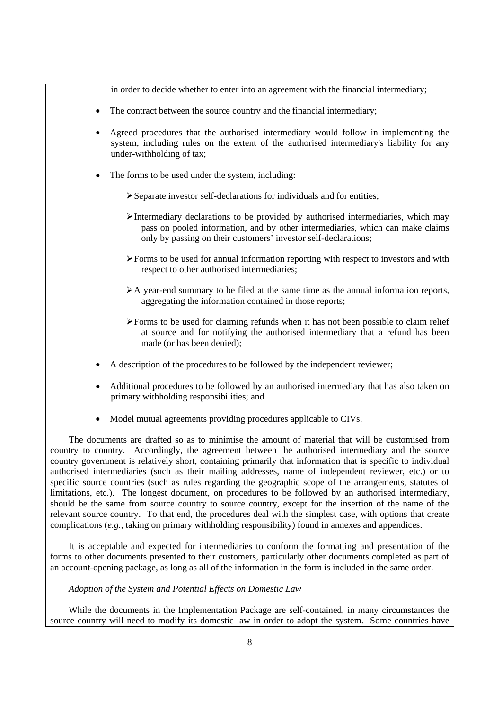in order to decide whether to enter into an agreement with the financial intermediary;

- The contract between the source country and the financial intermediary;
- Agreed procedures that the authorised intermediary would follow in implementing the system, including rules on the extent of the authorised intermediary's liability for any under-withholding of tax;
- The forms to be used under the system, including:
	- ¾Separate investor self-declarations for individuals and for entities;
	- $\blacktriangleright$  Intermediary declarations to be provided by authorised intermediaries, which may pass on pooled information, and by other intermediaries, which can make claims only by passing on their customers' investor self-declarations;
	- ¾Forms to be used for annual information reporting with respect to investors and with respect to other authorised intermediaries;
	- ¾A year-end summary to be filed at the same time as the annual information reports, aggregating the information contained in those reports;
	- $\triangleright$  Forms to be used for claiming refunds when it has not been possible to claim relief at source and for notifying the authorised intermediary that a refund has been made (or has been denied);
- A description of the procedures to be followed by the independent reviewer;
- Additional procedures to be followed by an authorised intermediary that has also taken on primary withholding responsibilities; and
- Model mutual agreements providing procedures applicable to CIVs.

should be the same from source country to source country, except for the insertion of the name of the relevant source country. To that end, the procedures deal with the simplest case, with options that create com plications (*e.g.*, taking on primary withholding responsibility) found in annexes and appendices. The documents are drafted so as to minimise the amount of material that will be customised from country to country. Accordingly, the agreement between the authorised intermediary and the source country government is relatively short, containing primarily that information that is specific to individual authorised intermediaries (such as their mailing addresses, name of independent reviewer, etc.) or to specific source countries (such as rules regarding the geographic scope of the arrangements, statutes of limitations, etc.). The longest document, on procedures to be followed by an authorised intermediary,

It is acceptable and expected for intermediaries to conform the formatting and presentation of the forms to other documents presented to their customers, particularly other documents completed as part of an account-opening package, as long as all of the information in the form is included in the same order.

#### *Adoption of the System and Potential Effects on Domestic Law*

While the documents in the Implementation Package are self-contained, in many circumstances the source country will need to modify its domestic law in order to adopt the system. Some countries have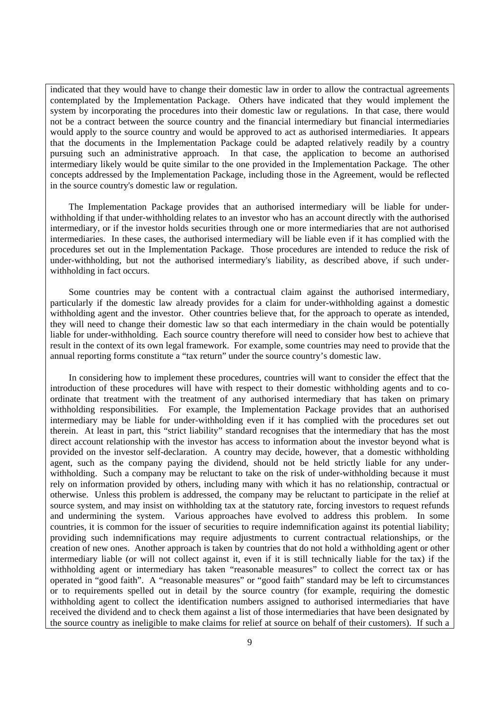indicated that they would have to change their domestic law in order to allow the contractual agreements contemplated by the Implementation Package. Others have indicated that they would implement the system by incorporating the procedures into their domestic law or regulations. In that case, there would not be a contract between the source country and the financial intermediary but financial intermediaries would apply to the source country and would be approved to act as authorised intermediaries. It appears that the documents in the Implementation Package could be adapted relatively readily by a country pursuing such an administrative approach. In that case, the application to become an authorised intermediary likely would be quite similar to the one provided in the Implementation Package. The other concepts addressed by the Implementation Package, including those in the Agreement, would be reflected in th e source country's domestic law or regulation.

procedures set out in the Implementation Package. Those procedures are intended to reduce the risk of under-withholding, but not the authorised intermediary's liability, as described above, if such underwith holding in fact occurs. The Implementation Package provides that an authorised intermediary will be liable for underwithholding if that under-withholding relates to an investor who has an account directly with the authorised intermediary, or if the investor holds securities through one or more intermediaries that are not authorised intermediaries. In these cases, the authorised intermediary will be liable even if it has complied with the

liable for under-withholding. Each source country therefore will need to consider how best to achieve that result in the context of its own legal framework. For example, some countries may need to provide that the annu al reporting forms constitute a "tax return" under the source country's domestic law. Some countries may be content with a contractual claim against the authorised intermediary, particularly if the domestic law already provides for a claim for under-withholding against a domestic withholding agent and the investor. Other countries believe that, for the approach to operate as intended, they will need to change their domestic law so that each intermediary in the chain would be potentially

In considering how to implement these procedures, countries will want to consider the effect that the introduction of these procedures will have with respect to their domestic withholding agents and to coordinate that treatment with the treatment of any authorised intermediary that has taken on primary withholding responsibilities. For example, the Implementation Package provides that an authorised intermediary may be liable for under-withholding even if it has complied with the procedures set out therein. At least in part, this "strict liability" standard recognises that the intermediary that has the most direct account relationship with the investor has access to information about the investor beyond what is provided on the investor self-declaration. A country may decide, however, that a domestic withholding agent, such as the company paying the dividend, should not be held strictly liable for any underwithholding. Such a company may be reluctant to take on the risk of under-withholding because it must rely on information provided by others, including many with which it has no relationship, contractual or otherwise. Unless this problem is addressed, the company may be reluctant to participate in the relief at source system, and may insist on withholding tax at the statutory rate, forcing investors to request refunds and undermining the system. Various approaches have evolved to address this problem. In some countries, it is common for the issuer of securities to require indemnification against its potential liability; providing such indemnifications may require adjustments to current contractual relationships, or the creation of new ones. Another approach is taken by countries that do not hold a withholding agent or other intermediary liable (or will not collect against it, even if it is still technically liable for the tax) if the withholding agent or intermediary has taken "reasonable measures" to collect the correct tax or has operated in "good faith". A "reasonable measures" or "good faith" standard may be left to circumstances or to requirements spelled out in detail by the source country (for example, requiring the domestic withholding agent to collect the identification numbers assigned to authorised intermediaries that have received the dividend and to check them against a list of those intermediaries that have been designated by the source country as ineligible to make claims for relief at source on behalf of their customers). If such a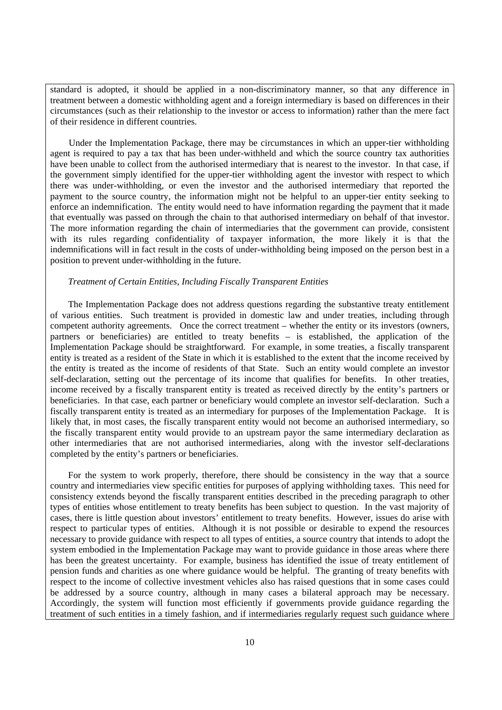standard is adopted, it should be applied in a non-discriminatory manner, so that any difference in treatment between a domestic withholding agent and a foreign intermediary is based on differences in their circumstances (such as their relationship to the investor or access to information) rather than the mere fact of th eir residence in different countries.

with its rules regarding confidentiality of taxpayer information, the more likely it is that the indemnifications will in fact result in the costs of under-withholding being imposed on the person best in a posi tion to prevent under-withholding in the future. Under the Implementation Package, there may be circumstances in which an upper-tier withholding agent is required to pay a tax that has been under-withheld and which the source country tax authorities have been unable to collect from the authorised intermediary that is nearest to the investor. In that case, if the government simply identified for the upper-tier withholding agent the investor with respect to which there was under-withholding, or even the investor and the authorised intermediary that reported the payment to the source country, the information might not be helpful to an upper-tier entity seeking to enforce an indemnification. The entity would need to have information regarding the payment that it made that eventually was passed on through the chain to that authorised intermediary on behalf of that investor. The more information regarding the chain of intermediaries that the government can provide, consistent

#### *Treatment of Certain Entities, Including Fiscally Transparent Entities*

the fiscally transparent entity would provide to an upstream payor the same intermediary declaration as other intermediaries that are not authorised intermediaries, along with the investor self-declarations com pleted by the entity's partners or beneficiaries. The Implementation Package does not address questions regarding the substantive treaty entitlement of various entities. Such treatment is provided in domestic law and under treaties, including through competent authority agreements. Once the correct treatment – whether the entity or its investors (owners, partners or beneficiaries) are entitled to treaty benefits – is established, the application of the Implementation Package should be straightforward. For example, in some treaties, a fiscally transparent entity is treated as a resident of the State in which it is established to the extent that the income received by the entity is treated as the income of residents of that State. Such an entity would complete an investor self-declaration, setting out the percentage of its income that qualifies for benefits. In other treaties, income received by a fiscally transparent entity is treated as received directly by the entity's partners or beneficiaries. In that case, each partner or beneficiary would complete an investor self-declaration. Such a fiscally transparent entity is treated as an intermediary for purposes of the Implementation Package. It is likely that, in most cases, the fiscally transparent entity would not become an authorised intermediary, so

For the system to work properly, therefore, there should be consistency in the way that a source country and intermediaries view specific entities for purposes of applying withholding taxes. This need for consistency extends beyond the fiscally transparent entities described in the preceding paragraph to other types of entities whose entitlement to treaty benefits has been subject to question. In the vast majority of cases, there is little question about investors' entitlement to treaty benefits. However, issues do arise with respect to particular types of entities. Although it is not possible or desirable to expend the resources necessary to provide guidance with respect to all types of entities, a source country that intends to adopt the system embodied in the Implementation Package may want to provide guidance in those areas where there has been the greatest uncertainty. For example, business has identified the issue of treaty entitlement of pension funds and charities as one where guidance would be helpful. The granting of treaty benefits with respect to the income of collective investment vehicles also has raised questions that in some cases could be addressed by a source country, although in many cases a bilateral approach may be necessary. Accordingly, the system will function most efficiently if governments provide guidance regarding the treatment of such entities in a timely fashion, and if intermediaries regularly request such guidance where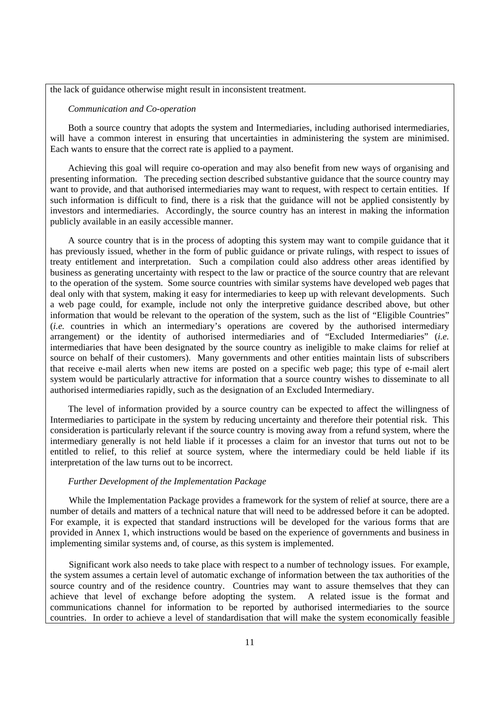the lack of guidance otherwise might result in inconsistent treatment.

#### *Communication and Co-operation*

Both a source country that adopts the system and Intermediaries, including authorised intermediaries, will have a common interest in ensuring that uncertainties in administering the system are minimised. Each wants to ensure that the correct rate is applied to a payment.

such information is difficult to find, there is a risk that the guidance will not be applied consistently by investors and intermediaries. Accordingly, the source country has an interest in making the information publ icly available in an easily accessible manner. Achieving this goal will require co-operation and may also benefit from new ways of organising and presenting information. The preceding section described substantive guidance that the source country may want to provide, and that authorised intermediaries may want to request, with respect to certain entities. If

system would be particularly attractive for information that a source country wishes to disseminate to all auth orised intermediaries rapidly, such as the designation of an Excluded Intermediary. A source country that is in the process of adopting this system may want to compile guidance that it has previously issued, whether in the form of public guidance or private rulings, with respect to issues of treaty entitlement and interpretation. Such a compilation could also address other areas identified by business as generating uncertainty with respect to the law or practice of the source country that are relevant to the operation of the system. Some source countries with similar systems have developed web pages that deal only with that system, making it easy for intermediaries to keep up with relevant developments. Such a web page could, for example, include not only the interpretive guidance described above, but other information that would be relevant to the operation of the system, such as the list of "Eligible Countries" (*i.e.* countries in which an intermediary's operations are covered by the authorised intermediary arrangement) or the identity of authorised intermediaries and of "Excluded Intermediaries" (*i.e.* intermediaries that have been designated by the source country as ineligible to make claims for relief at source on behalf of their customers). Many governments and other entities maintain lists of subscribers that receive e-mail alerts when new items are posted on a specific web page; this type of e-mail alert

entitled to relief, to this relief at source system, where the intermediary could be held liable if its inter pretation of the law turns out to be incorrect. The level of information provided by a source country can be expected to affect the willingness of Intermediaries to participate in the system by reducing uncertainty and therefore their potential risk. This consideration is particularly relevant if the source country is moving away from a refund system, where the intermediary generally is not held liable if it processes a claim for an investor that turns out not to be

#### *Further Development of the Implementation Package*

For example, it is expected that standard instructions will be developed for the various forms that are provided in Annex 1, which instructions would be based on the experience of governments and business in impl ementing similar systems and, of course, as this system is implemented. While the Implementation Package provides a framework for the system of relief at source, there are a number of details and matters of a technical nature that will need to be addressed before it can be adopted.

Significant work also needs to take place with respect to a number of technology issues. For example, the system assumes a certain level of automatic exchange of information between the tax authorities of the source country and of the residence country. Countries may want to assure themselves that they can achieve that level of exchange before adopting the system. A related issue is the format and communications channel for information to be reported by authorised intermediaries to the source countries. In order to achieve a level of standardisation that will make the system economically feasible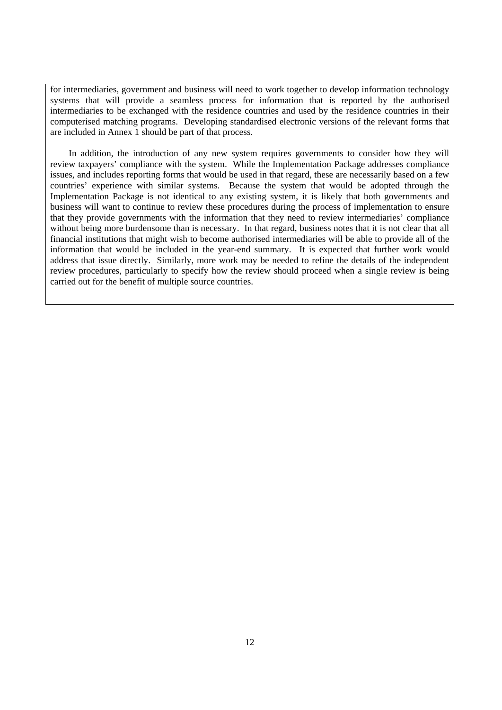for intermediaries, government and business will need to work together to develop information technology systems that will provide a seamless process for information that is reported by the authorised intermediaries to be exchanged with the residence countries and used by the residence countries in their computerised matching programs. Developing standardised electronic versions of the relevant forms that are i ncluded in Annex 1 should be part of that process.

address that issue directly. Similarly, more work may be needed to refine the details of the independent review procedures, particularly to specify how the review should proceed when a single review is being carried out for the benefit of multiple source countries. In addition, the introduction of any new system requires governments to consider how they will review taxpayers' compliance with the system. While the Implementation Package addresses compliance issues, and includes reporting forms that would be used in that regard, these are necessarily based on a few countries' experience with similar systems. Because the system that would be adopted through the Implementation Package is not identical to any existing system, it is likely that both governments and business will want to continue to review these procedures during the process of implementation to ensure that they provide governments with the information that they need to review intermediaries' compliance without being more burdensome than is necessary. In that regard, business notes that it is not clear that all financial institutions that might wish to become authorised intermediaries will be able to provide all of the information that would be included in the year-end summary. It is expected that further work would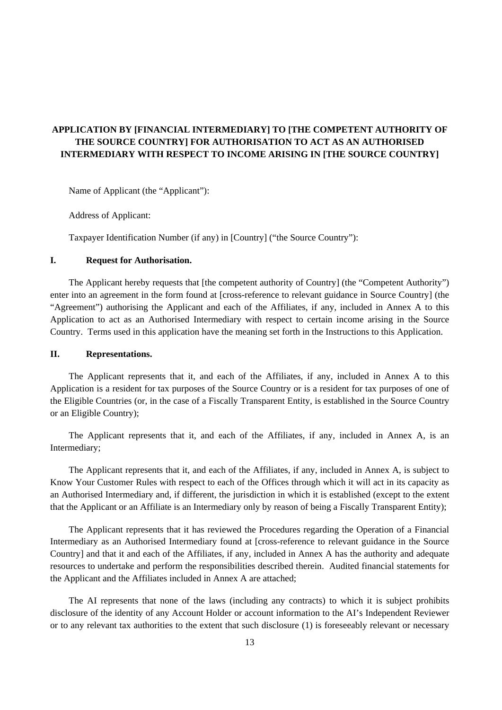### <span id="page-12-0"></span>**APPLICATION BY [FINANCIAL INTERMEDIARY] TO [THE COMPETENT AUTHORITY OF THE SOURCE COUNTRY] FOR AUTHORISATION TO ACT AS AN AUTHORISED INTERMEDIARY WITH RESPECT TO INCOME ARISING IN [THE SOURCE COUNTRY]**

Name of Applicant (the "Applicant"):

Address of Applicant:

Taxpayer Identification Number (if any) in [Country] ("the Source Country"):

#### **I. Request for Authorisation.**

The Applicant hereby requests that [the competent authority of Country] (the "Competent Authority") enter into an agreement in the form found at [cross-reference to relevant guidance in Source Country] (the "Agreement") authorising the Applicant and each of the Affiliates, if any, included in Annex A to this Application to act as an Authorised Intermediary with respect to certain income arising in the Source Country. Terms used in this application have the meaning set forth in the Instructions to this Application.

#### **II. Representations.**

The Applicant represents that it, and each of the Affiliates, if any, included in Annex A to this Application is a resident for tax purposes of the Source Country or is a resident for tax purposes of one of the Eligible Countries (or, in the case of a Fiscally Transparent Entity, is established in the Source Country or an Eligible Country);

The Applicant represents that it, and each of the Affiliates, if any, included in Annex A, is an Intermediary;

The Applicant represents that it, and each of the Affiliates, if any, included in Annex A, is subject to Know Your Customer Rules with respect to each of the Offices through which it will act in its capacity as an Authorised Intermediary and, if different, the jurisdiction in which it is established (except to the extent that the Applicant or an Affiliate is an Intermediary only by reason of being a Fiscally Transparent Entity);

The Applicant represents that it has reviewed the Procedures regarding the Operation of a Financial Intermediary as an Authorised Intermediary found at [cross-reference to relevant guidance in the Source Country] and that it and each of the Affiliates, if any, included in Annex A has the authority and adequate resources to undertake and perform the responsibilities described therein. Audited financial statements for the Applicant and the Affiliates included in Annex A are attached;

The AI represents that none of the laws (including any contracts) to which it is subject prohibits disclosure of the identity of any Account Holder or account information to the AI's Independent Reviewer or to any relevant tax authorities to the extent that such disclosure (1) is foreseeably relevant or necessary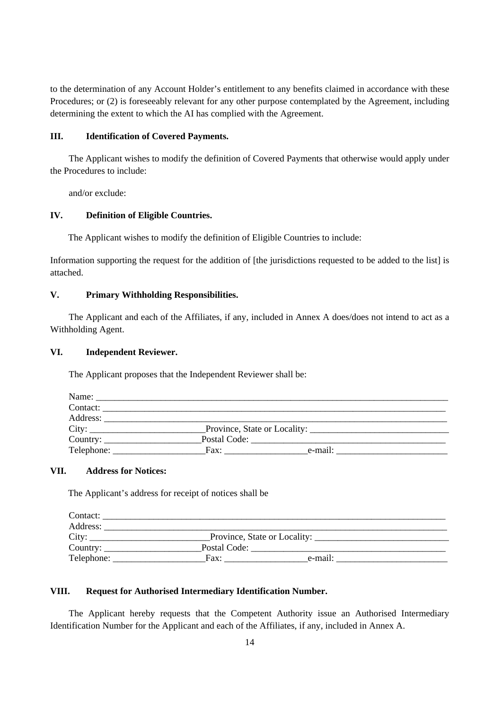to the determination of any Account Holder's entitlement to any benefits claimed in accordance with these Procedures; or (2) is foreseeably relevant for any other purpose contemplated by the Agreement, including determining the extent to which the AI has complied with the Agreement.

#### **III. Identification of Covered Payments.**

The Applicant wishes to modify the definition of Covered Payments that otherwise would apply under the Procedures to include:

and/or exclude:

#### **IV. Definition of Eligible Countries.**

The Applicant wishes to modify the definition of Eligible Countries to include:

Information supporting the request for the addition of [the jurisdictions requested to be added to the list] is attached.

#### **V. Primary Withholding Responsibilities.**

The Applicant and each of the Affiliates, if any, included in Annex A does/does not intend to act as a Withholding Agent.

#### **VI. Independent Reviewer.**

The Applicant proposes that the Independent Reviewer shall be:

| Name:      |                                                                                                                                                                                                                                |         |  |
|------------|--------------------------------------------------------------------------------------------------------------------------------------------------------------------------------------------------------------------------------|---------|--|
| Contact:   |                                                                                                                                                                                                                                |         |  |
|            |                                                                                                                                                                                                                                |         |  |
| City:      |                                                                                                                                                                                                                                |         |  |
|            |                                                                                                                                                                                                                                |         |  |
| Telephone: | Fax: The contract of the contract of the contract of the contract of the contract of the contract of the contract of the contract of the contract of the contract of the contract of the contract of the contract of the contr | e-mail: |  |

#### **VII. Address for Notices:**

The Applicant's address for receipt of notices shall be

| Contact:   |                                             |         |  |  |
|------------|---------------------------------------------|---------|--|--|
| Address:   |                                             |         |  |  |
| City:      | Province, State or Locality: ______________ |         |  |  |
| Country:   | Postal Code:                                |         |  |  |
| Telephone: | Fax:                                        | e-mail: |  |  |

### **VIII. Request for Authorised Intermediary Identification Number.**

The Applicant hereby requests that the Competent Authority issue an Authorised Intermediary Identification Number for the Applicant and each of the Affiliates, if any, included in Annex A.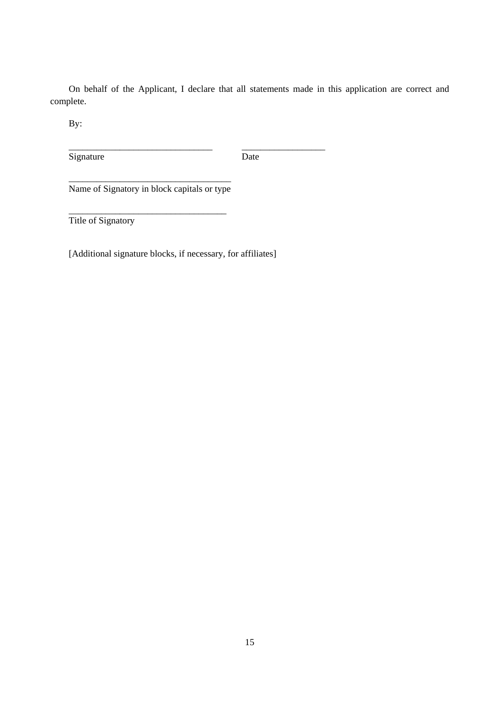On behalf of the Applicant, I declare that all statements made in this application are correct and complete.

By:

Signature Date

\_\_\_\_\_\_\_\_\_\_\_\_\_\_\_\_\_\_\_\_\_\_\_\_\_\_\_\_\_\_\_\_\_\_\_ Name of Signatory in block capitals or type

\_\_\_\_\_\_\_\_\_\_\_\_\_\_\_\_\_\_\_\_\_\_\_\_\_\_\_\_\_\_\_\_\_\_

Title of Signatory

[Additional signature blocks, if necessary, for affiliates]

\_\_\_\_\_\_\_\_\_\_\_\_\_\_\_\_\_\_\_\_\_\_\_\_\_\_\_\_\_\_\_ \_\_\_\_\_\_\_\_\_\_\_\_\_\_\_\_\_\_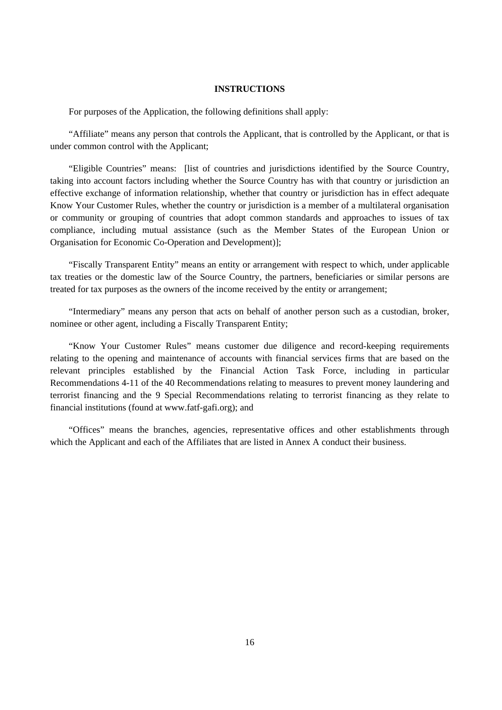#### **INSTRUCTIONS**

<span id="page-15-0"></span>For purposes of the Application, the following definitions shall apply:

"Affiliate" means any person that controls the Applicant, that is controlled by the Applicant, or that is under common control with the Applicant;

"Eligible Countries" means: [list of countries and jurisdictions identified by the Source Country, taking into account factors including whether the Source Country has with that country or jurisdiction an effective exchange of information relationship, whether that country or jurisdiction has in effect adequate Know Your Customer Rules, whether the country or jurisdiction is a member of a multilateral organisation or community or grouping of countries that adopt common standards and approaches to issues of tax compliance, including mutual assistance (such as the Member States of the European Union or Organisation for Economic Co-Operation and Development)];

"Fiscally Transparent Entity" means an entity or arrangement with respect to which, under applicable tax treaties or the domestic law of the Source Country, the partners, beneficiaries or similar persons are treated for tax purposes as the owners of the income received by the entity or arrangement;

"Intermediary" means any person that acts on behalf of another person such as a custodian, broker, nominee or other agent, including a Fiscally Transparent Entity;

"Know Your Customer Rules" means customer due diligence and record-keeping requirements relating to the opening and maintenance of accounts with financial services firms that are based on the relevant principles established by the Financial Action Task Force, including in particular Recommendations 4-11 of the 40 Recommendations relating to measures to prevent money laundering and terrorist financing and the 9 Special Recommendations relating to terrorist financing as they relate to financial institutions (found at www.fatf-gafi.org); and

"Offices" means the branches, agencies, representative offices and other establishments through which the Applicant and each of the Affiliates that are listed in Annex A conduct their business.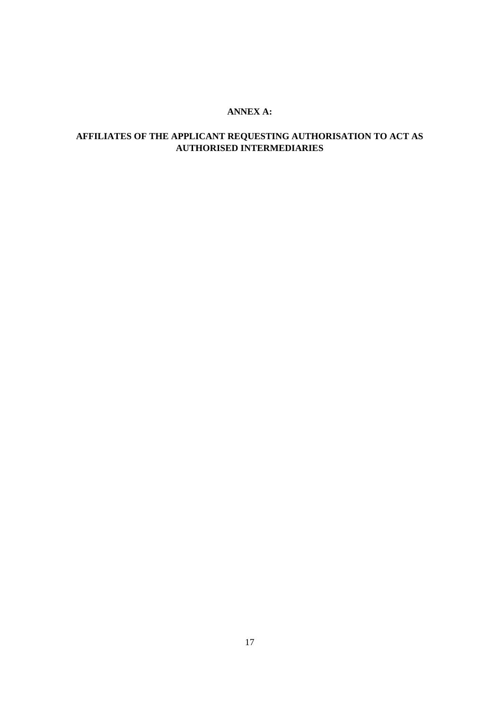### **ANNEX A:**

### <span id="page-16-0"></span>**AFFILIATES OF THE APPLICANT REQUESTING AUTHORISATION TO ACT AS AUTHORISED INTERMEDIARIES**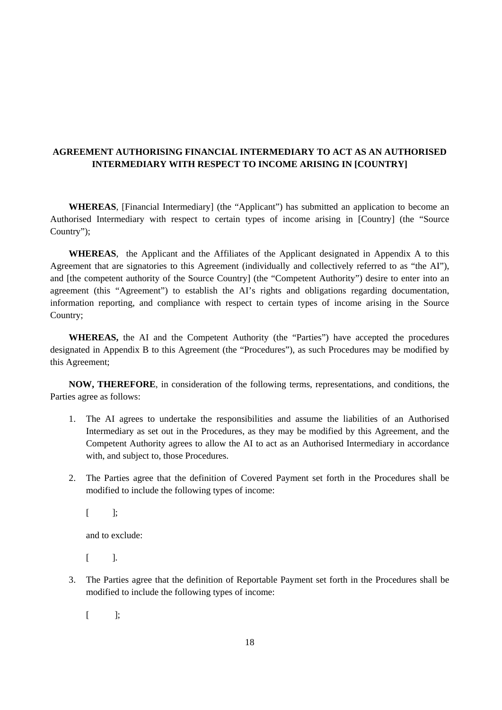### <span id="page-17-0"></span>**AGREEMENT AUTHORISING FINANCIAL INTERMEDIARY TO ACT AS AN AUTHORISED INTERMEDIARY WITH RESPECT TO INCOME ARISING IN [COUNTRY]**

**WHEREAS**, [Financial Intermediary] (the "Applicant") has submitted an application to become an Authorised Intermediary with respect to certain types of income arising in [Country] (the "Source Country");

**WHEREAS**, the Applicant and the Affiliates of the Applicant designated in Appendix A to this Agreement that are signatories to this Agreement (individually and collectively referred to as "the AI"), and [the competent authority of the Source Country] (the "Competent Authority") desire to enter into an agreement (this "Agreement") to establish the AI's rights and obligations regarding documentation, information reporting, and compliance with respect to certain types of income arising in the Source Country;

**WHEREAS,** the AI and the Competent Authority (the "Parties") have accepted the procedures designated in Appendix B to this Agreement (the "Procedures"), as such Procedures may be modified by this Agreement;

**NOW, THEREFORE**, in consideration of the following terms, representations, and conditions, the Parties agree as follows:

- 1. The AI agrees to undertake the responsibilities and assume the liabilities of an Authorised Intermediary as set out in the Procedures, as they may be modified by this Agreement, and the Competent Authority agrees to allow the AI to act as an Authorised Intermediary in accordance with, and subject to, those Procedures.
- 2. The Parties agree that the definition of Covered Payment set forth in the Procedures shall be modified to include the following types of income:

 $\lceil$   $\rceil$ ;

and to exclude:

[ ].

3. The Parties agree that the definition of Reportable Payment set forth in the Procedures shall be modified to include the following types of income:

 $\lceil$   $\rceil$ ;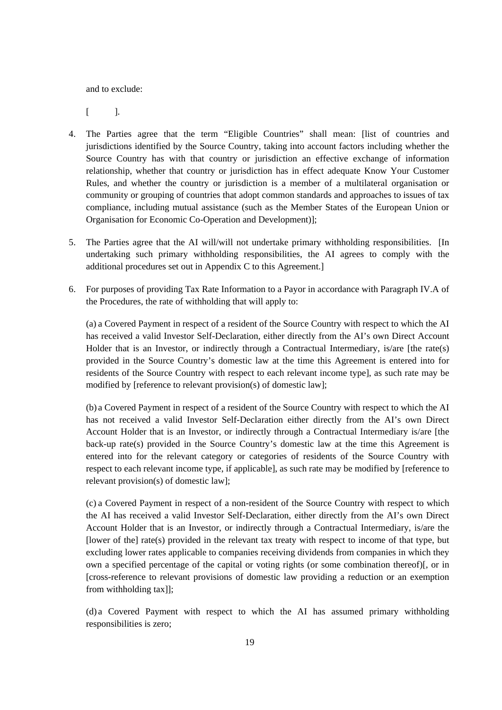and to exclude:

 $\lceil$   $\rceil$ .

- 4. The Parties agree that the term "Eligible Countries" shall mean: [list of countries and jurisdictions identified by the Source Country, taking into account factors including whether the Source Country has with that country or jurisdiction an effective exchange of information relationship, whether that country or jurisdiction has in effect adequate Know Your Customer Rules, and whether the country or jurisdiction is a member of a multilateral organisation or community or grouping of countries that adopt common standards and approaches to issues of tax compliance, including mutual assistance (such as the Member States of the European Union or Organisation for Economic Co-Operation and Development)];
- 5. The Parties agree that the AI will/will not undertake primary withholding responsibilities. [In undertaking such primary withholding responsibilities, the AI agrees to comply with the additional procedures set out in Appendix C to this Agreement.]
- 6. For purposes of providing Tax Rate Information to a Payor in accordance with Paragraph IV.A of the Procedures, the rate of withholding that will apply to:

(a) a Covered Payment in respect of a resident of the Source Country with respect to which the AI has received a valid Investor Self-Declaration, either directly from the AI's own Direct Account Holder that is an Investor, or indirectly through a Contractual Intermediary, is/are [the rate(s) provided in the Source Country's domestic law at the time this Agreement is entered into for residents of the Source Country with respect to each relevant income type], as such rate may be modified by [reference to relevant provision(s) of domestic law];

(b) a Covered Payment in respect of a resident of the Source Country with respect to which the AI has not received a valid Investor Self-Declaration either directly from the AI's own Direct Account Holder that is an Investor, or indirectly through a Contractual Intermediary is/are [the back-up rate(s) provided in the Source Country's domestic law at the time this Agreement is entered into for the relevant category or categories of residents of the Source Country with respect to each relevant income type, if applicable], as such rate may be modified by [reference to relevant provision(s) of domestic law];

(c) a Covered Payment in respect of a non-resident of the Source Country with respect to which the AI has received a valid Investor Self-Declaration, either directly from the AI's own Direct Account Holder that is an Investor, or indirectly through a Contractual Intermediary, is/are the [lower of the] rate(s) provided in the relevant tax treaty with respect to income of that type, but excluding lower rates applicable to companies receiving dividends from companies in which they own a specified percentage of the capital or voting rights (or some combination thereof)[, or in [cross-reference to relevant provisions of domestic law providing a reduction or an exemption from withholding tax]];

(d) a Covered Payment with respect to which the AI has assumed primary withholding responsibilities is zero;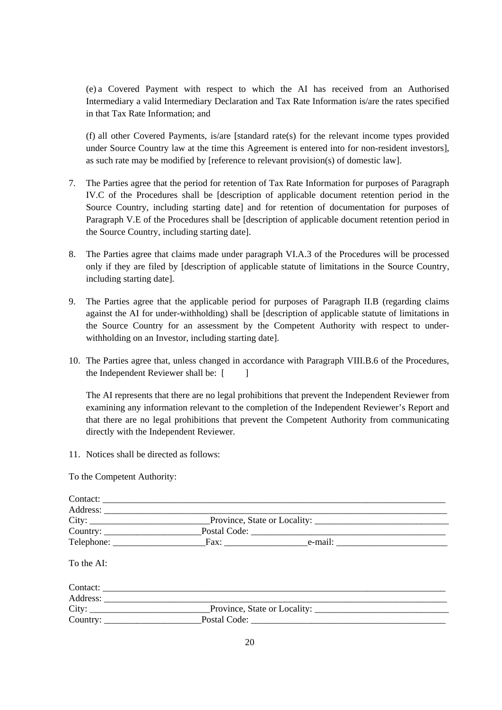(e) a Covered Payment with respect to which the AI has received from an Authorised Intermediary a valid Intermediary Declaration and Tax Rate Information is/are the rates specified in that Tax Rate Information; and

(f) all other Covered Payments, is/are [standard rate(s) for the relevant income types provided under Source Country law at the time this Agreement is entered into for non-resident investors], as such rate may be modified by [reference to relevant provision(s) of domestic law].

- 7. The Parties agree that the period for retention of Tax Rate Information for purposes of Paragraph IV.C of the Procedures shall be [description of applicable document retention period in the Source Country, including starting date] and for retention of documentation for purposes of Paragraph V.E of the Procedures shall be [description of applicable document retention period in the Source Country, including starting date].
- 8. The Parties agree that claims made under paragraph VI.A.3 of the Procedures will be processed only if they are filed by [description of applicable statute of limitations in the Source Country, including starting date].
- 9. The Parties agree that the applicable period for purposes of Paragraph II.B (regarding claims against the AI for under-withholding) shall be [description of applicable statute of limitations in the Source Country for an assessment by the Competent Authority with respect to underwithholding on an Investor, including starting date].
- 10. The Parties agree that, unless changed in accordance with Paragraph VIII.B.6 of the Procedures, the Independent Reviewer shall be: [ ]

The AI represents that there are no legal prohibitions that prevent the Independent Reviewer from examining any information relevant to the completion of the Independent Reviewer's Report and that there are no legal prohibitions that prevent the Competent Authority from communicating directly with the Independent Reviewer.

11. Notices shall be directed as follows:

To the Competent Authority:

|            | Contact: |  |  |
|------------|----------|--|--|
|            |          |  |  |
|            |          |  |  |
|            |          |  |  |
|            |          |  |  |
| To the AI: |          |  |  |
|            | Contact: |  |  |
|            |          |  |  |
|            |          |  |  |
|            |          |  |  |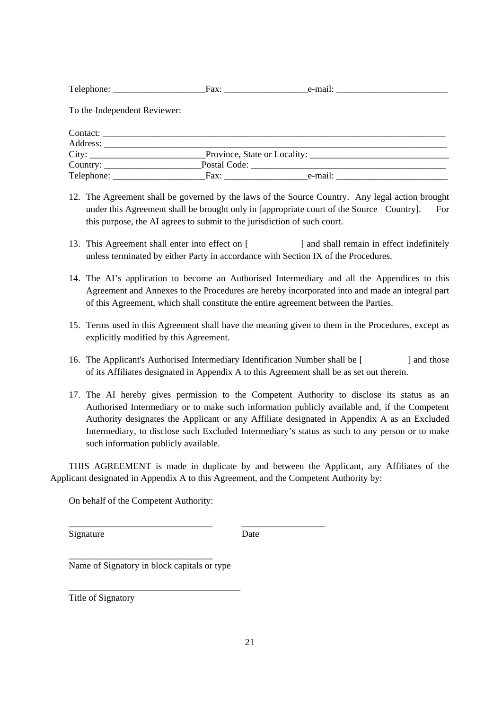Telephone: Fax: e-mail:

To the Independent Reviewer:

| Contact:        |              |                              |  |
|-----------------|--------------|------------------------------|--|
| Address:        |              |                              |  |
|                 |              | Province, State or Locality: |  |
| Country: $\_\_$ | Postal Code: |                              |  |
| Telephone:      | Fax:         | e-mail:                      |  |

- 12. The Agreement shall be governed by the laws of the Source Country. Any legal action brought under this Agreement shall be brought only in [appropriate court of the Source Country]. For this purpose, the AI agrees to submit to the jurisdiction of such court.
- 13. This Agreement shall enter into effect on [ ] and shall remain in effect indefinitely unless terminated by either Party in accordance with Section IX of the Procedures.
- 14. The AI's application to become an Authorised Intermediary and all the Appendices to this Agreement and Annexes to the Procedures are hereby incorporated into and made an integral part of this Agreement, which shall constitute the entire agreement between the Parties.
- 15. Terms used in this Agreement shall have the meaning given to them in the Procedures, except as explicitly modified by this Agreement.
- 16. The Applicant's Authorised Intermediary Identification Number shall be [ ] and those of its Affiliates designated in Appendix A to this Agreement shall be as set out therein.
- 17. The AI hereby gives permission to the Competent Authority to disclose its status as an Authorised Intermediary or to make such information publicly available and, if the Competent Authority designates the Applicant or any Affiliate designated in Appendix A as an Excluded Intermediary, to disclose such Excluded Intermediary's status as such to any person or to make such information publicly available.

THIS AGREEMENT is made in duplicate by and between the Applicant, any Affiliates of the Applicant designated in Appendix A to this Agreement, and the Competent Authority by:

On behalf of the Competent Authority:

\_\_\_\_\_\_\_\_\_\_\_\_\_\_\_\_\_\_\_\_\_\_\_\_\_\_\_\_\_\_\_

Signature Date

Name of Signatory in block capitals or type

\_\_\_\_\_\_\_\_\_\_\_\_\_\_\_\_\_\_\_\_\_\_\_\_\_\_\_\_\_\_\_\_\_\_\_\_\_

\_\_\_\_\_\_\_\_\_\_\_\_\_\_\_\_\_\_\_\_\_\_\_\_\_\_\_\_\_\_\_ \_\_\_\_\_\_\_\_\_\_\_\_\_\_\_\_\_\_

Title of Signatory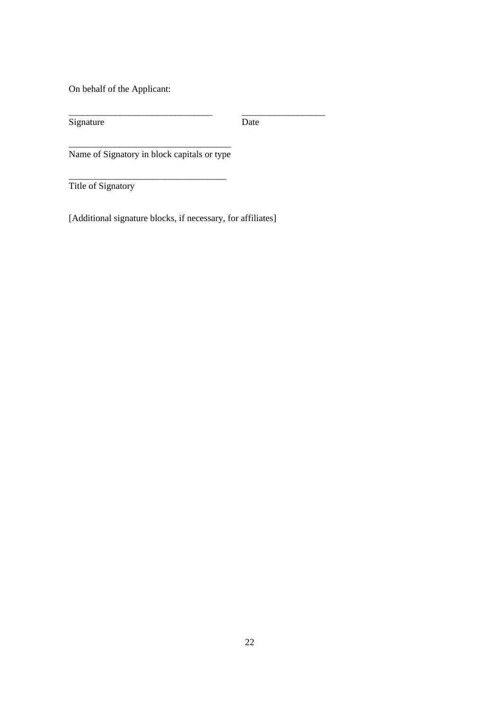On behalf of the Applicant:

Signature Date

\_\_\_\_\_\_\_\_\_\_\_\_\_\_\_\_\_\_\_\_\_\_\_\_\_\_\_\_\_\_\_\_\_\_\_ Name of Signatory in block capitals or type

\_\_\_\_\_\_\_\_\_\_\_\_\_\_\_\_\_\_\_\_\_\_\_\_\_\_\_\_\_\_\_\_\_\_

Title of Signatory

[Additional signature blocks, if necessary, for affiliates]

\_\_\_\_\_\_\_\_\_\_\_\_\_\_\_\_\_\_\_\_\_\_\_\_\_\_\_\_\_\_\_ \_\_\_\_\_\_\_\_\_\_\_\_\_\_\_\_\_\_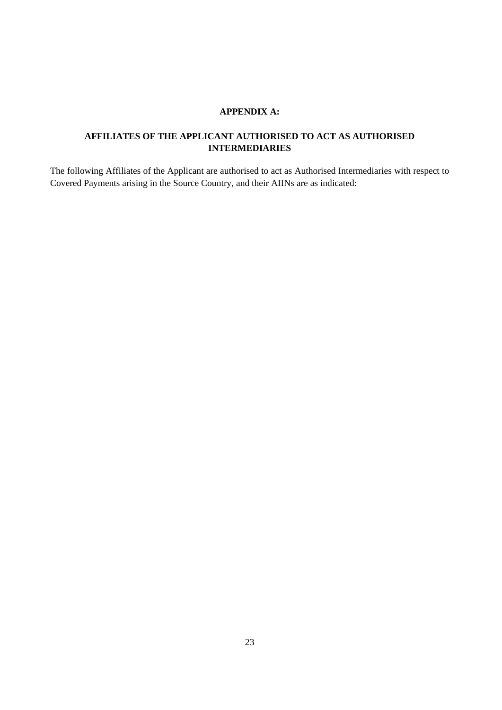### **APPENDIX A:**

### <span id="page-22-0"></span>**AFFILIATES OF THE APPLICANT AUTHORISED TO ACT AS AUTHORISED INTERMEDIARIES**

The following Affiliates of the Applicant are authorised to act as Authorised Intermediaries with respect to Covered Payments arising in the Source Country, and their AIINs are as indicated: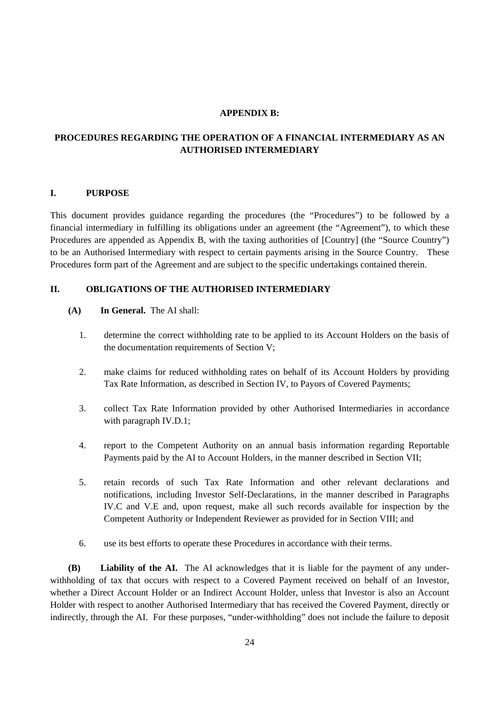#### **APPENDIX B:**

### <span id="page-23-0"></span>**PROCEDURES REGARDING THE OPERATION OF A FINANCIAL INTERMEDIARY AS AN AUTHORISED INTERMEDIARY**

#### **I. PURPOSE**

This document provides guidance regarding the procedures (the "Procedures") to be followed by a financial intermediary in fulfilling its obligations under an agreement (the "Agreement"), to which these Procedures are appended as Appendix B, with the taxing authorities of [Country] (the "Source Country") to be an Authorised Intermediary with respect to certain payments arising in the Source Country. These Procedures form part of the Agreement and are subject to the specific undertakings contained therein.

#### **II. OBLIGATIONS OF THE AUTHORISED INTERMEDIARY**

- **(A) In General.** The AI shall:
	- 1. determine the correct withholding rate to be applied to its Account Holders on the basis of the documentation requirements of Section V;
	- 2. make claims for reduced withholding rates on behalf of its Account Holders by providing Tax Rate Information, as described in Section IV, to Payors of Covered Payments;
	- 3. collect Tax Rate Information provided by other Authorised Intermediaries in accordance with paragraph IV.D.1;
	- 4. report to the Competent Authority on an annual basis information regarding Reportable Payments paid by the AI to Account Holders, in the manner described in Section VII;
	- 5. retain records of such Tax Rate Information and other relevant declarations and notifications, including Investor Self-Declarations, in the manner described in Paragraphs IV.C and V.E and, upon request, make all such records available for inspection by the Competent Authority or Independent Reviewer as provided for in Section VIII; and
	- 6. use its best efforts to operate these Procedures in accordance with their terms.

**(B) Liability of the AI.** The AI acknowledges that it is liable for the payment of any underwithholding of tax that occurs with respect to a Covered Payment received on behalf of an Investor, whether a Direct Account Holder or an Indirect Account Holder, unless that Investor is also an Account Holder with respect to another Authorised Intermediary that has received the Covered Payment, directly or indirectly, through the AI. For these purposes, "under-withholding" does not include the failure to deposit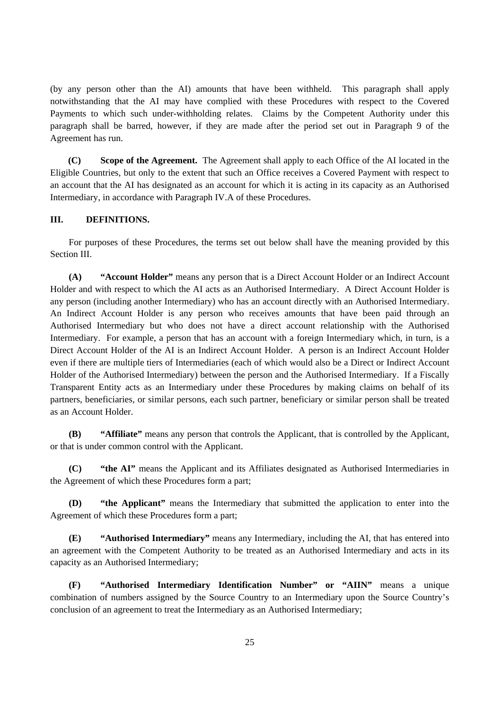(by any person other than the AI) amounts that have been withheld. This paragraph shall apply notwithstanding that the AI may have complied with these Procedures with respect to the Covered Payments to which such under-withholding relates. Claims by the Competent Authority under this paragraph shall be barred, however, if they are made after the period set out in Paragraph 9 of the Agreement has run.

**(C) Scope of the Agreement.** The Agreement shall apply to each Office of the AI located in the Eligible Countries, but only to the extent that such an Office receives a Covered Payment with respect to an account that the AI has designated as an account for which it is acting in its capacity as an Authorised Intermediary, in accordance with Paragraph IV.A of these Procedures.

### **III. DEFINITIONS.**

For purposes of these Procedures, the terms set out below shall have the meaning provided by this Section III.

**(A) "Account Holder"** means any person that is a Direct Account Holder or an Indirect Account Holder and with respect to which the AI acts as an Authorised Intermediary. A Direct Account Holder is any person (including another Intermediary) who has an account directly with an Authorised Intermediary. An Indirect Account Holder is any person who receives amounts that have been paid through an Authorised Intermediary but who does not have a direct account relationship with the Authorised Intermediary. For example, a person that has an account with a foreign Intermediary which, in turn, is a Direct Account Holder of the AI is an Indirect Account Holder. A person is an Indirect Account Holder even if there are multiple tiers of Intermediaries (each of which would also be a Direct or Indirect Account Holder of the Authorised Intermediary) between the person and the Authorised Intermediary. If a Fiscally Transparent Entity acts as an Intermediary under these Procedures by making claims on behalf of its partners, beneficiaries, or similar persons, each such partner, beneficiary or similar person shall be treated as an Account Holder.

**(B) "Affiliate"** means any person that controls the Applicant, that is controlled by the Applicant, or that is under common control with the Applicant.

**(C) "the AI"** means the Applicant and its Affiliates designated as Authorised Intermediaries in the Agreement of which these Procedures form a part;

**(D) "the Applicant"** means the Intermediary that submitted the application to enter into the Agreement of which these Procedures form a part;

**(E) "Authorised Intermediary"** means any Intermediary, including the AI, that has entered into an agreement with the Competent Authority to be treated as an Authorised Intermediary and acts in its capacity as an Authorised Intermediary;

**(F) "Authorised Intermediary Identification Number" or "AIIN"** means a unique combination of numbers assigned by the Source Country to an Intermediary upon the Source Country's conclusion of an agreement to treat the Intermediary as an Authorised Intermediary;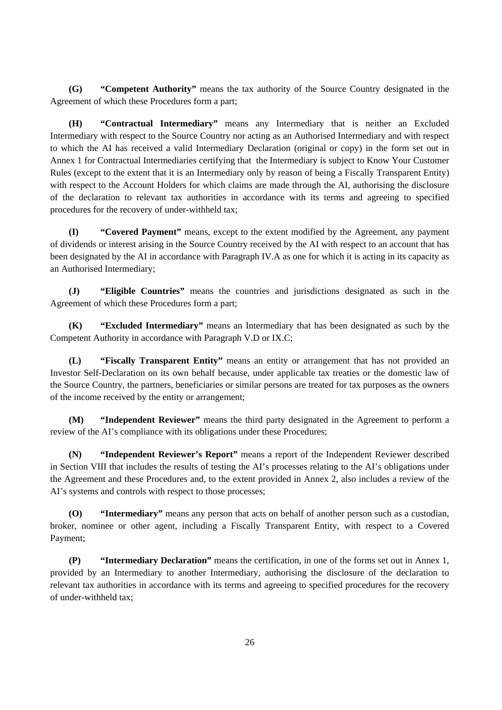**(G) "Competent Authority"** means the tax authority of the Source Country designated in the Agreement of which these Procedures form a part;

**(H) "Contractual Intermediary"** means any Intermediary that is neither an Excluded Intermediary with respect to the Source Country nor acting as an Authorised Intermediary and with respect to which the AI has received a valid Intermediary Declaration (original or copy) in the form set out in Annex 1 for Contractual Intermediaries certifying that the Intermediary is subject to Know Your Customer Rules (except to the extent that it is an Intermediary only by reason of being a Fiscally Transparent Entity) with respect to the Account Holders for which claims are made through the AI, authorising the disclosure of the declaration to relevant tax authorities in accordance with its terms and agreeing to specified procedures for the recovery of under-withheld tax;

**(I) "Covered Payment"** means, except to the extent modified by the Agreement, any payment of dividends or interest arising in the Source Country received by the AI with respect to an account that has been designated by the AI in accordance with Paragraph IV.A as one for which it is acting in its capacity as an Authorised Intermediary;

**(J) "Eligible Countries"** means the countries and jurisdictions designated as such in the Agreement of which these Procedures form a part;

**(K) "Excluded Intermediary"** means an Intermediary that has been designated as such by the Competent Authority in accordance with Paragraph V.D or IX.C;

**(L) "Fiscally Transparent Entity"** means an entity or arrangement that has not provided an Investor Self-Declaration on its own behalf because, under applicable tax treaties or the domestic law of the Source Country, the partners, beneficiaries or similar persons are treated for tax purposes as the owners of the income received by the entity or arrangement;

**(M) "Independent Reviewer"** means the third party designated in the Agreement to perform a review of the AI's compliance with its obligations under these Procedures;

**(N) "Independent Reviewer's Report"** means a report of the Independent Reviewer described in Section VIII that includes the results of testing the AI's processes relating to the AI's obligations under the Agreement and these Procedures and, to the extent provided in Annex 2, also includes a review of the AI's systems and controls with respect to those processes;

**(O) "Intermediary"** means any person that acts on behalf of another person such as a custodian, broker, nominee or other agent, including a Fiscally Transparent Entity, with respect to a Covered Payment;

**(P) "Intermediary Declaration"** means the certification, in one of the forms set out in Annex 1, provided by an Intermediary to another Intermediary, authorising the disclosure of the declaration to relevant tax authorities in accordance with its terms and agreeing to specified procedures for the recovery of under-withheld tax;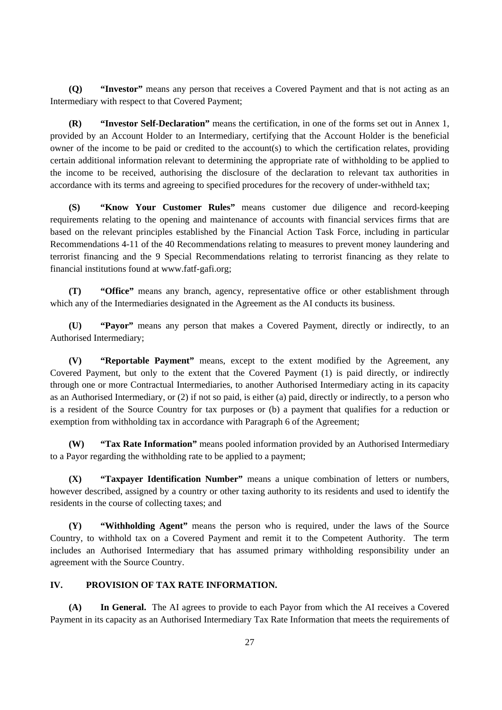**(Q) "Investor"** means any person that receives a Covered Payment and that is not acting as an Intermediary with respect to that Covered Payment;

**(R) "Investor Self-Declaration"** means the certification, in one of the forms set out in Annex 1, provided by an Account Holder to an Intermediary, certifying that the Account Holder is the beneficial owner of the income to be paid or credited to the account(s) to which the certification relates, providing certain additional information relevant to determining the appropriate rate of withholding to be applied to the income to be received, authorising the disclosure of the declaration to relevant tax authorities in accordance with its terms and agreeing to specified procedures for the recovery of under-withheld tax;

**(S) "Know Your Customer Rules"** means customer due diligence and record-keeping requirements relating to the opening and maintenance of accounts with financial services firms that are based on the relevant principles established by the Financial Action Task Force, including in particular Recommendations 4-11 of the 40 Recommendations relating to measures to prevent money laundering and terrorist financing and the 9 Special Recommendations relating to terrorist financing as they relate to financial institutions found at www.fatf-gafi.org;

**(T) "Office"** means any branch, agency, representative office or other establishment through which any of the Intermediaries designated in the Agreement as the AI conducts its business.

**(U) "Payor"** means any person that makes a Covered Payment, directly or indirectly, to an Authorised Intermediary;

**(V) "Reportable Payment"** means, except to the extent modified by the Agreement, any Covered Payment, but only to the extent that the Covered Payment (1) is paid directly, or indirectly through one or more Contractual Intermediaries, to another Authorised Intermediary acting in its capacity as an Authorised Intermediary, or (2) if not so paid, is either (a) paid, directly or indirectly, to a person who is a resident of the Source Country for tax purposes or (b) a payment that qualifies for a reduction or exemption from withholding tax in accordance with Paragraph 6 of the Agreement;

**(W) "Tax Rate Information"** means pooled information provided by an Authorised Intermediary to a Payor regarding the withholding rate to be applied to a payment;

**(X) "Taxpayer Identification Number"** means a unique combination of letters or numbers, however described, assigned by a country or other taxing authority to its residents and used to identify the residents in the course of collecting taxes; and

**(Y) "Withholding Agent"** means the person who is required, under the laws of the Source Country, to withhold tax on a Covered Payment and remit it to the Competent Authority. The term includes an Authorised Intermediary that has assumed primary withholding responsibility under an agreement with the Source Country.

#### **IV. PROVISION OF TAX RATE INFORMATION.**

**(A) In General.** The AI agrees to provide to each Payor from which the AI receives a Covered Payment in its capacity as an Authorised Intermediary Tax Rate Information that meets the requirements of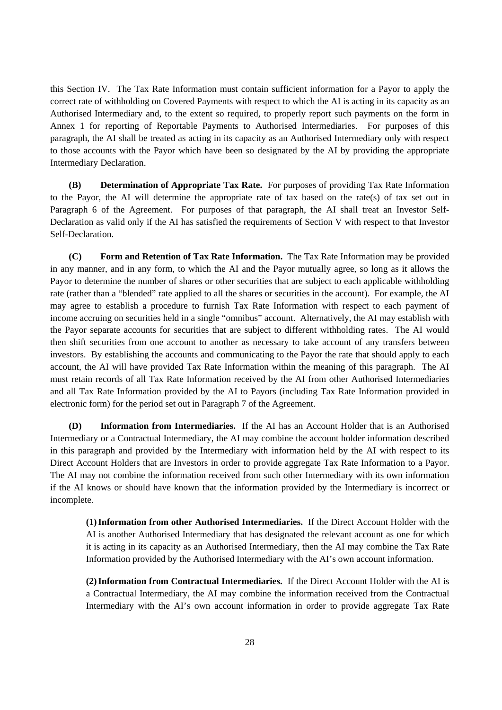this Section IV. The Tax Rate Information must contain sufficient information for a Payor to apply the correct rate of withholding on Covered Payments with respect to which the AI is acting in its capacity as an Authorised Intermediary and, to the extent so required, to properly report such payments on the form in Annex 1 for reporting of Reportable Payments to Authorised Intermediaries. For purposes of this paragraph, the AI shall be treated as acting in its capacity as an Authorised Intermediary only with respect to those accounts with the Payor which have been so designated by the AI by providing the appropriate Intermediary Declaration.

**(B) Determination of Appropriate Tax Rate.** For purposes of providing Tax Rate Information to the Payor, the AI will determine the appropriate rate of tax based on the rate(s) of tax set out in Paragraph 6 of the Agreement. For purposes of that paragraph, the AI shall treat an Investor Self-Declaration as valid only if the AI has satisfied the requirements of Section V with respect to that Investor Self-Declaration.

**(C) Form and Retention of Tax Rate Information.** The Tax Rate Information may be provided in any manner, and in any form, to which the AI and the Payor mutually agree, so long as it allows the Payor to determine the number of shares or other securities that are subject to each applicable withholding rate (rather than a "blended" rate applied to all the shares or securities in the account). For example, the AI may agree to establish a procedure to furnish Tax Rate Information with respect to each payment of income accruing on securities held in a single "omnibus" account. Alternatively, the AI may establish with the Payor separate accounts for securities that are subject to different withholding rates. The AI would then shift securities from one account to another as necessary to take account of any transfers between investors. By establishing the accounts and communicating to the Payor the rate that should apply to each account, the AI will have provided Tax Rate Information within the meaning of this paragraph. The AI must retain records of all Tax Rate Information received by the AI from other Authorised Intermediaries and all Tax Rate Information provided by the AI to Payors (including Tax Rate Information provided in electronic form) for the period set out in Paragraph 7 of the Agreement.

**(D) Information from Intermediaries.** If the AI has an Account Holder that is an Authorised Intermediary or a Contractual Intermediary, the AI may combine the account holder information described in this paragraph and provided by the Intermediary with information held by the AI with respect to its Direct Account Holders that are Investors in order to provide aggregate Tax Rate Information to a Payor. The AI may not combine the information received from such other Intermediary with its own information if the AI knows or should have known that the information provided by the Intermediary is incorrect or incomplete.

**(1) Information from other Authorised Intermediaries.** If the Direct Account Holder with the AI is another Authorised Intermediary that has designated the relevant account as one for which it is acting in its capacity as an Authorised Intermediary, then the AI may combine the Tax Rate Information provided by the Authorised Intermediary with the AI's own account information.

**(2) Information from Contractual Intermediaries.** If the Direct Account Holder with the AI is a Contractual Intermediary, the AI may combine the information received from the Contractual Intermediary with the AI's own account information in order to provide aggregate Tax Rate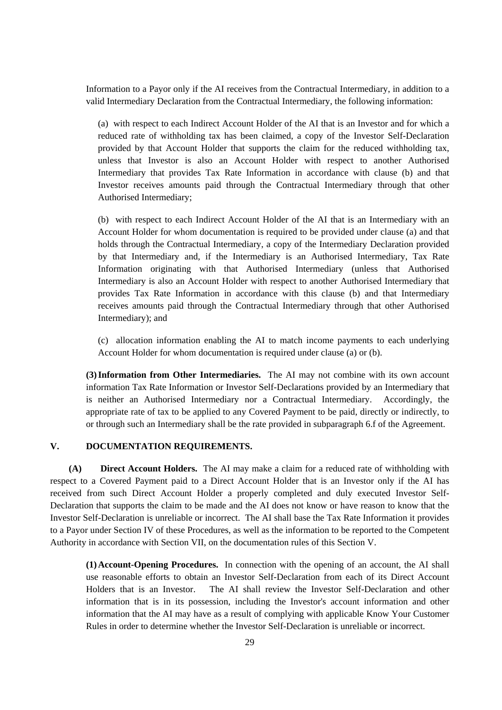Information to a Payor only if the AI receives from the Contractual Intermediary, in addition to a valid Intermediary Declaration from the Contractual Intermediary, the following information:

(a) with respect to each Indirect Account Holder of the AI that is an Investor and for which a reduced rate of withholding tax has been claimed, a copy of the Investor Self-Declaration provided by that Account Holder that supports the claim for the reduced withholding tax, unless that Investor is also an Account Holder with respect to another Authorised Intermediary that provides Tax Rate Information in accordance with clause (b) and that Investor receives amounts paid through the Contractual Intermediary through that other Authorised Intermediary;

(b) with respect to each Indirect Account Holder of the AI that is an Intermediary with an Account Holder for whom documentation is required to be provided under clause (a) and that holds through the Contractual Intermediary, a copy of the Intermediary Declaration provided by that Intermediary and, if the Intermediary is an Authorised Intermediary, Tax Rate Information originating with that Authorised Intermediary (unless that Authorised Intermediary is also an Account Holder with respect to another Authorised Intermediary that provides Tax Rate Information in accordance with this clause (b) and that Intermediary receives amounts paid through the Contractual Intermediary through that other Authorised Intermediary); and

(c) allocation information enabling the AI to match income payments to each underlying Account Holder for whom documentation is required under clause (a) or (b).

**(3) Information from Other Intermediaries.** The AI may not combine with its own account information Tax Rate Information or Investor Self-Declarations provided by an Intermediary that is neither an Authorised Intermediary nor a Contractual Intermediary. Accordingly, the appropriate rate of tax to be applied to any Covered Payment to be paid, directly or indirectly, to or through such an Intermediary shall be the rate provided in subparagraph 6.f of the Agreement.

#### **V. DOCUMENTATION REQUIREMENTS.**

**(A) Direct Account Holders.** The AI may make a claim for a reduced rate of withholding with respect to a Covered Payment paid to a Direct Account Holder that is an Investor only if the AI has received from such Direct Account Holder a properly completed and duly executed Investor Self-Declaration that supports the claim to be made and the AI does not know or have reason to know that the Investor Self-Declaration is unreliable or incorrect. The AI shall base the Tax Rate Information it provides to a Payor under Section IV of these Procedures, as well as the information to be reported to the Competent Authority in accordance with Section VII, on the documentation rules of this Section V.

**(1) Account-Opening Procedures.** In connection with the opening of an account, the AI shall use reasonable efforts to obtain an Investor Self-Declaration from each of its Direct Account Holders that is an Investor. The AI shall review the Investor Self-Declaration and other information that is in its possession, including the Investor's account information and other information that the AI may have as a result of complying with applicable Know Your Customer Rules in order to determine whether the Investor Self-Declaration is unreliable or incorrect.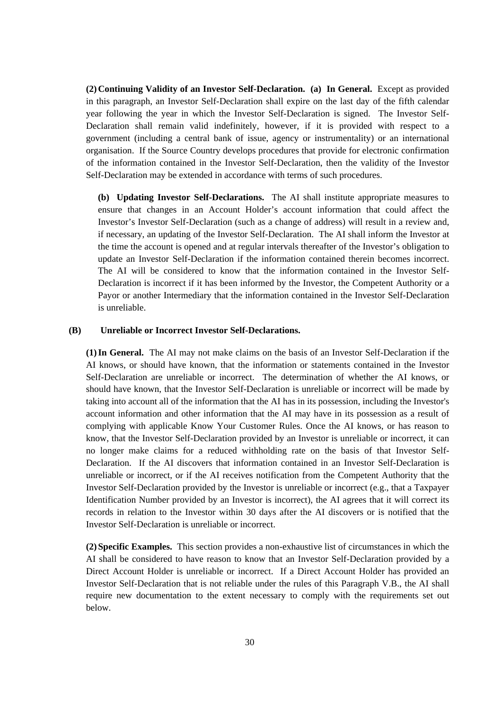**(2) Continuing Validity of an Investor Self-Declaration. (a) In General.** Except as provided in this paragraph, an Investor Self-Declaration shall expire on the last day of the fifth calendar year following the year in which the Investor Self-Declaration is signed. The Investor Self-Declaration shall remain valid indefinitely, however, if it is provided with respect to a government (including a central bank of issue, agency or instrumentality) or an international organisation. If the Source Country develops procedures that provide for electronic confirmation of the information contained in the Investor Self-Declaration, then the validity of the Investor Self-Declaration may be extended in accordance with terms of such procedures.

**(b) Updating Investor Self-Declarations.** The AI shall institute appropriate measures to ensure that changes in an Account Holder's account information that could affect the Investor's Investor Self-Declaration (such as a change of address) will result in a review and, if necessary, an updating of the Investor Self-Declaration. The AI shall inform the Investor at the time the account is opened and at regular intervals thereafter of the Investor's obligation to update an Investor Self-Declaration if the information contained therein becomes incorrect. The AI will be considered to know that the information contained in the Investor Self-Declaration is incorrect if it has been informed by the Investor, the Competent Authority or a Payor or another Intermediary that the information contained in the Investor Self-Declaration is unreliable.

#### **(B) Unreliable or Incorrect Investor Self-Declarations.**

**(1) In General.** The AI may not make claims on the basis of an Investor Self-Declaration if the AI knows, or should have known, that the information or statements contained in the Investor Self-Declaration are unreliable or incorrect. The determination of whether the AI knows, or should have known, that the Investor Self-Declaration is unreliable or incorrect will be made by taking into account all of the information that the AI has in its possession, including the Investor's account information and other information that the AI may have in its possession as a result of complying with applicable Know Your Customer Rules. Once the AI knows, or has reason to know, that the Investor Self-Declaration provided by an Investor is unreliable or incorrect, it can no longer make claims for a reduced withholding rate on the basis of that Investor Self-Declaration. If the AI discovers that information contained in an Investor Self-Declaration is unreliable or incorrect, or if the AI receives notification from the Competent Authority that the Investor Self-Declaration provided by the Investor is unreliable or incorrect (e.g., that a Taxpayer Identification Number provided by an Investor is incorrect), the AI agrees that it will correct its records in relation to the Investor within 30 days after the AI discovers or is notified that the Investor Self-Declaration is unreliable or incorrect.

**(2) Specific Examples.** This section provides a non-exhaustive list of circumstances in which the AI shall be considered to have reason to know that an Investor Self-Declaration provided by a Direct Account Holder is unreliable or incorrect. If a Direct Account Holder has provided an Investor Self-Declaration that is not reliable under the rules of this Paragraph V.B., the AI shall require new documentation to the extent necessary to comply with the requirements set out below.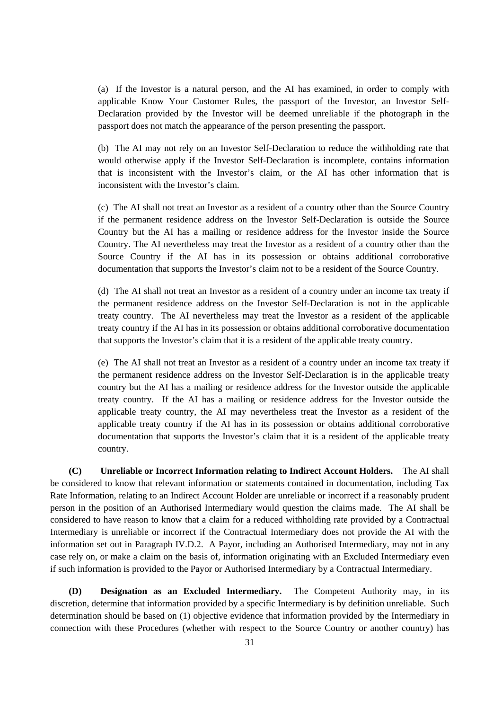(a) If the Investor is a natural person, and the AI has examined, in order to comply with applicable Know Your Customer Rules, the passport of the Investor, an Investor Self-Declaration provided by the Investor will be deemed unreliable if the photograph in the passport does not match the appearance of the person presenting the passport.

(b) The AI may not rely on an Investor Self-Declaration to reduce the withholding rate that would otherwise apply if the Investor Self-Declaration is incomplete, contains information that is inconsistent with the Investor's claim, or the AI has other information that is inconsistent with the Investor's claim.

(c) The AI shall not treat an Investor as a resident of a country other than the Source Country if the permanent residence address on the Investor Self-Declaration is outside the Source Country but the AI has a mailing or residence address for the Investor inside the Source Country. The AI nevertheless may treat the Investor as a resident of a country other than the Source Country if the AI has in its possession or obtains additional corroborative documentation that supports the Investor's claim not to be a resident of the Source Country.

(d) The AI shall not treat an Investor as a resident of a country under an income tax treaty if the permanent residence address on the Investor Self-Declaration is not in the applicable treaty country. The AI nevertheless may treat the Investor as a resident of the applicable treaty country if the AI has in its possession or obtains additional corroborative documentation that supports the Investor's claim that it is a resident of the applicable treaty country.

(e) The AI shall not treat an Investor as a resident of a country under an income tax treaty if the permanent residence address on the Investor Self-Declaration is in the applicable treaty country but the AI has a mailing or residence address for the Investor outside the applicable treaty country. If the AI has a mailing or residence address for the Investor outside the applicable treaty country, the AI may nevertheless treat the Investor as a resident of the applicable treaty country if the AI has in its possession or obtains additional corroborative documentation that supports the Investor's claim that it is a resident of the applicable treaty country.

**(C) Unreliable or Incorrect Information relating to Indirect Account Holders.** The AI shall be considered to know that relevant information or statements contained in documentation, including Tax Rate Information, relating to an Indirect Account Holder are unreliable or incorrect if a reasonably prudent person in the position of an Authorised Intermediary would question the claims made. The AI shall be considered to have reason to know that a claim for a reduced withholding rate provided by a Contractual Intermediary is unreliable or incorrect if the Contractual Intermediary does not provide the AI with the information set out in Paragraph IV.D.2.A Payor, including an Authorised Intermediary, may not in any case rely on, or make a claim on the basis of, information originating with an Excluded Intermediary even if such information is provided to the Payor or Authorised Intermediary by a Contractual Intermediary.

**(D) Designation as an Excluded Intermediary.** The Competent Authority may, in its discretion, determine that information provided by a specific Intermediary is by definition unreliable. Such determination should be based on (1) objective evidence that information provided by the Intermediary in connection with these Procedures (whether with respect to the Source Country or another country) has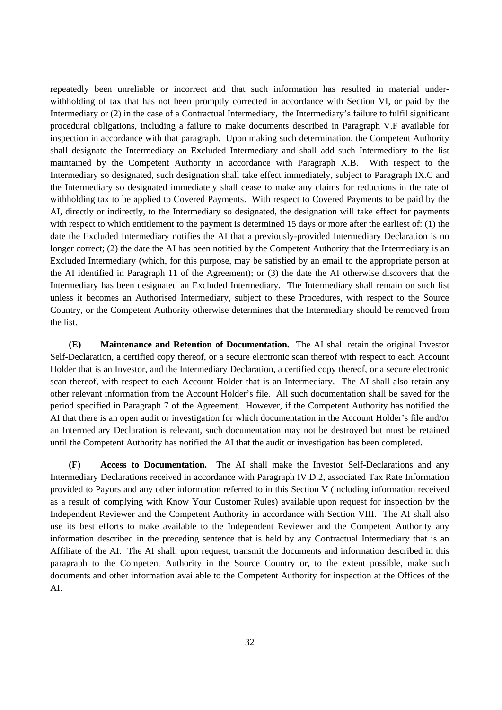repeatedly been unreliable or incorrect and that such information has resulted in material underwithholding of tax that has not been promptly corrected in accordance with Section VI, or paid by the Intermediary or (2) in the case of a Contractual Intermediary, the Intermediary's failure to fulfil significant procedural obligations, including a failure to make documents described in Paragraph V.F available for inspection in accordance with that paragraph. Upon making such determination, the Competent Authority shall designate the Intermediary an Excluded Intermediary and shall add such Intermediary to the list maintained by the Competent Authority in accordance with Paragraph X.B. With respect to the Intermediary so designated, such designation shall take effect immediately, subject to Paragraph IX.C and the Intermediary so designated immediately shall cease to make any claims for reductions in the rate of withholding tax to be applied to Covered Payments. With respect to Covered Payments to be paid by the AI, directly or indirectly, to the Intermediary so designated, the designation will take effect for payments with respect to which entitlement to the payment is determined 15 days or more after the earliest of: (1) the date the Excluded Intermediary notifies the AI that a previously-provided Intermediary Declaration is no longer correct; (2) the date the AI has been notified by the Competent Authority that the Intermediary is an Excluded Intermediary (which, for this purpose, may be satisfied by an email to the appropriate person at the AI identified in Paragraph 11 of the Agreement); or (3) the date the AI otherwise discovers that the Intermediary has been designated an Excluded Intermediary. The Intermediary shall remain on such list unless it becomes an Authorised Intermediary, subject to these Procedures, with respect to the Source Country, or the Competent Authority otherwise determines that the Intermediary should be removed from the list.

**(E) Maintenance and Retention of Documentation.** The AI shall retain the original Investor Self-Declaration, a certified copy thereof, or a secure electronic scan thereof with respect to each Account Holder that is an Investor, and the Intermediary Declaration, a certified copy thereof, or a secure electronic scan thereof, with respect to each Account Holder that is an Intermediary. The AI shall also retain any other relevant information from the Account Holder's file. All such documentation shall be saved for the period specified in Paragraph 7 of the Agreement. However, if the Competent Authority has notified the AI that there is an open audit or investigation for which documentation in the Account Holder's file and/or an Intermediary Declaration is relevant, such documentation may not be destroyed but must be retained until the Competent Authority has notified the AI that the audit or investigation has been completed.

**(F) Access to Documentation.** The AI shall make the Investor Self-Declarations and any Intermediary Declarations received in accordance with Paragraph IV.D.2, associated Tax Rate Information provided to Payors and any other information referred to in this Section V (including information received as a result of complying with Know Your Customer Rules) available upon request for inspection by the Independent Reviewer and the Competent Authority in accordance with Section VIII. The AI shall also use its best efforts to make available to the Independent Reviewer and the Competent Authority any information described in the preceding sentence that is held by any Contractual Intermediary that is an Affiliate of the AI. The AI shall, upon request, transmit the documents and information described in this paragraph to the Competent Authority in the Source Country or, to the extent possible, make such documents and other information available to the Competent Authority for inspection at the Offices of the AI.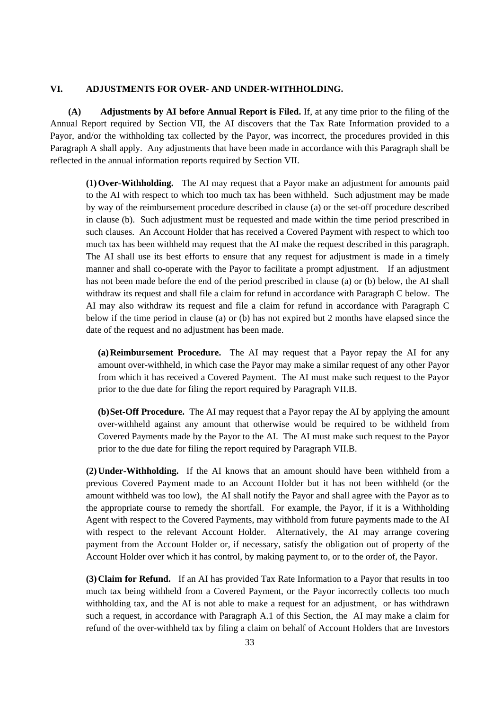### **VI. ADJUSTMENTS FOR OVER- AND UNDER-WITHHOLDING.**

**(A) Adjustments by AI before Annual Report is Filed.** If, at any time prior to the filing of the Annual Report required by Section VII, the AI discovers that the Tax Rate Information provided to a Payor, and/or the withholding tax collected by the Payor, was incorrect, the procedures provided in this Paragraph A shall apply. Any adjustments that have been made in accordance with this Paragraph shall be reflected in the annual information reports required by Section VII.

**(1) Over-Withholding.** The AI may request that a Payor make an adjustment for amounts paid to the AI with respect to which too much tax has been withheld. Such adjustment may be made by way of the reimbursement procedure described in clause (a) or the set-off procedure described in clause (b). Such adjustment must be requested and made within the time period prescribed in such clauses. An Account Holder that has received a Covered Payment with respect to which too much tax has been withheld may request that the AI make the request described in this paragraph. The AI shall use its best efforts to ensure that any request for adjustment is made in a timely manner and shall co-operate with the Payor to facilitate a prompt adjustment. If an adjustment has not been made before the end of the period prescribed in clause (a) or (b) below, the AI shall withdraw its request and shall file a claim for refund in accordance with Paragraph C below. The AI may also withdraw its request and file a claim for refund in accordance with Paragraph C below if the time period in clause (a) or (b) has not expired but 2 months have elapsed since the date of the request and no adjustment has been made.

**(a) Reimbursement Procedure.** The AI may request that a Payor repay the AI for any amount over-withheld, in which case the Payor may make a similar request of any other Payor from which it has received a Covered Payment. The AI must make such request to the Payor prior to the due date for filing the report required by Paragraph VII.B.

**(b) Set-Off Procedure.** The AI may request that a Payor repay the AI by applying the amount over-withheld against any amount that otherwise would be required to be withheld from Covered Payments made by the Payor to the AI. The AI must make such request to the Payor prior to the due date for filing the report required by Paragraph VII.B.

**(2) Under-Withholding.** If the AI knows that an amount should have been withheld from a previous Covered Payment made to an Account Holder but it has not been withheld (or the amount withheld was too low), the AI shall notify the Payor and shall agree with the Payor as to the appropriate course to remedy the shortfall. For example, the Payor, if it is a Withholding Agent with respect to the Covered Payments, may withhold from future payments made to the AI with respect to the relevant Account Holder. Alternatively, the AI may arrange covering payment from the Account Holder or, if necessary, satisfy the obligation out of property of the Account Holder over which it has control, by making payment to, or to the order of, the Payor.

**(3) Claim for Refund.** If an AI has provided Tax Rate Information to a Payor that results in too much tax being withheld from a Covered Payment, or the Payor incorrectly collects too much withholding tax, and the AI is not able to make a request for an adjustment, or has withdrawn such a request, in accordance with Paragraph A.1 of this Section, the AI may make a claim for refund of the over-withheld tax by filing a claim on behalf of Account Holders that are Investors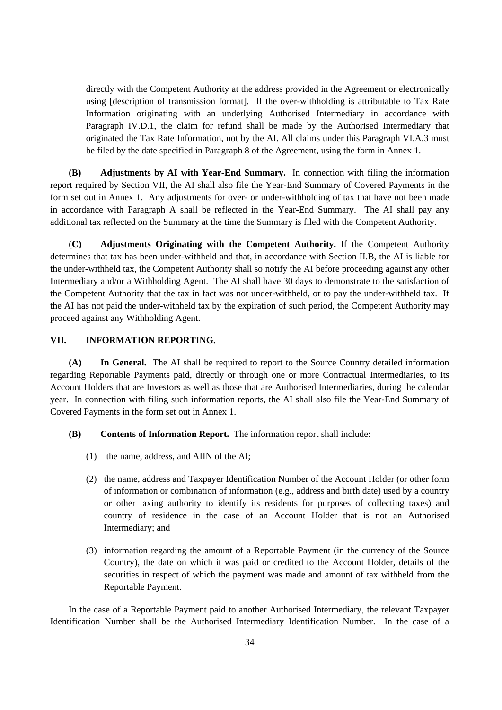directly with the Competent Authority at the address provided in the Agreement or electronically using [description of transmission format]. If the over-withholding is attributable to Tax Rate Information originating with an underlying Authorised Intermediary in accordance with Paragraph IV.D.1, the claim for refund shall be made by the Authorised Intermediary that originated the Tax Rate Information, not by the AI. All claims under this Paragraph VI.A.3 must be filed by the date specified in Paragraph 8 of the Agreement, using the form in Annex 1.

**(B) Adjustments by AI with Year-End Summary.** In connection with filing the information report required by Section VII, the AI shall also file the Year-End Summary of Covered Payments in the form set out in Annex 1. Any adjustments for over- or under-withholding of tax that have not been made in accordance with Paragraph A shall be reflected in the Year-End Summary. The AI shall pay any additional tax reflected on the Summary at the time the Summary is filed with the Competent Authority.

(**C) Adjustments Originating with the Competent Authority.** If the Competent Authority determines that tax has been under-withheld and that, in accordance with Section II.B, the AI is liable for the under-withheld tax, the Competent Authority shall so notify the AI before proceeding against any other Intermediary and/or a Withholding Agent. The AI shall have 30 days to demonstrate to the satisfaction of the Competent Authority that the tax in fact was not under-withheld, or to pay the under-withheld tax. If the AI has not paid the under-withheld tax by the expiration of such period, the Competent Authority may proceed against any Withholding Agent.

#### **VII. INFORMATION REPORTING.**

**(A) In General.** The AI shall be required to report to the Source Country detailed information regarding Reportable Payments paid, directly or through one or more Contractual Intermediaries, to its Account Holders that are Investors as well as those that are Authorised Intermediaries, during the calendar year. In connection with filing such information reports, the AI shall also file the Year-End Summary of Covered Payments in the form set out in Annex 1.

- **(B) Contents of Information Report.** The information report shall include:
	- (1) the name, address, and AIIN of the AI;
	- (2) the name, address and Taxpayer Identification Number of the Account Holder (or other form of information or combination of information (e.g., address and birth date) used by a country or other taxing authority to identify its residents for purposes of collecting taxes) and country of residence in the case of an Account Holder that is not an Authorised Intermediary; and
	- (3) information regarding the amount of a Reportable Payment (in the currency of the Source Country), the date on which it was paid or credited to the Account Holder, details of the securities in respect of which the payment was made and amount of tax withheld from the Reportable Payment.

In the case of a Reportable Payment paid to another Authorised Intermediary, the relevant Taxpayer Identification Number shall be the Authorised Intermediary Identification Number. In the case of a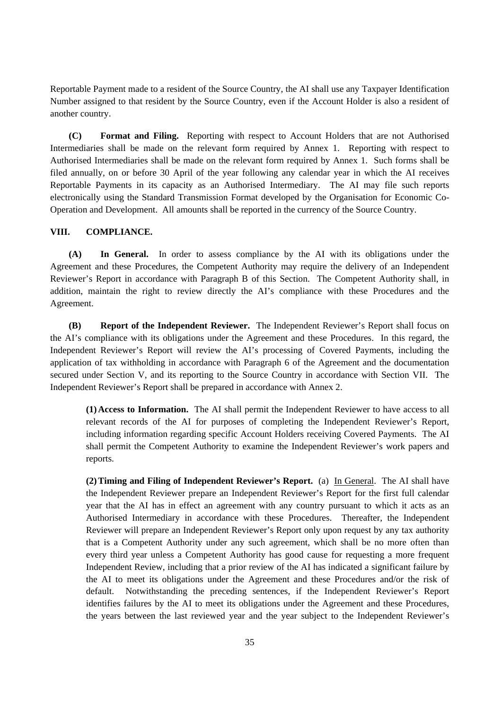Reportable Payment made to a resident of the Source Country, the AI shall use any Taxpayer Identification Number assigned to that resident by the Source Country, even if the Account Holder is also a resident of another country.

**(C) Format and Filing.** Reporting with respect to Account Holders that are not Authorised Intermediaries shall be made on the relevant form required by Annex 1. Reporting with respect to Authorised Intermediaries shall be made on the relevant form required by Annex 1. Such forms shall be filed annually, on or before 30 April of the year following any calendar year in which the AI receives Reportable Payments in its capacity as an Authorised Intermediary. The AI may file such reports electronically using the Standard Transmission Format developed by the Organisation for Economic Co-Operation and Development. All amounts shall be reported in the currency of the Source Country.

#### **VIII. COMPLIANCE.**

**(A) In General.** In order to assess compliance by the AI with its obligations under the Agreement and these Procedures, the Competent Authority may require the delivery of an Independent Reviewer's Report in accordance with Paragraph B of this Section. The Competent Authority shall, in addition, maintain the right to review directly the AI's compliance with these Procedures and the Agreement.

**(B) Report of the Independent Reviewer.** The Independent Reviewer's Report shall focus on the AI's compliance with its obligations under the Agreement and these Procedures. In this regard, the Independent Reviewer's Report will review the AI's processing of Covered Payments, including the application of tax withholding in accordance with Paragraph 6 of the Agreement and the documentation secured under Section V, and its reporting to the Source Country in accordance with Section VII. The Independent Reviewer's Report shall be prepared in accordance with Annex 2.

**(1) Access to Information.** The AI shall permit the Independent Reviewer to have access to all relevant records of the AI for purposes of completing the Independent Reviewer's Report, including information regarding specific Account Holders receiving Covered Payments. The AI shall permit the Competent Authority to examine the Independent Reviewer's work papers and reports.

**(2) Timing and Filing of Independent Reviewer's Report.** (a) In General. The AI shall have the Independent Reviewer prepare an Independent Reviewer's Report for the first full calendar year that the AI has in effect an agreement with any country pursuant to which it acts as an Authorised Intermediary in accordance with these Procedures. Thereafter, the Independent Reviewer will prepare an Independent Reviewer's Report only upon request by any tax authority that is a Competent Authority under any such agreement, which shall be no more often than every third year unless a Competent Authority has good cause for requesting a more frequent Independent Review, including that a prior review of the AI has indicated a significant failure by the AI to meet its obligations under the Agreement and these Procedures and/or the risk of default. Notwithstanding the preceding sentences, if the Independent Reviewer's Report identifies failures by the AI to meet its obligations under the Agreement and these Procedures, the years between the last reviewed year and the year subject to the Independent Reviewer's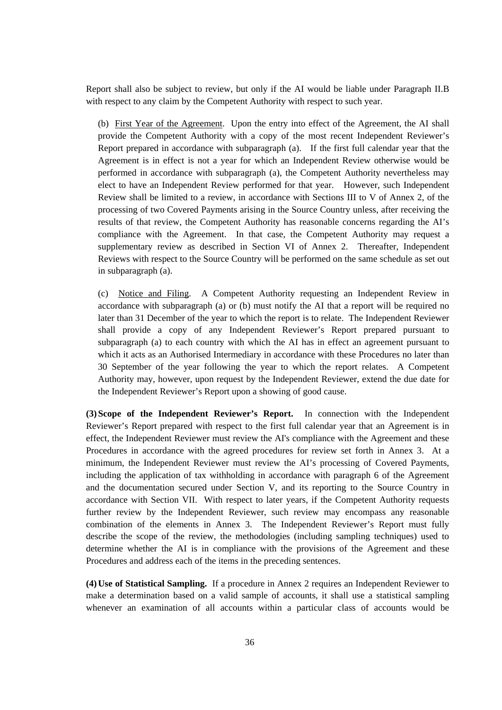Report shall also be subject to review, but only if the AI would be liable under Paragraph II.B with respect to any claim by the Competent Authority with respect to such year.

(b) First Year of the Agreement. Upon the entry into effect of the Agreement, the AI shall provide the Competent Authority with a copy of the most recent Independent Reviewer's Report prepared in accordance with subparagraph (a). If the first full calendar year that the Agreement is in effect is not a year for which an Independent Review otherwise would be performed in accordance with subparagraph (a), the Competent Authority nevertheless may elect to have an Independent Review performed for that year. However, such Independent Review shall be limited to a review, in accordance with Sections III to V of Annex 2, of the processing of two Covered Payments arising in the Source Country unless, after receiving the results of that review, the Competent Authority has reasonable concerns regarding the AI's compliance with the Agreement. In that case, the Competent Authority may request a supplementary review as described in Section VI of Annex 2. Thereafter, Independent Reviews with respect to the Source Country will be performed on the same schedule as set out in subparagraph (a).

(c) Notice and Filing. A Competent Authority requesting an Independent Review in accordance with subparagraph (a) or (b) must notify the AI that a report will be required no later than 31 December of the year to which the report is to relate. The Independent Reviewer shall provide a copy of any Independent Reviewer's Report prepared pursuant to subparagraph (a) to each country with which the AI has in effect an agreement pursuant to which it acts as an Authorised Intermediary in accordance with these Procedures no later than 30 September of the year following the year to which the report relates. A Competent Authority may, however, upon request by the Independent Reviewer, extend the due date for the Independent Reviewer's Report upon a showing of good cause.

**(3) Scope of the Independent Reviewer's Report.** In connection with the Independent Reviewer's Report prepared with respect to the first full calendar year that an Agreement is in effect, the Independent Reviewer must review the AI's compliance with the Agreement and these Procedures in accordance with the agreed procedures for review set forth in Annex 3. At a minimum, the Independent Reviewer must review the AI's processing of Covered Payments, including the application of tax withholding in accordance with paragraph 6 of the Agreement and the documentation secured under Section V, and its reporting to the Source Country in accordance with Section VII. With respect to later years, if the Competent Authority requests further review by the Independent Reviewer, such review may encompass any reasonable combination of the elements in Annex 3. The Independent Reviewer's Report must fully describe the scope of the review, the methodologies (including sampling techniques) used to determine whether the AI is in compliance with the provisions of the Agreement and these Procedures and address each of the items in the preceding sentences.

**(4) Use of Statistical Sampling.** If a procedure in Annex 2 requires an Independent Reviewer to make a determination based on a valid sample of accounts, it shall use a statistical sampling whenever an examination of all accounts within a particular class of accounts would be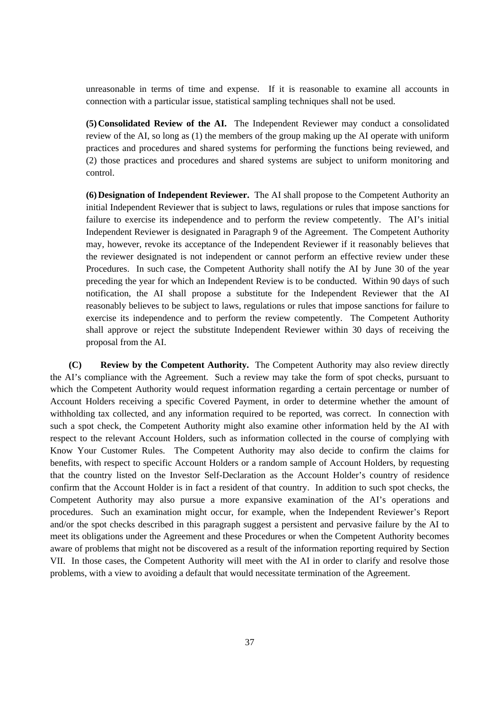unreasonable in terms of time and expense. If it is reasonable to examine all accounts in connection with a particular issue, statistical sampling techniques shall not be used.

**(5) Consolidated Review of the AI.** The Independent Reviewer may conduct a consolidated review of the AI, so long as (1) the members of the group making up the AI operate with uniform practices and procedures and shared systems for performing the functions being reviewed, and (2) those practices and procedures and shared systems are subject to uniform monitoring and control.

**(6) Designation of Independent Reviewer.** The AI shall propose to the Competent Authority an initial Independent Reviewer that is subject to laws, regulations or rules that impose sanctions for failure to exercise its independence and to perform the review competently. The AI's initial Independent Reviewer is designated in Paragraph 9 of the Agreement. The Competent Authority may, however, revoke its acceptance of the Independent Reviewer if it reasonably believes that the reviewer designated is not independent or cannot perform an effective review under these Procedures. In such case, the Competent Authority shall notify the AI by June 30 of the year preceding the year for which an Independent Review is to be conducted. Within 90 days of such notification, the AI shall propose a substitute for the Independent Reviewer that the AI reasonably believes to be subject to laws, regulations or rules that impose sanctions for failure to exercise its independence and to perform the review competently. The Competent Authority shall approve or reject the substitute Independent Reviewer within 30 days of receiving the proposal from the AI.

**(C) Review by the Competent Authority.** The Competent Authority may also review directly the AI's compliance with the Agreement. Such a review may take the form of spot checks, pursuant to which the Competent Authority would request information regarding a certain percentage or number of Account Holders receiving a specific Covered Payment, in order to determine whether the amount of withholding tax collected, and any information required to be reported, was correct. In connection with such a spot check, the Competent Authority might also examine other information held by the AI with respect to the relevant Account Holders, such as information collected in the course of complying with Know Your Customer Rules. The Competent Authority may also decide to confirm the claims for benefits, with respect to specific Account Holders or a random sample of Account Holders, by requesting that the country listed on the Investor Self-Declaration as the Account Holder's country of residence confirm that the Account Holder is in fact a resident of that country. In addition to such spot checks, the Competent Authority may also pursue a more expansive examination of the AI's operations and procedures. Such an examination might occur, for example, when the Independent Reviewer's Report and/or the spot checks described in this paragraph suggest a persistent and pervasive failure by the AI to meet its obligations under the Agreement and these Procedures or when the Competent Authority becomes aware of problems that might not be discovered as a result of the information reporting required by Section VII. In those cases, the Competent Authority will meet with the AI in order to clarify and resolve those problems, with a view to avoiding a default that would necessitate termination of the Agreement.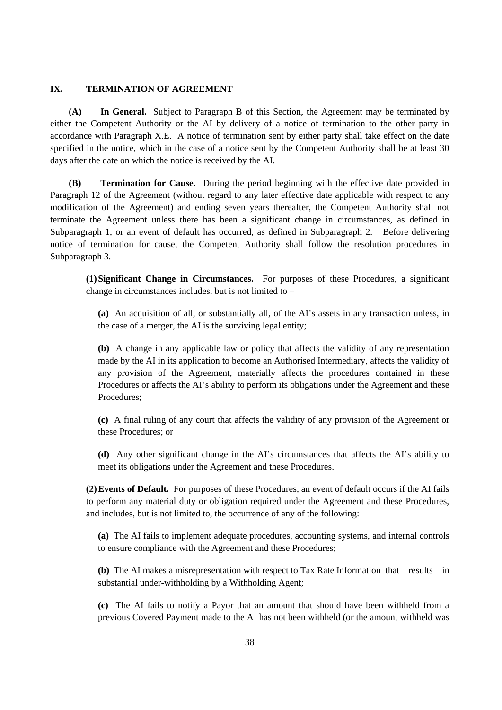## **IX. TERMINATION OF AGREEMENT**

**(A) In General.** Subject to Paragraph B of this Section, the Agreement may be terminated by either the Competent Authority or the AI by delivery of a notice of termination to the other party in accordance with Paragraph X.E. A notice of termination sent by either party shall take effect on the date specified in the notice, which in the case of a notice sent by the Competent Authority shall be at least 30 days after the date on which the notice is received by the AI.

**(B) Termination for Cause.** During the period beginning with the effective date provided in Paragraph 12 of the Agreement (without regard to any later effective date applicable with respect to any modification of the Agreement) and ending seven years thereafter, the Competent Authority shall not terminate the Agreement unless there has been a significant change in circumstances, as defined in Subparagraph 1, or an event of default has occurred, as defined in Subparagraph 2. Before delivering notice of termination for cause, the Competent Authority shall follow the resolution procedures in Subparagraph 3.

**(1) Significant Change in Circumstances.** For purposes of these Procedures, a significant change in circumstances includes, but is not limited to –

**(a)** An acquisition of all, or substantially all, of the AI's assets in any transaction unless, in the case of a merger, the AI is the surviving legal entity;

**(b)** A change in any applicable law or policy that affects the validity of any representation made by the AI in its application to become an Authorised Intermediary, affects the validity of any provision of the Agreement, materially affects the procedures contained in these Procedures or affects the AI's ability to perform its obligations under the Agreement and these Procedures;

**(c)** A final ruling of any court that affects the validity of any provision of the Agreement or these Procedures; or

**(d)** Any other significant change in the AI's circumstances that affects the AI's ability to meet its obligations under the Agreement and these Procedures.

**(2) Events of Default.** For purposes of these Procedures, an event of default occurs if the AI fails to perform any material duty or obligation required under the Agreement and these Procedures, and includes, but is not limited to, the occurrence of any of the following:

**(a)** The AI fails to implement adequate procedures, accounting systems, and internal controls to ensure compliance with the Agreement and these Procedures;

**(b)** The AI makes a misrepresentation with respect to Tax Rate Information that results in substantial under-withholding by a Withholding Agent;

**(c)** The AI fails to notify a Payor that an amount that should have been withheld from a previous Covered Payment made to the AI has not been withheld (or the amount withheld was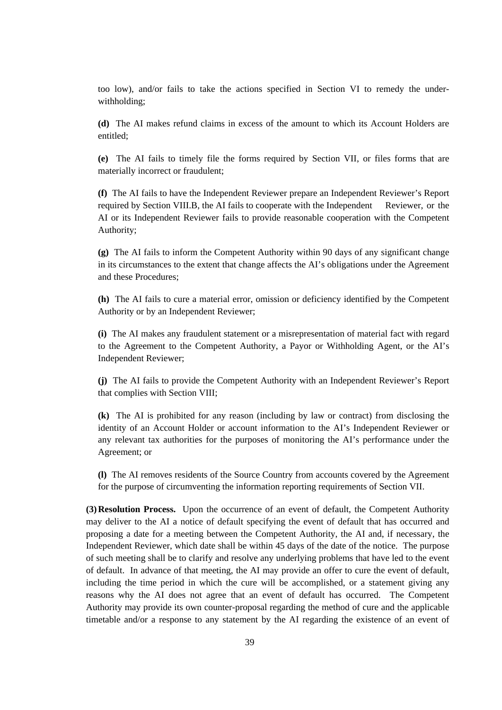too low), and/or fails to take the actions specified in Section VI to remedy the underwithholding;

**(d)** The AI makes refund claims in excess of the amount to which its Account Holders are entitled;

**(e)** The AI fails to timely file the forms required by Section VII, or files forms that are materially incorrect or fraudulent;

**(f)** The AI fails to have the Independent Reviewer prepare an Independent Reviewer's Report required by Section VIII.B, the AI fails to cooperate with the Independent Reviewer, or the AI or its Independent Reviewer fails to provide reasonable cooperation with the Competent Authority;

**(g)** The AI fails to inform the Competent Authority within 90 days of any significant change in its circumstances to the extent that change affects the AI's obligations under the Agreement and these Procedures;

**(h)** The AI fails to cure a material error, omission or deficiency identified by the Competent Authority or by an Independent Reviewer;

**(i)** The AI makes any fraudulent statement or a misrepresentation of material fact with regard to the Agreement to the Competent Authority, a Payor or Withholding Agent, or the AI's Independent Reviewer;

**(j)** The AI fails to provide the Competent Authority with an Independent Reviewer's Report that complies with Section VIII;

**(k)** The AI is prohibited for any reason (including by law or contract) from disclosing the identity of an Account Holder or account information to the AI's Independent Reviewer or any relevant tax authorities for the purposes of monitoring the AI's performance under the Agreement; or

**(l)** The AI removes residents of the Source Country from accounts covered by the Agreement for the purpose of circumventing the information reporting requirements of Section VII.

**(3) Resolution Process.** Upon the occurrence of an event of default, the Competent Authority may deliver to the AI a notice of default specifying the event of default that has occurred and proposing a date for a meeting between the Competent Authority, the AI and, if necessary, the Independent Reviewer, which date shall be within 45 days of the date of the notice. The purpose of such meeting shall be to clarify and resolve any underlying problems that have led to the event of default. In advance of that meeting, the AI may provide an offer to cure the event of default, including the time period in which the cure will be accomplished, or a statement giving any reasons why the AI does not agree that an event of default has occurred. The Competent Authority may provide its own counter-proposal regarding the method of cure and the applicable timetable and/or a response to any statement by the AI regarding the existence of an event of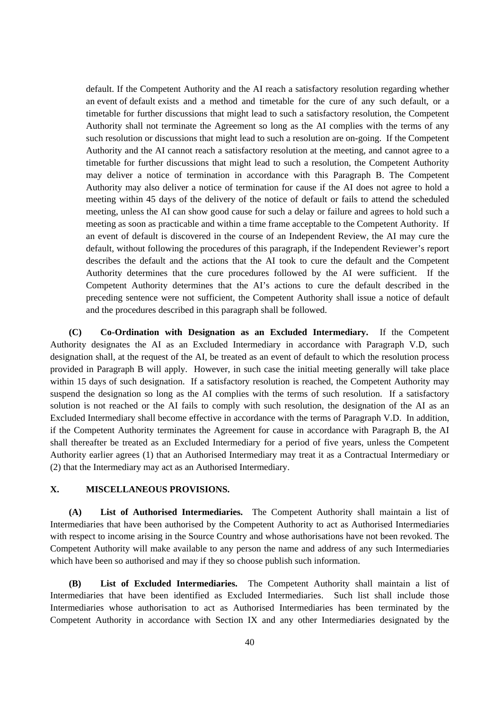default. If the Competent Authority and the AI reach a satisfactory resolution regarding whether an event of default exists and a method and timetable for the cure of any such default, or a timetable for further discussions that might lead to such a satisfactory resolution, the Competent Authority shall not terminate the Agreement so long as the AI complies with the terms of any such resolution or discussions that might lead to such a resolution are on-going. If the Competent Authority and the AI cannot reach a satisfactory resolution at the meeting, and cannot agree to a timetable for further discussions that might lead to such a resolution, the Competent Authority may deliver a notice of termination in accordance with this Paragraph B. The Competent Authority may also deliver a notice of termination for cause if the AI does not agree to hold a meeting within 45 days of the delivery of the notice of default or fails to attend the scheduled meeting, unless the AI can show good cause for such a delay or failure and agrees to hold such a meeting as soon as practicable and within a time frame acceptable to the Competent Authority. If an event of default is discovered in the course of an Independent Review, the AI may cure the default, without following the procedures of this paragraph, if the Independent Reviewer's report describes the default and the actions that the AI took to cure the default and the Competent Authority determines that the cure procedures followed by the AI were sufficient. If the Competent Authority determines that the AI's actions to cure the default described in the preceding sentence were not sufficient, the Competent Authority shall issue a notice of default and the procedures described in this paragraph shall be followed.

**(C) Co-Ordination with Designation as an Excluded Intermediary.** If the Competent Authority designates the AI as an Excluded Intermediary in accordance with Paragraph V.D, such designation shall, at the request of the AI, be treated as an event of default to which the resolution process provided in Paragraph B will apply. However, in such case the initial meeting generally will take place within 15 days of such designation. If a satisfactory resolution is reached, the Competent Authority may suspend the designation so long as the AI complies with the terms of such resolution. If a satisfactory solution is not reached or the AI fails to comply with such resolution, the designation of the AI as an Excluded Intermediary shall become effective in accordance with the terms of Paragraph V.D. In addition, if the Competent Authority terminates the Agreement for cause in accordance with Paragraph B, the AI shall thereafter be treated as an Excluded Intermediary for a period of five years, unless the Competent Authority earlier agrees (1) that an Authorised Intermediary may treat it as a Contractual Intermediary or (2) that the Intermediary may act as an Authorised Intermediary.

### **X. MISCELLANEOUS PROVISIONS.**

**(A) List of Authorised Intermediaries.** The Competent Authority shall maintain a list of Intermediaries that have been authorised by the Competent Authority to act as Authorised Intermediaries with respect to income arising in the Source Country and whose authorisations have not been revoked. The Competent Authority will make available to any person the name and address of any such Intermediaries which have been so authorised and may if they so choose publish such information.

**(B) List of Excluded Intermediaries.** The Competent Authority shall maintain a list of Intermediaries that have been identified as Excluded Intermediaries. Such list shall include those Intermediaries whose authorisation to act as Authorised Intermediaries has been terminated by the Competent Authority in accordance with Section IX and any other Intermediaries designated by the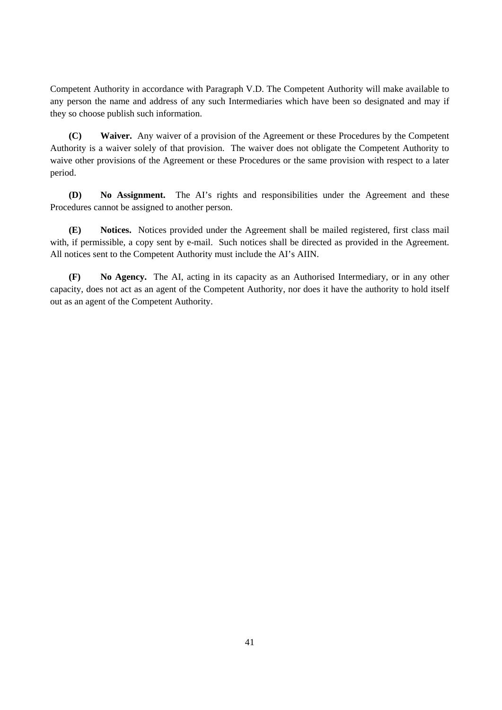Competent Authority in accordance with Paragraph V.D. The Competent Authority will make available to any person the name and address of any such Intermediaries which have been so designated and may if they so choose publish such information.

**(C) Waiver.** Any waiver of a provision of the Agreement or these Procedures by the Competent Authority is a waiver solely of that provision. The waiver does not obligate the Competent Authority to waive other provisions of the Agreement or these Procedures or the same provision with respect to a later period.

**(D) No Assignment.** The AI's rights and responsibilities under the Agreement and these Procedures cannot be assigned to another person.

**(E) Notices.** Notices provided under the Agreement shall be mailed registered, first class mail with, if permissible, a copy sent by e-mail. Such notices shall be directed as provided in the Agreement. All notices sent to the Competent Authority must include the AI's AIIN.

**(F) No Agency.** The AI, acting in its capacity as an Authorised Intermediary, or in any other capacity, does not act as an agent of the Competent Authority, nor does it have the authority to hold itself out as an agent of the Competent Authority.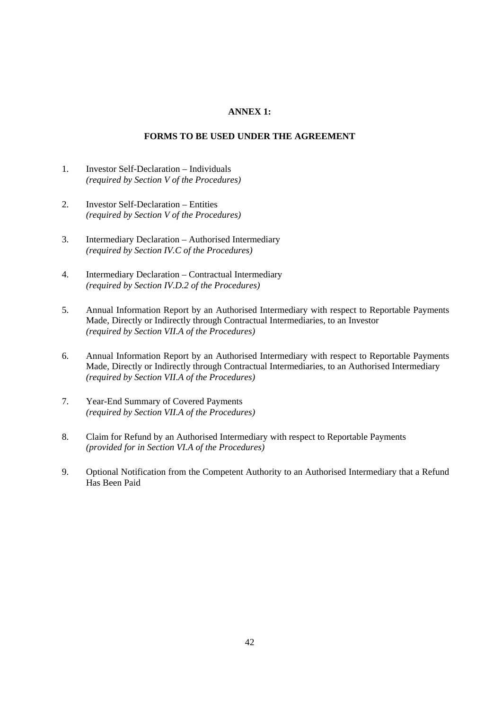#### **ANNEX 1:**

## **FORMS TO BE USED UNDER THE AGREEMENT**

- 1. Investor Self-Declaration Individuals *(required by Section V of the Procedures)*
- 2. Investor Self-Declaration Entities *(required by Section V of the Procedures)*
- 3. Intermediary Declaration Authorised Intermediary *(required by Section IV.C of the Procedures)*
- 4. Intermediary Declaration Contractual Intermediary *(required by Section IV.D.2 of the Procedures)*
- 5. Annual Information Report by an Authorised Intermediary with respect to Reportable Payments Made, Directly or Indirectly through Contractual Intermediaries, to an Investor *(required by Section VII.A of the Procedures)*
- 6. Annual Information Report by an Authorised Intermediary with respect to Reportable Payments Made, Directly or Indirectly through Contractual Intermediaries, to an Authorised Intermediary *(required by Section VII.A of the Procedures)*
- 7. Year-End Summary of Covered Payments *(required by Section VII.A of the Procedures)*
- 8. Claim for Refund by an Authorised Intermediary with respect to Reportable Payments *(provided for in Section VI.A of the Procedures)*
- 9. Optional Notification from the Competent Authority to an Authorised Intermediary that a Refund Has Been Paid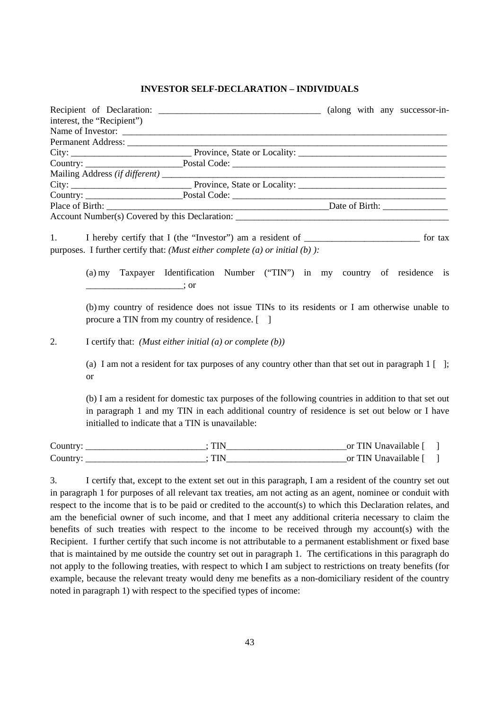### **INVESTOR SELF-DECLARATION – INDIVIDUALS**

| interest, the "Recipient")                                                                                                                     |  |  |  |
|------------------------------------------------------------------------------------------------------------------------------------------------|--|--|--|
|                                                                                                                                                |  |  |  |
|                                                                                                                                                |  |  |  |
|                                                                                                                                                |  |  |  |
|                                                                                                                                                |  |  |  |
|                                                                                                                                                |  |  |  |
|                                                                                                                                                |  |  |  |
|                                                                                                                                                |  |  |  |
|                                                                                                                                                |  |  |  |
|                                                                                                                                                |  |  |  |
|                                                                                                                                                |  |  |  |
| purposes. I further certify that: (Must either complete (a) or initial (b) ):                                                                  |  |  |  |
| (a) my Taxpayer Identification Number ("TIN") in my country of residence is                                                                    |  |  |  |
| (b) my country of residence does not issue TINs to its residents or I am otherwise unable to<br>procure a TIN from my country of residence. [] |  |  |  |
| 2.<br>I certify that: <i>(Must either initial (a) or complete (b))</i>                                                                         |  |  |  |

(a) I am not a resident for tax purposes of any country other than that set out in paragraph  $1 \mid \cdot \cdot \rangle$ ; or

(b) I am a resident for domestic tax purposes of the following countries in addition to that set out in paragraph 1 and my TIN in each additional country of residence is set out below or I have initialled to indicate that a TIN is unavailable:

| $\tilde{\phantom{a}}$<br>Counti | . | or<br>able            |  |
|---------------------------------|---|-----------------------|--|
| ∽<br><b>Counti</b>              | . | <sub>or</sub><br>able |  |

3. I certify that, except to the extent set out in this paragraph, I am a resident of the country set out in paragraph 1 for purposes of all relevant tax treaties, am not acting as an agent, nominee or conduit with respect to the income that is to be paid or credited to the account(s) to which this Declaration relates, and am the beneficial owner of such income, and that I meet any additional criteria necessary to claim the benefits of such treaties with respect to the income to be received through my account(s) with the Recipient. I further certify that such income is not attributable to a permanent establishment or fixed base that is maintained by me outside the country set out in paragraph 1. The certifications in this paragraph do not apply to the following treaties, with respect to which I am subject to restrictions on treaty benefits (for example, because the relevant treaty would deny me benefits as a non-domiciliary resident of the country noted in paragraph 1) with respect to the specified types of income: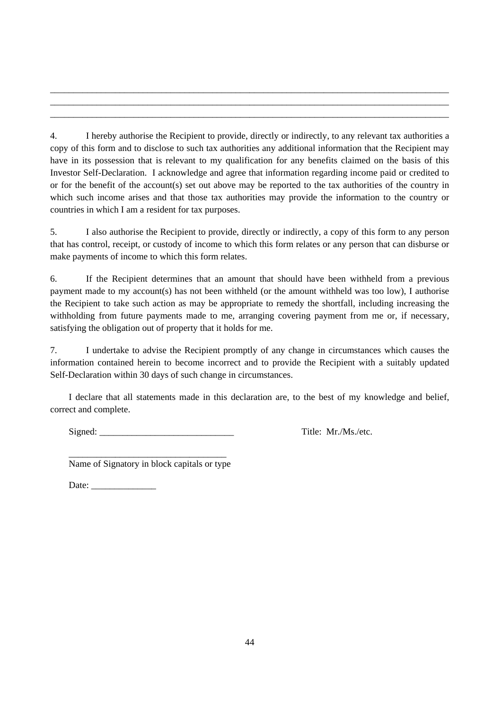4. I hereby authorise the Recipient to provide, directly or indirectly, to any relevant tax authorities a copy of this form and to disclose to such tax authorities any additional information that the Recipient may have in its possession that is relevant to my qualification for any benefits claimed on the basis of this Investor Self-Declaration. I acknowledge and agree that information regarding income paid or credited to or for the benefit of the account(s) set out above may be reported to the tax authorities of the country in which such income arises and that those tax authorities may provide the information to the country or countries in which I am a resident for tax purposes.

\_\_\_\_\_\_\_\_\_\_\_\_\_\_\_\_\_\_\_\_\_\_\_\_\_\_\_\_\_\_\_\_\_\_\_\_\_\_\_\_\_\_\_\_\_\_\_\_\_\_\_\_\_\_\_\_\_\_\_\_\_\_\_\_\_\_\_\_\_\_\_\_\_\_\_\_\_\_\_\_\_\_\_\_\_\_ \_\_\_\_\_\_\_\_\_\_\_\_\_\_\_\_\_\_\_\_\_\_\_\_\_\_\_\_\_\_\_\_\_\_\_\_\_\_\_\_\_\_\_\_\_\_\_\_\_\_\_\_\_\_\_\_\_\_\_\_\_\_\_\_\_\_\_\_\_\_\_\_\_\_\_\_\_\_\_\_\_\_\_\_\_\_ \_\_\_\_\_\_\_\_\_\_\_\_\_\_\_\_\_\_\_\_\_\_\_\_\_\_\_\_\_\_\_\_\_\_\_\_\_\_\_\_\_\_\_\_\_\_\_\_\_\_\_\_\_\_\_\_\_\_\_\_\_\_\_\_\_\_\_\_\_\_\_\_\_\_\_\_\_\_\_\_\_\_\_\_\_\_

5. I also authorise the Recipient to provide, directly or indirectly, a copy of this form to any person that has control, receipt, or custody of income to which this form relates or any person that can disburse or make payments of income to which this form relates.

6. If the Recipient determines that an amount that should have been withheld from a previous payment made to my account(s) has not been withheld (or the amount withheld was too low), I authorise the Recipient to take such action as may be appropriate to remedy the shortfall, including increasing the withholding from future payments made to me, arranging covering payment from me or, if necessary, satisfying the obligation out of property that it holds for me.

7. I undertake to advise the Recipient promptly of any change in circumstances which causes the information contained herein to become incorrect and to provide the Recipient with a suitably updated Self-Declaration within 30 days of such change in circumstances.

I declare that all statements made in this declaration are, to the best of my knowledge and belief, correct and complete.

Signed: Title: Mr./Ms./etc.

\_\_\_\_\_\_\_\_\_\_\_\_\_\_\_\_\_\_\_\_\_\_\_\_\_\_\_\_\_\_\_\_\_\_ Name of Signatory in block capitals or type

Date: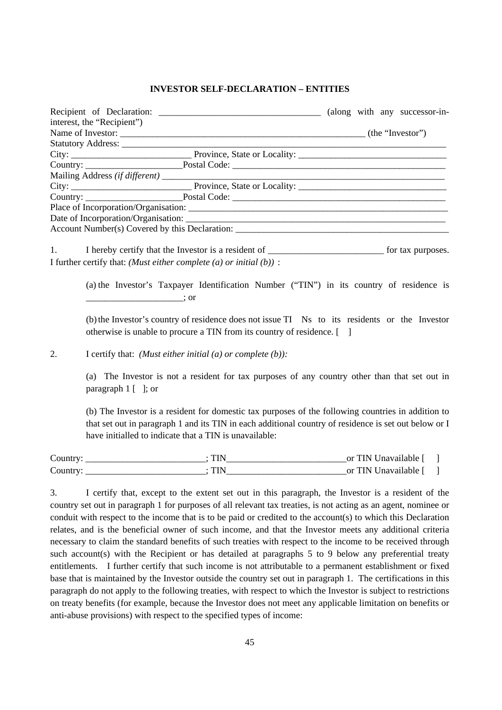#### **INVESTOR SELF-DECLARATION – ENTITIES**

| interest, the "Recipient") |                                                                                   |  |  |
|----------------------------|-----------------------------------------------------------------------------------|--|--|
|                            |                                                                                   |  |  |
|                            |                                                                                   |  |  |
|                            |                                                                                   |  |  |
|                            |                                                                                   |  |  |
|                            |                                                                                   |  |  |
|                            |                                                                                   |  |  |
|                            |                                                                                   |  |  |
|                            | Place of Incorporation/Organisation:                                              |  |  |
|                            | Date of Incorporation/Organisation:                                               |  |  |
|                            | Account Number(s) Covered by this Declaration: __________________________________ |  |  |

1. I hereby certify that the Investor is a resident of  $\blacksquare$  for tax purposes. I further certify that: *(Must either complete (a) or initial (b))* :

(a) the Investor's Taxpayer Identification Number ("TIN") in its country of residence is  $\therefore$  or

(b) the Investor's country of residence does not issue TI Ns to its residents or the Investor otherwise is unable to procure a TIN from its country of residence. [ ]

2. I certify that: *(Must either initial (a) or complete (b)):* 

(a) The Investor is not a resident for tax purposes of any country other than that set out in paragraph 1 [ ]; or

(b) The Investor is a resident for domestic tax purposes of the following countries in addition to that set out in paragraph 1 and its TIN in each additional country of residence is set out below or I have initialled to indicate that a TIN is unavailable:

| $\sqrt{2}$<br>Country: | or TIN Unavailable [ |
|------------------------|----------------------|
| $\sim$<br>Country      | or TIN Unavailable L |

3. I certify that, except to the extent set out in this paragraph, the Investor is a resident of the country set out in paragraph 1 for purposes of all relevant tax treaties, is not acting as an agent, nominee or conduit with respect to the income that is to be paid or credited to the account(s) to which this Declaration relates, and is the beneficial owner of such income, and that the Investor meets any additional criteria necessary to claim the standard benefits of such treaties with respect to the income to be received through such account(s) with the Recipient or has detailed at paragraphs 5 to 9 below any preferential treaty entitlements. I further certify that such income is not attributable to a permanent establishment or fixed base that is maintained by the Investor outside the country set out in paragraph 1. The certifications in this paragraph do not apply to the following treaties, with respect to which the Investor is subject to restrictions on treaty benefits (for example, because the Investor does not meet any applicable limitation on benefits or anti-abuse provisions) with respect to the specified types of income: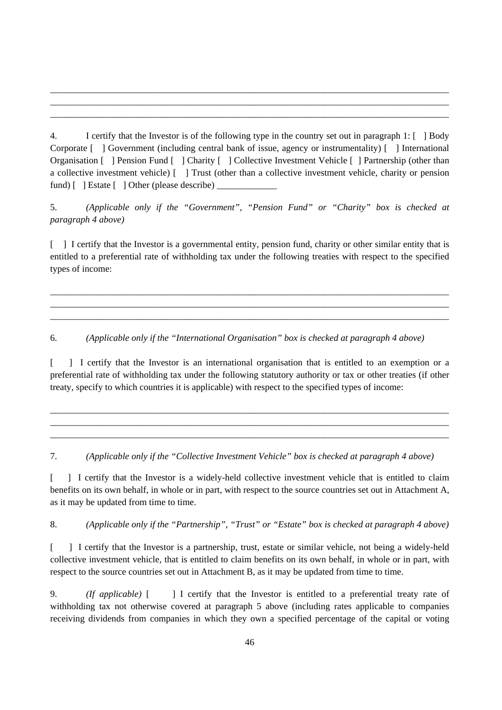4. I certify that the Investor is of the following type in the country set out in paragraph 1: [ ] Body Corporate [ ] Government (including central bank of issue, agency or instrumentality) [ ] International Organisation [ ] Pension Fund [ ] Charity [ ] Collective Investment Vehicle [ ] Partnership (other than a collective investment vehicle) [ ] Trust (other than a collective investment vehicle, charity or pension fund) [ ] Estate [ ] Other (please describe) \_\_\_\_\_\_\_\_\_\_\_\_\_\_\_\_\_\_\_\_\_\_\_\_\_\_\_\_\_\_\_\_\_\_\_

\_\_\_\_\_\_\_\_\_\_\_\_\_\_\_\_\_\_\_\_\_\_\_\_\_\_\_\_\_\_\_\_\_\_\_\_\_\_\_\_\_\_\_\_\_\_\_\_\_\_\_\_\_\_\_\_\_\_\_\_\_\_\_\_\_\_\_\_\_\_\_\_\_\_\_\_\_\_\_\_\_\_\_\_\_\_ \_\_\_\_\_\_\_\_\_\_\_\_\_\_\_\_\_\_\_\_\_\_\_\_\_\_\_\_\_\_\_\_\_\_\_\_\_\_\_\_\_\_\_\_\_\_\_\_\_\_\_\_\_\_\_\_\_\_\_\_\_\_\_\_\_\_\_\_\_\_\_\_\_\_\_\_\_\_\_\_\_\_\_\_\_\_ \_\_\_\_\_\_\_\_\_\_\_\_\_\_\_\_\_\_\_\_\_\_\_\_\_\_\_\_\_\_\_\_\_\_\_\_\_\_\_\_\_\_\_\_\_\_\_\_\_\_\_\_\_\_\_\_\_\_\_\_\_\_\_\_\_\_\_\_\_\_\_\_\_\_\_\_\_\_\_\_\_\_\_\_\_\_

5. *(Applicable only if the "Government", "Pension Fund" or "Charity" box is checked at paragraph 4 above)* 

[ ] I certify that the Investor is a governmental entity, pension fund, charity or other similar entity that is entitled to a preferential rate of withholding tax under the following treaties with respect to the specified types of income:

\_\_\_\_\_\_\_\_\_\_\_\_\_\_\_\_\_\_\_\_\_\_\_\_\_\_\_\_\_\_\_\_\_\_\_\_\_\_\_\_\_\_\_\_\_\_\_\_\_\_\_\_\_\_\_\_\_\_\_\_\_\_\_\_\_\_\_\_\_\_\_\_\_\_\_\_\_\_\_\_\_\_\_\_\_\_ \_\_\_\_\_\_\_\_\_\_\_\_\_\_\_\_\_\_\_\_\_\_\_\_\_\_\_\_\_\_\_\_\_\_\_\_\_\_\_\_\_\_\_\_\_\_\_\_\_\_\_\_\_\_\_\_\_\_\_\_\_\_\_\_\_\_\_\_\_\_\_\_\_\_\_\_\_\_\_\_\_\_\_\_\_\_ \_\_\_\_\_\_\_\_\_\_\_\_\_\_\_\_\_\_\_\_\_\_\_\_\_\_\_\_\_\_\_\_\_\_\_\_\_\_\_\_\_\_\_\_\_\_\_\_\_\_\_\_\_\_\_\_\_\_\_\_\_\_\_\_\_\_\_\_\_\_\_\_\_\_\_\_\_\_\_\_\_\_\_\_\_\_

6. *(Applicable only if the "International Organisation" box is checked at paragraph 4 above)* 

[ ] I certify that the Investor is an international organisation that is entitled to an exemption or a preferential rate of withholding tax under the following statutory authority or tax or other treaties (if other treaty, specify to which countries it is applicable) with respect to the specified types of income:

\_\_\_\_\_\_\_\_\_\_\_\_\_\_\_\_\_\_\_\_\_\_\_\_\_\_\_\_\_\_\_\_\_\_\_\_\_\_\_\_\_\_\_\_\_\_\_\_\_\_\_\_\_\_\_\_\_\_\_\_\_\_\_\_\_\_\_\_\_\_\_\_\_\_\_\_\_\_\_\_\_\_\_\_\_\_ \_\_\_\_\_\_\_\_\_\_\_\_\_\_\_\_\_\_\_\_\_\_\_\_\_\_\_\_\_\_\_\_\_\_\_\_\_\_\_\_\_\_\_\_\_\_\_\_\_\_\_\_\_\_\_\_\_\_\_\_\_\_\_\_\_\_\_\_\_\_\_\_\_\_\_\_\_\_\_\_\_\_\_\_\_\_ \_\_\_\_\_\_\_\_\_\_\_\_\_\_\_\_\_\_\_\_\_\_\_\_\_\_\_\_\_\_\_\_\_\_\_\_\_\_\_\_\_\_\_\_\_\_\_\_\_\_\_\_\_\_\_\_\_\_\_\_\_\_\_\_\_\_\_\_\_\_\_\_\_\_\_\_\_\_\_\_\_\_\_\_\_\_

7. *(Applicable only if the "Collective Investment Vehicle" box is checked at paragraph 4 above)* 

[ ] I certify that the Investor is a widely-held collective investment vehicle that is entitled to claim benefits on its own behalf, in whole or in part, with respect to the source countries set out in Attachment A, as it may be updated from time to time.

8. *(Applicable only if the "Partnership", "Trust" or "Estate" box is checked at paragraph 4 above)* 

[ ] I certify that the Investor is a partnership, trust, estate or similar vehicle, not being a widely-held collective investment vehicle, that is entitled to claim benefits on its own behalf, in whole or in part, with respect to the source countries set out in Attachment B, as it may be updated from time to time.

9. *(If applicable)* [ ] I certify that the Investor is entitled to a preferential treaty rate of withholding tax not otherwise covered at paragraph 5 above (including rates applicable to companies receiving dividends from companies in which they own a specified percentage of the capital or voting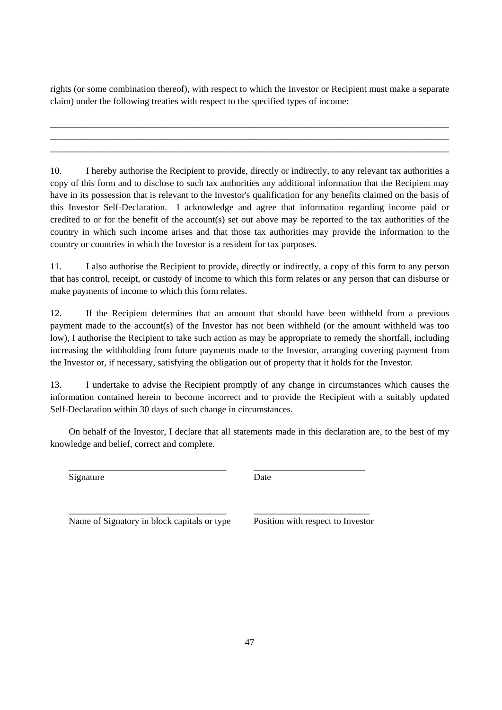rights (or some combination thereof), with respect to which the Investor or Recipient must make a separate claim) under the following treaties with respect to the specified types of income:

\_\_\_\_\_\_\_\_\_\_\_\_\_\_\_\_\_\_\_\_\_\_\_\_\_\_\_\_\_\_\_\_\_\_\_\_\_\_\_\_\_\_\_\_\_\_\_\_\_\_\_\_\_\_\_\_\_\_\_\_\_\_\_\_\_\_\_\_\_\_\_\_\_\_\_\_\_\_\_\_\_\_\_\_\_\_ \_\_\_\_\_\_\_\_\_\_\_\_\_\_\_\_\_\_\_\_\_\_\_\_\_\_\_\_\_\_\_\_\_\_\_\_\_\_\_\_\_\_\_\_\_\_\_\_\_\_\_\_\_\_\_\_\_\_\_\_\_\_\_\_\_\_\_\_\_\_\_\_\_\_\_\_\_\_\_\_\_\_\_\_\_\_ \_\_\_\_\_\_\_\_\_\_\_\_\_\_\_\_\_\_\_\_\_\_\_\_\_\_\_\_\_\_\_\_\_\_\_\_\_\_\_\_\_\_\_\_\_\_\_\_\_\_\_\_\_\_\_\_\_\_\_\_\_\_\_\_\_\_\_\_\_\_\_\_\_\_\_\_\_\_\_\_\_\_\_\_\_\_

10. I hereby authorise the Recipient to provide, directly or indirectly, to any relevant tax authorities a copy of this form and to disclose to such tax authorities any additional information that the Recipient may have in its possession that is relevant to the Investor's qualification for any benefits claimed on the basis of this Investor Self-Declaration. I acknowledge and agree that information regarding income paid or credited to or for the benefit of the account(s) set out above may be reported to the tax authorities of the country in which such income arises and that those tax authorities may provide the information to the country or countries in which the Investor is a resident for tax purposes.

11. I also authorise the Recipient to provide, directly or indirectly, a copy of this form to any person that has control, receipt, or custody of income to which this form relates or any person that can disburse or make payments of income to which this form relates.

12. If the Recipient determines that an amount that should have been withheld from a previous payment made to the account(s) of the Investor has not been withheld (or the amount withheld was too low), I authorise the Recipient to take such action as may be appropriate to remedy the shortfall, including increasing the withholding from future payments made to the Investor, arranging covering payment from the Investor or, if necessary, satisfying the obligation out of property that it holds for the Investor.

13. I undertake to advise the Recipient promptly of any change in circumstances which causes the information contained herein to become incorrect and to provide the Recipient with a suitably updated Self-Declaration within 30 days of such change in circumstances.

On behalf of the Investor, I declare that all statements made in this declaration are, to the best of my knowledge and belief, correct and complete.

\_\_\_\_\_\_\_\_\_\_\_\_\_\_\_\_\_\_\_\_\_\_\_\_\_\_\_\_\_\_\_\_\_\_ \_\_\_\_\_\_\_\_\_\_\_\_\_\_\_\_\_\_\_\_\_\_\_\_

Signature Date

\_\_\_\_\_\_\_\_\_\_\_\_\_\_\_\_\_\_\_\_\_\_\_\_\_\_\_\_\_\_\_\_\_\_ \_\_\_\_\_\_\_\_\_\_\_\_\_\_\_\_\_\_\_\_\_\_\_\_\_ Name of Signatory in block capitals or type Position with respect to Investor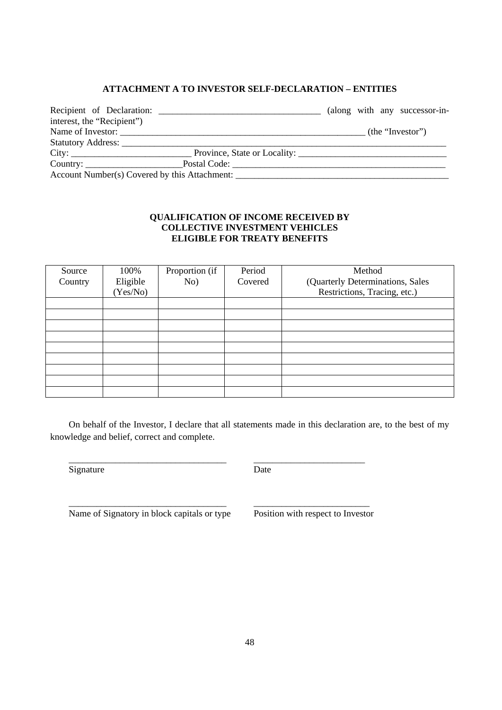## **ATTACHMENT A TO INVESTOR SELF-DECLARATION – ENTITIES**

|                            |                                               |  | (along with any successor-in- |
|----------------------------|-----------------------------------------------|--|-------------------------------|
| interest, the "Recipient") |                                               |  |                               |
|                            |                                               |  | (the "Investor")              |
|                            |                                               |  |                               |
|                            |                                               |  |                               |
|                            |                                               |  |                               |
|                            | Account Number(s) Covered by this Attachment: |  |                               |

## **QUALIFICATION OF INCOME RECEIVED BY COLLECTIVE INVESTMENT VEHICLES ELIGIBLE FOR TREATY BENEFITS**

| Source<br>Country | 100%<br>Eligible<br>(Yes/No) | Proportion (if<br>No) | Period<br>Covered | Method<br>(Quarterly Determinations, Sales<br>Restrictions, Tracing, etc.) |
|-------------------|------------------------------|-----------------------|-------------------|----------------------------------------------------------------------------|
|                   |                              |                       |                   |                                                                            |
|                   |                              |                       |                   |                                                                            |
|                   |                              |                       |                   |                                                                            |
|                   |                              |                       |                   |                                                                            |
|                   |                              |                       |                   |                                                                            |
|                   |                              |                       |                   |                                                                            |
|                   |                              |                       |                   |                                                                            |
|                   |                              |                       |                   |                                                                            |
|                   |                              |                       |                   |                                                                            |

On behalf of the Investor, I declare that all statements made in this declaration are, to the best of my knowledge and belief, correct and complete.

\_\_\_\_\_\_\_\_\_\_\_\_\_\_\_\_\_\_\_\_\_\_\_\_\_\_\_\_\_\_\_\_\_\_ \_\_\_\_\_\_\_\_\_\_\_\_\_\_\_\_\_\_\_\_\_\_\_\_

\_\_\_\_\_\_\_\_\_\_\_\_\_\_\_\_\_\_\_\_\_\_\_\_\_\_\_\_\_\_\_\_\_\_ \_\_\_\_\_\_\_\_\_\_\_\_\_\_\_\_\_\_\_\_\_\_\_\_\_

Signature Date

Name of Signatory in block capitals or type Position with respect to Investor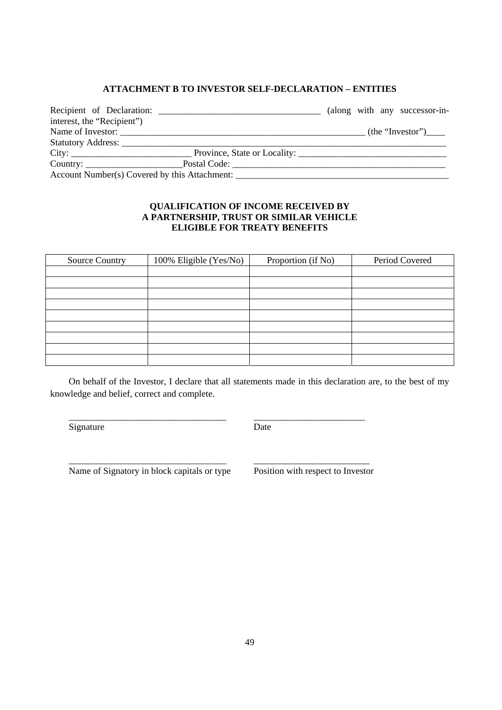# **ATTACHMENT B TO INVESTOR SELF-DECLARATION – ENTITIES**

| Recipient of Declaration:  |                                               |  | (along with any successor-in- |
|----------------------------|-----------------------------------------------|--|-------------------------------|
| interest, the "Recipient") |                                               |  |                               |
|                            |                                               |  | $\equiv$ (the "Investor")     |
| Statutory Address:         |                                               |  |                               |
|                            |                                               |  |                               |
|                            |                                               |  |                               |
|                            | Account Number(s) Covered by this Attachment: |  |                               |

## **QUALIFICATION OF INCOME RECEIVED BY A PARTNERSHIP, TRUST OR SIMILAR VEHICLE ELIGIBLE FOR TREATY BENEFITS**

| <b>Source Country</b> | 100% Eligible (Yes/No) | Proportion (if No) | Period Covered |
|-----------------------|------------------------|--------------------|----------------|
|                       |                        |                    |                |
|                       |                        |                    |                |
|                       |                        |                    |                |
|                       |                        |                    |                |
|                       |                        |                    |                |
|                       |                        |                    |                |
|                       |                        |                    |                |
|                       |                        |                    |                |
|                       |                        |                    |                |

On behalf of the Investor, I declare that all statements made in this declaration are, to the best of my knowledge and belief, correct and complete.

\_\_\_\_\_\_\_\_\_\_\_\_\_\_\_\_\_\_\_\_\_\_\_\_\_\_\_\_\_\_\_\_\_\_ \_\_\_\_\_\_\_\_\_\_\_\_\_\_\_\_\_\_\_\_\_\_\_\_

\_\_\_\_\_\_\_\_\_\_\_\_\_\_\_\_\_\_\_\_\_\_\_\_\_\_\_\_\_\_\_\_\_\_ \_\_\_\_\_\_\_\_\_\_\_\_\_\_\_\_\_\_\_\_\_\_\_\_\_

Signature Date

Name of Signatory in block capitals or type Position with respect to Investor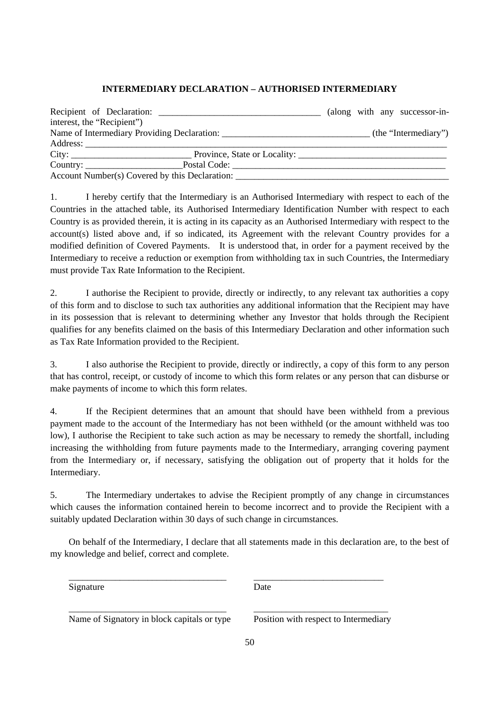## **INTERMEDIARY DECLARATION – AUTHORISED INTERMEDIARY**

|                                                                  |  |  | (along with any successor-in- |
|------------------------------------------------------------------|--|--|-------------------------------|
| interest, the "Recipient")                                       |  |  |                               |
| Name of Intermediary Providing Declaration: (the "Intermediary") |  |  |                               |
|                                                                  |  |  |                               |
|                                                                  |  |  |                               |
|                                                                  |  |  |                               |
|                                                                  |  |  |                               |

1. I hereby certify that the Intermediary is an Authorised Intermediary with respect to each of the Countries in the attached table, its Authorised Intermediary Identification Number with respect to each Country is as provided therein, it is acting in its capacity as an Authorised Intermediary with respect to the account(s) listed above and, if so indicated, its Agreement with the relevant Country provides for a modified definition of Covered Payments. It is understood that, in order for a payment received by the Intermediary to receive a reduction or exemption from withholding tax in such Countries, the Intermediary must provide Tax Rate Information to the Recipient.

2. I authorise the Recipient to provide, directly or indirectly, to any relevant tax authorities a copy of this form and to disclose to such tax authorities any additional information that the Recipient may have in its possession that is relevant to determining whether any Investor that holds through the Recipient qualifies for any benefits claimed on the basis of this Intermediary Declaration and other information such as Tax Rate Information provided to the Recipient.

3. I also authorise the Recipient to provide, directly or indirectly, a copy of this form to any person that has control, receipt, or custody of income to which this form relates or any person that can disburse or make payments of income to which this form relates.

4. If the Recipient determines that an amount that should have been withheld from a previous payment made to the account of the Intermediary has not been withheld (or the amount withheld was too low), I authorise the Recipient to take such action as may be necessary to remedy the shortfall, including increasing the withholding from future payments made to the Intermediary, arranging covering payment from the Intermediary or, if necessary, satisfying the obligation out of property that it holds for the Intermediary.

5. The Intermediary undertakes to advise the Recipient promptly of any change in circumstances which causes the information contained herein to become incorrect and to provide the Recipient with a suitably updated Declaration within 30 days of such change in circumstances.

On behalf of the Intermediary, I declare that all statements made in this declaration are, to the best of my knowledge and belief, correct and complete.

\_\_\_\_\_\_\_\_\_\_\_\_\_\_\_\_\_\_\_\_\_\_\_\_\_\_\_\_\_\_\_\_\_\_ \_\_\_\_\_\_\_\_\_\_\_\_\_\_\_\_\_\_\_\_\_\_\_\_\_\_\_\_

\_\_\_\_\_\_\_\_\_\_\_\_\_\_\_\_\_\_\_\_\_\_\_\_\_\_\_\_\_\_\_\_\_\_ \_\_\_\_\_\_\_\_\_\_\_\_\_\_\_\_\_\_\_\_\_\_\_\_\_\_\_\_\_

Signature Date

Name of Signatory in block capitals or type Position with respect to Intermediary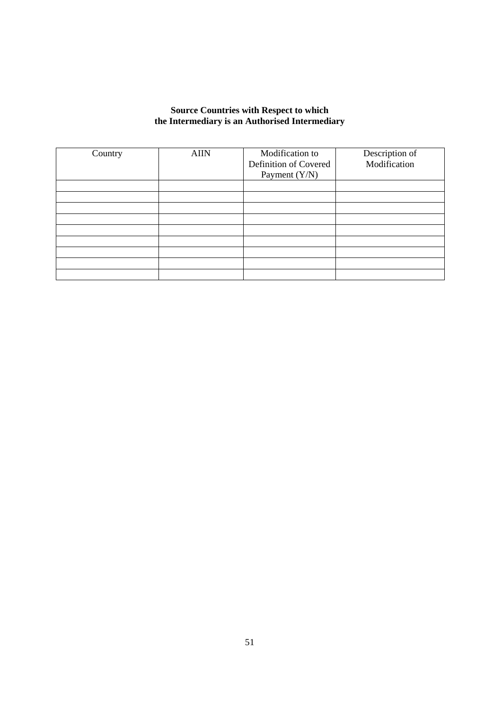## **Source Countries with Respect to which the Intermediary is an Authorised Intermediary**

| Country | <b>AIIN</b> | Modification to<br>Definition of Covered<br>Payment (Y/N) | Description of<br>Modification |
|---------|-------------|-----------------------------------------------------------|--------------------------------|
|         |             |                                                           |                                |
|         |             |                                                           |                                |
|         |             |                                                           |                                |
|         |             |                                                           |                                |
|         |             |                                                           |                                |
|         |             |                                                           |                                |
|         |             |                                                           |                                |
|         |             |                                                           |                                |
|         |             |                                                           |                                |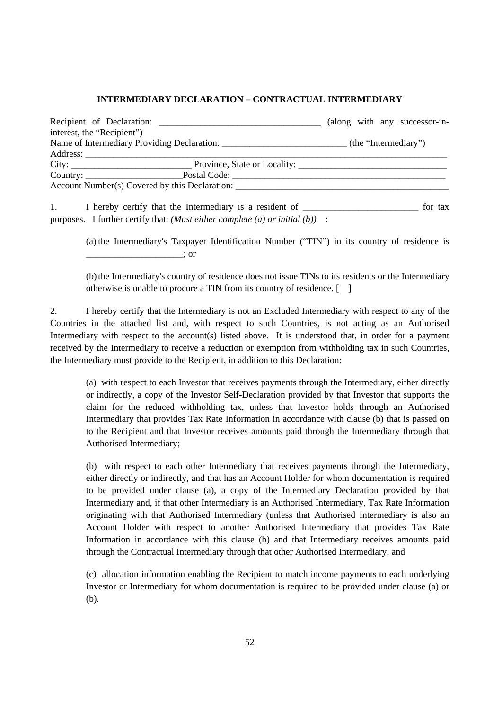### **INTERMEDIARY DECLARATION – CONTRACTUAL INTERMEDIARY**

| Recipient of Declaration:                                                                     |  |  | (along with any successor-in- |
|-----------------------------------------------------------------------------------------------|--|--|-------------------------------|
| interest, the "Recipient")                                                                    |  |  |                               |
| Name of Intermediary Providing Declaration: _____________________________(the "Intermediary") |  |  |                               |
|                                                                                               |  |  |                               |
|                                                                                               |  |  |                               |
| Country: Postal Code:                                                                         |  |  |                               |
| Account Number(s) Covered by this Declaration:                                                |  |  |                               |

1. I hereby certify that the Intermediary is a resident of \_\_\_\_\_\_\_\_\_\_\_\_\_\_\_\_\_\_\_\_\_\_ for tax purposes. I further certify that: *(Must either complete (a) or initial (b))* :

(a) the Intermediary's Taxpayer Identification Number ("TIN") in its country of residence is  $\vdots$  or

(b) the Intermediary's country of residence does not issue TINs to its residents or the Intermediary otherwise is unable to procure a TIN from its country of residence. [ ]

2. I hereby certify that the Intermediary is not an Excluded Intermediary with respect to any of the Countries in the attached list and, with respect to such Countries, is not acting as an Authorised Intermediary with respect to the account(s) listed above. It is understood that, in order for a payment received by the Intermediary to receive a reduction or exemption from withholding tax in such Countries, the Intermediary must provide to the Recipient, in addition to this Declaration:

(a) with respect to each Investor that receives payments through the Intermediary, either directly or indirectly, a copy of the Investor Self-Declaration provided by that Investor that supports the claim for the reduced withholding tax, unless that Investor holds through an Authorised Intermediary that provides Tax Rate Information in accordance with clause (b) that is passed on to the Recipient and that Investor receives amounts paid through the Intermediary through that Authorised Intermediary;

(b) with respect to each other Intermediary that receives payments through the Intermediary, either directly or indirectly, and that has an Account Holder for whom documentation is required to be provided under clause (a), a copy of the Intermediary Declaration provided by that Intermediary and, if that other Intermediary is an Authorised Intermediary, Tax Rate Information originating with that Authorised Intermediary (unless that Authorised Intermediary is also an Account Holder with respect to another Authorised Intermediary that provides Tax Rate Information in accordance with this clause (b) and that Intermediary receives amounts paid through the Contractual Intermediary through that other Authorised Intermediary; and

(c) allocation information enabling the Recipient to match income payments to each underlying Investor or Intermediary for whom documentation is required to be provided under clause (a) or (b).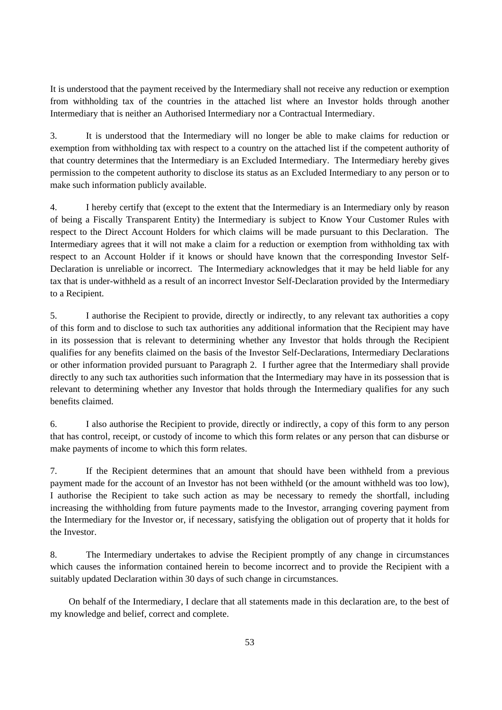It is understood that the payment received by the Intermediary shall not receive any reduction or exemption from withholding tax of the countries in the attached list where an Investor holds through another Intermediary that is neither an Authorised Intermediary nor a Contractual Intermediary.

3. It is understood that the Intermediary will no longer be able to make claims for reduction or exemption from withholding tax with respect to a country on the attached list if the competent authority of that country determines that the Intermediary is an Excluded Intermediary. The Intermediary hereby gives permission to the competent authority to disclose its status as an Excluded Intermediary to any person or to make such information publicly available.

4. I hereby certify that (except to the extent that the Intermediary is an Intermediary only by reason of being a Fiscally Transparent Entity) the Intermediary is subject to Know Your Customer Rules with respect to the Direct Account Holders for which claims will be made pursuant to this Declaration. The Intermediary agrees that it will not make a claim for a reduction or exemption from withholding tax with respect to an Account Holder if it knows or should have known that the corresponding Investor Self-Declaration is unreliable or incorrect. The Intermediary acknowledges that it may be held liable for any tax that is under-withheld as a result of an incorrect Investor Self-Declaration provided by the Intermediary to a Recipient.

5. I authorise the Recipient to provide, directly or indirectly, to any relevant tax authorities a copy of this form and to disclose to such tax authorities any additional information that the Recipient may have in its possession that is relevant to determining whether any Investor that holds through the Recipient qualifies for any benefits claimed on the basis of the Investor Self-Declarations, Intermediary Declarations or other information provided pursuant to Paragraph 2. I further agree that the Intermediary shall provide directly to any such tax authorities such information that the Intermediary may have in its possession that is relevant to determining whether any Investor that holds through the Intermediary qualifies for any such benefits claimed.

6. I also authorise the Recipient to provide, directly or indirectly, a copy of this form to any person that has control, receipt, or custody of income to which this form relates or any person that can disburse or make payments of income to which this form relates.

7. If the Recipient determines that an amount that should have been withheld from a previous payment made for the account of an Investor has not been withheld (or the amount withheld was too low), I authorise the Recipient to take such action as may be necessary to remedy the shortfall, including increasing the withholding from future payments made to the Investor, arranging covering payment from the Intermediary for the Investor or, if necessary, satisfying the obligation out of property that it holds for the Investor.

8. The Intermediary undertakes to advise the Recipient promptly of any change in circumstances which causes the information contained herein to become incorrect and to provide the Recipient with a suitably updated Declaration within 30 days of such change in circumstances.

On behalf of the Intermediary, I declare that all statements made in this declaration are, to the best of my knowledge and belief, correct and complete.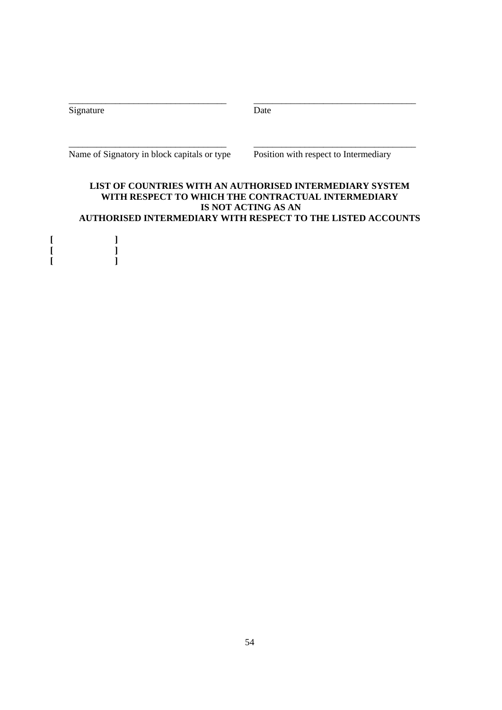| Signature                                   | Date                                                     |
|---------------------------------------------|----------------------------------------------------------|
| Name of Signatory in block capitals or type | Position with respect to Intermediary                    |
|                                             | LIST OF COUNTRIES WITH AN AUTHORISED INTERMEDIARY SYSTEM |

\_\_\_\_\_\_\_\_\_\_\_\_\_\_\_\_\_\_\_\_\_\_\_\_\_\_\_\_\_\_\_\_\_\_ \_\_\_\_\_\_\_\_\_\_\_\_\_\_\_\_\_\_\_\_\_\_\_\_\_\_\_\_\_\_\_\_\_\_\_

#### **LIST OF COUNTRIES WITH AN AUTHORISED INTERMEDIARY SYSTEM WITH RESPECT TO WHICH THE CONTRACTUAL INTERMEDIARY IS NOT ACTING AS AN AUTHORISED INTERMEDIARY WITH RESPECT TO THE LISTED ACCOUNTS**

| ]<br>]<br>] |  | ]<br>]<br>] |
|-------------|--|-------------|
|             |  |             |
|             |  |             |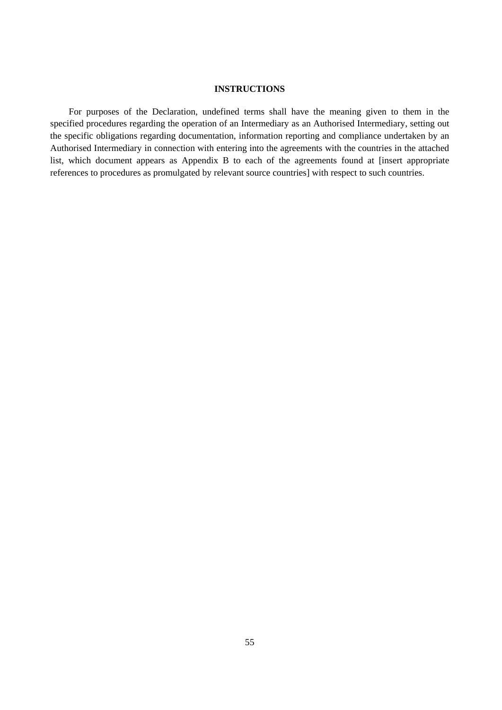## **INSTRUCTIONS**

For purposes of the Declaration, undefined terms shall have the meaning given to them in the specified procedures regarding the operation of an Intermediary as an Authorised Intermediary, setting out the specific obligations regarding documentation, information reporting and compliance undertaken by an Authorised Intermediary in connection with entering into the agreements with the countries in the attached list, which document appears as Appendix B to each of the agreements found at [insert appropriate references to procedures as promulgated by relevant source countries] with respect to such countries.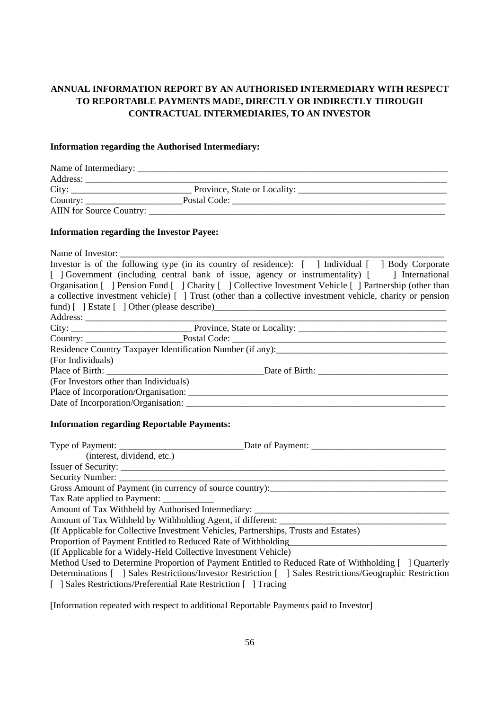# **ANNUAL INFORMATION REPORT BY AN AUTHORISED INTERMEDIARY WITH RESPECT TO REPORTABLE PAYMENTS MADE, DIRECTLY OR INDIRECTLY THROUGH CONTRACTUAL INTERMEDIARIES, TO AN INVESTOR**

#### **Information regarding the Authorised Intermediary:**

| City: |              |
|-------|--------------|
|       | Postal Code: |
|       |              |

#### **Information regarding the Investor Payee:**

| Investor is of the following type (in its country of residence): [ ] Individual [ ] Body Corporate        |  |
|-----------------------------------------------------------------------------------------------------------|--|
| [ ] Government (including central bank of issue, agency or instrumentality) [ ] International             |  |
| Organisation [ ] Pension Fund [ ] Charity [ ] Collective Investment Vehicle [ ] Partnership (other than   |  |
| a collective investment vehicle) [] Trust (other than a collective investment vehicle, charity or pension |  |
|                                                                                                           |  |
|                                                                                                           |  |
|                                                                                                           |  |
|                                                                                                           |  |
| Residence Country Taxpayer Identification Number (if any): ______________________                         |  |
| (For Individuals)                                                                                         |  |
| Place of Birth: <u>Date of Birth:</u>                                                                     |  |
| (For Investors other than Individuals)                                                                    |  |
|                                                                                                           |  |
| Date of Incorporation/Organisation: _________                                                             |  |

#### **Information regarding Reportable Payments:**

| (interest, dividend, etc.) |                                                                                                      |
|----------------------------|------------------------------------------------------------------------------------------------------|
| Issuer of Security:        |                                                                                                      |
| Security Number:           |                                                                                                      |
|                            | Gross Amount of Payment (in currency of source country):_________________________                    |
|                            |                                                                                                      |
|                            | Amount of Tax Withheld by Authorised Intermediary: ______________________________                    |
|                            | Amount of Tax Withheld by Withholding Agent, if different: _____________                             |
|                            | (If Applicable for Collective Investment Vehicles, Partnerships, Trusts and Estates)                 |
|                            | Proportion of Payment Entitled to Reduced Rate of Withholding                                        |
|                            | (If Applicable for a Widely-Held Collective Investment Vehicle)                                      |
|                            | Method Used to Determine Proportion of Payment Entitled to Reduced Rate of Withholding [ ] Quarterly |

Determinations [ ] Sales Restrictions/Investor Restriction [ ] Sales Restrictions/Geographic Restriction [ ] Sales Restrictions/Preferential Rate Restriction [ ] Tracing

[Information repeated with respect to additional Reportable Payments paid to Investor]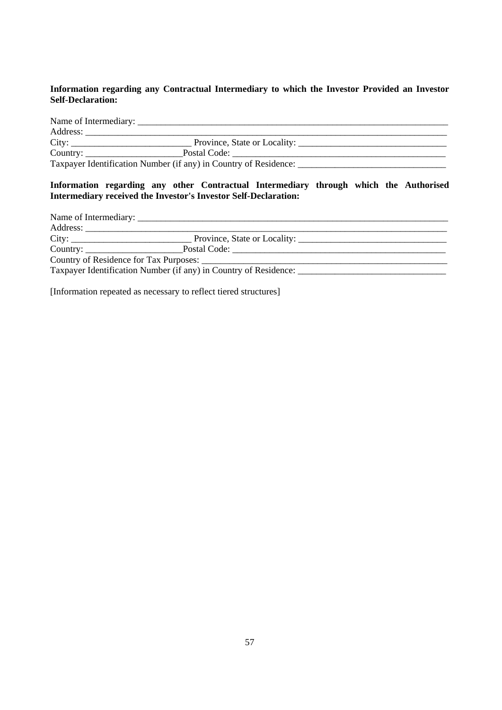# **Information regarding any Contractual Intermediary to which the Investor Provided an Investor Self-Declaration:**

| Address: |                                                                  |  |
|----------|------------------------------------------------------------------|--|
| City:    |                                                                  |  |
|          | Country: Postal Code: Postal Code:                               |  |
|          | Taxpayer Identification Number (if any) in Country of Residence: |  |

#### **Information regarding any other Contractual Intermediary through which the Authorised Intermediary received the Investor's Investor Self-Declaration:**

| Country of Residence for Tax Purposes:                           |
|------------------------------------------------------------------|
| Taxpayer Identification Number (if any) in Country of Residence: |

[Information repeated as necessary to reflect tiered structures]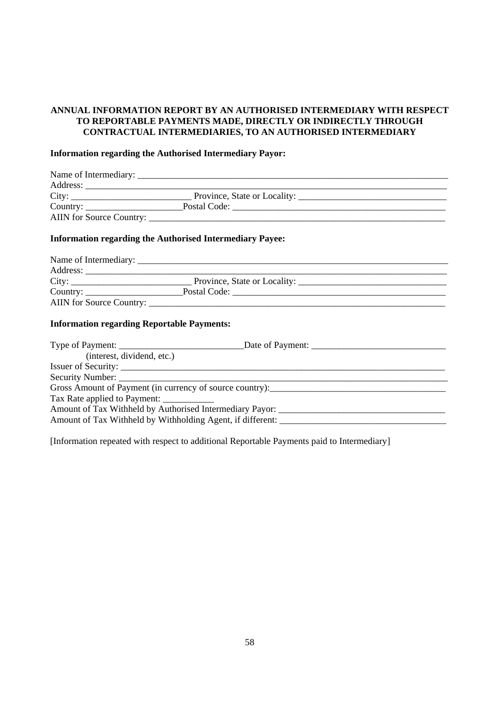## **ANNUAL INFORMATION REPORT BY AN AUTHORISED INTERMEDIARY WITH RESPECT TO REPORTABLE PAYMENTS MADE, DIRECTLY OR INDIRECTLY THROUGH CONTRACTUAL INTERMEDIARIES, TO AN AUTHORISED INTERMEDIARY**

### **Information regarding the Authorised Intermediary Payor:**

| Address:                 |                              |  |
|--------------------------|------------------------------|--|
| City:                    | Province, State or Locality: |  |
|                          | Postal Code:                 |  |
| AIIN for Source Country: |                              |  |

## **Information regarding the Authorised Intermediary Payee:**

#### **Information regarding Reportable Payments:**

| (interest, dividend, etc.)                                                        |
|-----------------------------------------------------------------------------------|
|                                                                                   |
|                                                                                   |
| Gross Amount of Payment (in currency of source country): ________________________ |
| Tax Rate applied to Payment:                                                      |
|                                                                                   |
| Amount of Tax Withheld by Withholding Agent, if different:                        |
|                                                                                   |

[Information repeated with respect to additional Reportable Payments paid to Intermediary]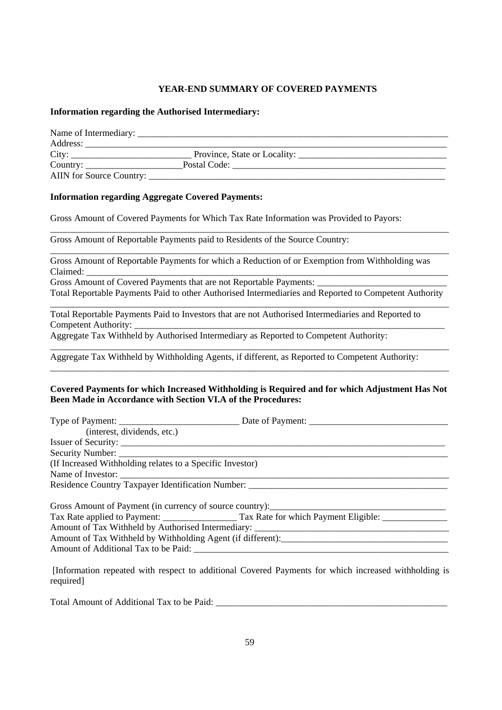## **YEAR-END SUMMARY OF COVERED PAYMENTS**

#### **Information regarding the Authorised Intermediary:**

| Address:<br><u> 1989 - John Stone, Amerikaansk politiker († 1908)</u> |  |
|-----------------------------------------------------------------------|--|
| City:                                                                 |  |
|                                                                       |  |
|                                                                       |  |

#### **Information regarding Aggregate Covered Payments:**

Gross Amount of Covered Payments for Which Tax Rate Information was Provided to Payors:

Gross Amount of Reportable Payments paid to Residents of the Source Country:

Gross Amount of Reportable Payments for which a Reduction of or Exemption from Withholding was Claimed: \_\_\_\_\_\_\_\_\_\_\_\_\_\_\_\_\_\_\_\_\_\_\_\_\_\_\_\_\_\_\_\_\_\_\_\_\_\_\_\_\_\_\_\_\_\_\_\_\_\_\_\_\_\_\_\_\_\_\_\_\_\_\_\_\_\_\_\_\_\_\_\_\_\_\_\_\_\_

Gross Amount of Covered Payments that are not Reportable Payments:

Total Reportable Payments Paid to other Authorised Intermediaries and Reported to Competent Authority \_\_\_\_\_\_\_\_\_\_\_\_\_\_\_\_\_\_\_\_\_\_\_\_\_\_\_\_\_\_\_\_\_\_\_\_\_\_\_\_\_\_\_\_\_\_\_\_\_\_\_\_\_\_\_\_\_\_\_\_\_\_\_\_\_\_\_\_\_\_\_\_\_\_\_\_\_\_\_\_\_\_\_\_\_\_

\_\_\_\_\_\_\_\_\_\_\_\_\_\_\_\_\_\_\_\_\_\_\_\_\_\_\_\_\_\_\_\_\_\_\_\_\_\_\_\_\_\_\_\_\_\_\_\_\_\_\_\_\_\_\_\_\_\_\_\_\_\_\_\_\_\_\_\_\_\_\_\_\_\_\_\_\_\_\_\_\_\_\_\_\_\_

\_\_\_\_\_\_\_\_\_\_\_\_\_\_\_\_\_\_\_\_\_\_\_\_\_\_\_\_\_\_\_\_\_\_\_\_\_\_\_\_\_\_\_\_\_\_\_\_\_\_\_\_\_\_\_\_\_\_\_\_\_\_\_\_\_\_\_\_\_\_\_\_\_\_\_\_\_\_\_\_\_\_\_\_\_\_

Total Reportable Payments Paid to Investors that are not Authorised Intermediaries and Reported to Competent Authority:

Aggregate Tax Withheld by Authorised Intermediary as Reported to Competent Authority:

Aggregate Tax Withheld by Withholding Agents, if different, as Reported to Competent Authority:

### **Covered Payments for which Increased Withholding is Required and for which Adjustment Has Not Been Made in Accordance with Section VI.A of the Procedures:**

\_\_\_\_\_\_\_\_\_\_\_\_\_\_\_\_\_\_\_\_\_\_\_\_\_\_\_\_\_\_\_\_\_\_\_\_\_\_\_\_\_\_\_\_\_\_\_\_\_\_\_\_\_\_\_\_\_\_\_\_\_\_\_\_\_\_\_\_\_\_\_\_\_\_\_\_\_\_\_\_\_\_\_\_\_\_

\_\_\_\_\_\_\_\_\_\_\_\_\_\_\_\_\_\_\_\_\_\_\_\_\_\_\_\_\_\_\_\_\_\_\_\_\_\_\_\_\_\_\_\_\_\_\_\_\_\_\_\_\_\_\_\_\_\_\_\_\_\_\_\_\_\_\_\_\_\_\_\_\_\_\_\_\_\_\_\_\_\_\_\_\_\_

| (interest, dividends, etc.)                               |                                                                                                                |  |
|-----------------------------------------------------------|----------------------------------------------------------------------------------------------------------------|--|
|                                                           |                                                                                                                |  |
|                                                           |                                                                                                                |  |
| (If Increased Withholding relates to a Specific Investor) |                                                                                                                |  |
|                                                           |                                                                                                                |  |
| Residence Country Taxpayer Identification Number:         |                                                                                                                |  |
|                                                           |                                                                                                                |  |
|                                                           |                                                                                                                |  |
|                                                           | Tax Rate applied to Payment: ______________________Tax Rate for which Payment Eligible: ______________________ |  |
|                                                           |                                                                                                                |  |
|                                                           |                                                                                                                |  |
|                                                           |                                                                                                                |  |

 [Information repeated with respect to additional Covered Payments for which increased withholding is required]

Total Amount of Additional Tax to be Paid: \_\_\_\_\_\_\_\_\_\_\_\_\_\_\_\_\_\_\_\_\_\_\_\_\_\_\_\_\_\_\_\_\_\_\_\_\_\_\_\_\_\_\_\_\_\_\_\_\_\_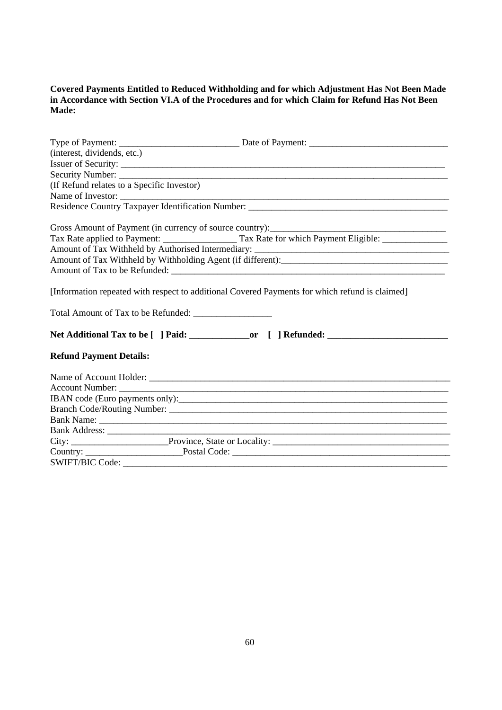## **Covered Payments Entitled to Reduced Withholding and for which Adjustment Has Not Been Made in Accordance with Section VI.A of the Procedures and for which Claim for Refund Has Not Been Made:**

| (interest, dividends, etc.)                |                                                                                                      |
|--------------------------------------------|------------------------------------------------------------------------------------------------------|
|                                            |                                                                                                      |
|                                            |                                                                                                      |
| (If Refund relates to a Specific Investor) |                                                                                                      |
|                                            |                                                                                                      |
|                                            |                                                                                                      |
|                                            |                                                                                                      |
|                                            |                                                                                                      |
|                                            |                                                                                                      |
|                                            |                                                                                                      |
|                                            |                                                                                                      |
|                                            | [Information repeated with respect to additional Covered Payments for which refund is claimed]       |
|                                            |                                                                                                      |
|                                            | Net Additional Tax to be [ ] Paid: _________________or [ ] Refunded: _______________________________ |
| <b>Refund Payment Details:</b>             |                                                                                                      |
|                                            |                                                                                                      |
|                                            |                                                                                                      |
|                                            |                                                                                                      |
|                                            |                                                                                                      |
|                                            |                                                                                                      |
|                                            |                                                                                                      |
|                                            |                                                                                                      |
|                                            |                                                                                                      |
| <b>SWIFT/BIC Code:</b>                     |                                                                                                      |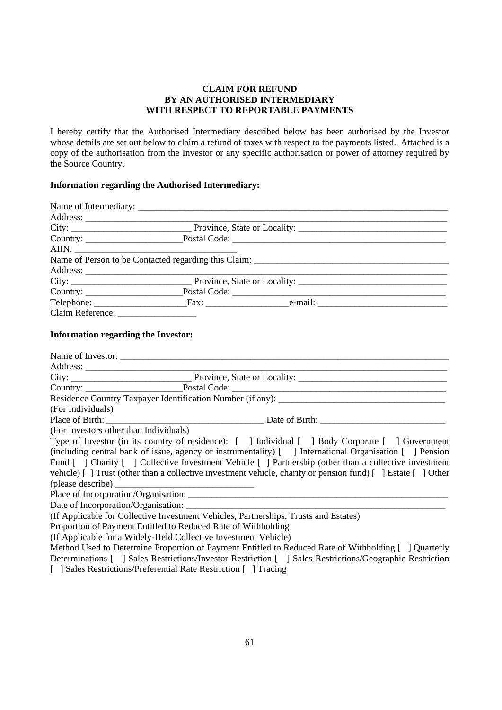## **CLAIM FOR REFUND BY AN AUTHORISED INTERMEDIARY WITH RESPECT TO REPORTABLE PAYMENTS**

I hereby certify that the Authorised Intermediary described below has been authorised by the Investor whose details are set out below to claim a refund of taxes with respect to the payments listed. Attached is a copy of the authorisation from the Investor or any specific authorisation or power of attorney required by the Source Country.

#### **Information regarding the Authorised Intermediary:**

#### **Information regarding the Investor:**

|                                        | Residence Country Taxpayer Identification Number (if any): ______________________                          |
|----------------------------------------|------------------------------------------------------------------------------------------------------------|
| (For Individuals)                      |                                                                                                            |
|                                        |                                                                                                            |
| (For Investors other than Individuals) |                                                                                                            |
|                                        | Type of Investor (in its country of residence): [ ] Individual [ ] Body Corporate [ ] Government           |
|                                        | (including central bank of issue, agency or instrumentality) [ ] International Organisation [ ] Pension    |
|                                        | Fund [ ] Charity [ ] Collective Investment Vehicle [ ] Partnership (other than a collective investment     |
|                                        | vehicle) [] Trust (other than a collective investment vehicle, charity or pension fund) [] Estate [] Other |
|                                        |                                                                                                            |
|                                        |                                                                                                            |
|                                        |                                                                                                            |
|                                        | (If Applicable for Collective Investment Vehicles, Partnerships, Trusts and Estates)                       |
|                                        | Proportion of Payment Entitled to Reduced Rate of Withholding                                              |
|                                        | (If Applicable for a Widely-Held Collective Investment Vehicle)                                            |

Method Used to Determine Proportion of Payment Entitled to Reduced Rate of Withholding [ ] Quarterly Determinations [ ] Sales Restrictions/Investor Restriction [ ] Sales Restrictions/Geographic Restriction [ ] Sales Restrictions/Preferential Rate Restriction [ ] Tracing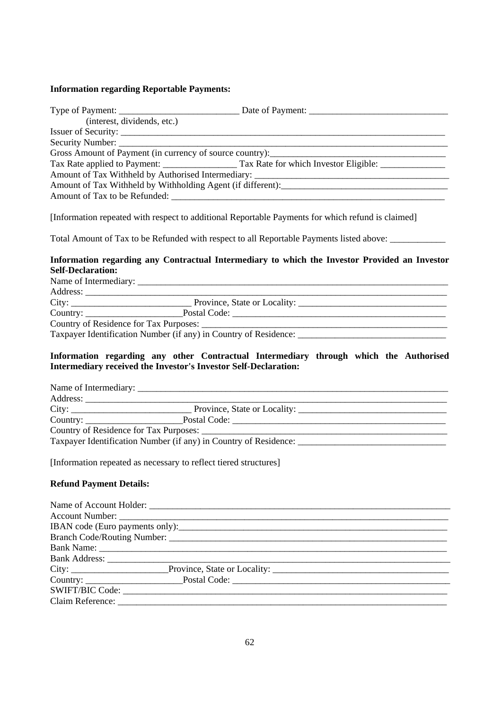#### **Information regarding Reportable Payments:**

| (interest, dividends, etc.)                              |                                                                    |  |
|----------------------------------------------------------|--------------------------------------------------------------------|--|
|                                                          |                                                                    |  |
| Security Number:                                         |                                                                    |  |
| Gross Amount of Payment (in currency of source country): |                                                                    |  |
|                                                          | Tax Rate applied to Payment: Tax Rate for which Investor Eligible: |  |
|                                                          |                                                                    |  |
|                                                          |                                                                    |  |
| Amount of Tax to be Refunded:                            |                                                                    |  |

[Information repeated with respect to additional Reportable Payments for which refund is claimed]

Total Amount of Tax to be Refunded with respect to all Reportable Payments listed above: \_\_\_\_\_\_\_\_\_\_\_\_

## **Information regarding any Contractual Intermediary to which the Investor Provided an Investor Self-Declaration:**

| City: |                                                                                                      |  |
|-------|------------------------------------------------------------------------------------------------------|--|
|       |                                                                                                      |  |
|       |                                                                                                      |  |
|       | Taxpayer Identification Number (if any) in Country of Residence: ___________________________________ |  |

# **Information regarding any other Contractual Intermediary through which the Authorised Intermediary received the Investor's Investor Self-Declaration:**

| City:                                                                             |  |
|-----------------------------------------------------------------------------------|--|
|                                                                                   |  |
|                                                                                   |  |
| Taxpayer Identification Number (if any) in Country of Residence: ________________ |  |

[Information repeated as necessary to reflect tiered structures]

## **Refund Payment Details:**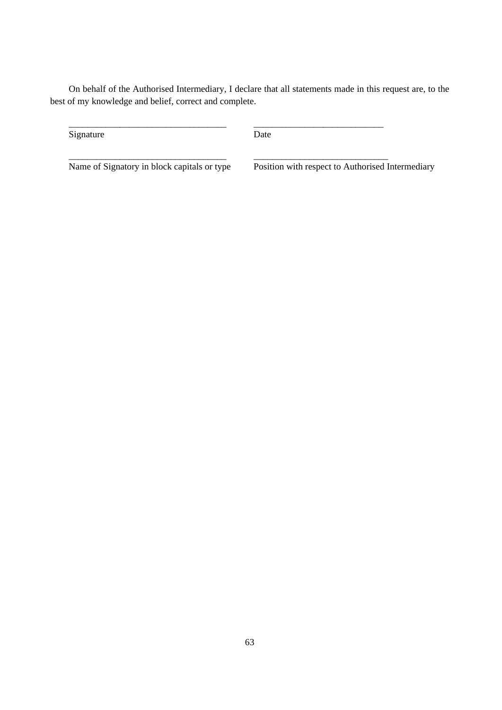On behalf of the Authorised Intermediary, I declare that all statements made in this request are, to the best of my knowledge and belief, correct and complete.

| Signature                                   | Date                                             |
|---------------------------------------------|--------------------------------------------------|
| Name of Signatory in block capitals or type | Position with respect to Authorised Intermediary |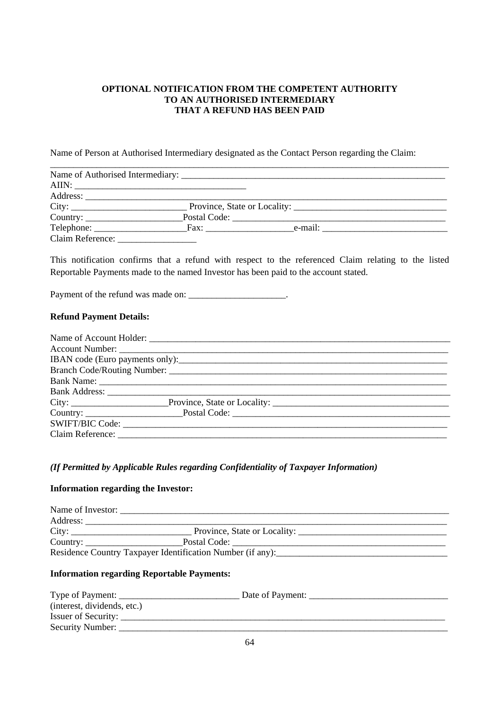## **OPTIONAL NOTIFICATION FROM THE COMPETENT AUTHORITY TO AN AUTHORISED INTERMEDIARY THAT A REFUND HAS BEEN PAID**

Name of Person at Authorised Intermediary designated as the Contact Person regarding the Claim:

| City: |                                      |  |
|-------|--------------------------------------|--|
|       | Country: Postal Code: Postal Code:   |  |
|       | Telephone: Fax: Fax: e-mail: e-mail: |  |
|       |                                      |  |

This notification confirms that a refund with respect to the referenced Claim relating to the listed Reportable Payments made to the named Investor has been paid to the account stated.

Payment of the refund was made on: \_\_\_\_\_\_\_\_\_\_\_\_\_\_\_\_\_\_\_\_\_\_.

#### **Refund Payment Details:**

|  |  | Country: Postal Code: Postal Code: |
|--|--|------------------------------------|
|  |  |                                    |
|  |  |                                    |

## *(If Permitted by Applicable Rules regarding Confidentiality of Taxpayer Information)*

## **Information regarding the Investor:**

|          | Name of Investor:                                          |                                                                                                                                                                                                                                |
|----------|------------------------------------------------------------|--------------------------------------------------------------------------------------------------------------------------------------------------------------------------------------------------------------------------------|
| Address: |                                                            |                                                                                                                                                                                                                                |
| City:    |                                                            | Province, State or Locality:                                                                                                                                                                                                   |
|          |                                                            | Postal Code: The contract of the contract of the contract of the contract of the contract of the contract of the contract of the contract of the contract of the contract of the contract of the contract of the contract of t |
|          | Residence Country Taxpayer Identification Number (if any): |                                                                                                                                                                                                                                |

#### **Information regarding Reportable Payments:**

| Type of Payment:            | Date of Payment: |
|-----------------------------|------------------|
| (interest, dividends, etc.) |                  |
| Issuer of Security:         |                  |
| Security Number:            |                  |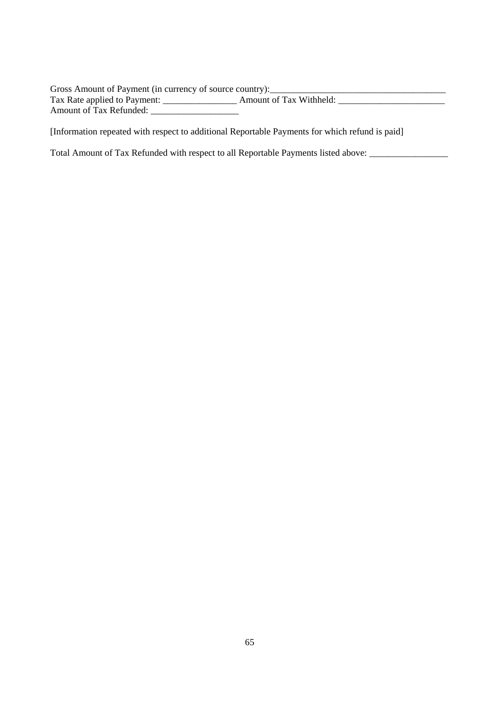Gross Amount of Payment (in currency of source country):\_\_\_\_\_\_\_\_\_\_\_\_\_\_\_\_\_\_\_\_\_\_\_\_\_\_\_\_\_\_\_\_\_\_\_\_\_\_ Tax Rate applied to Payment: \_\_\_\_\_\_\_\_\_\_\_\_\_\_\_\_\_\_\_\_\_\_ Amount of Tax Withheld: \_\_\_\_\_\_\_\_\_\_\_\_\_\_\_\_\_\_\_\_\_\_\_\_\_\_\_\_\_\_\_\_\_\_ Amount of Tax Refunded: \_\_\_\_\_\_\_\_\_\_\_\_\_\_\_\_\_\_\_

[Information repeated with respect to additional Reportable Payments for which refund is paid]

Total Amount of Tax Refunded with respect to all Reportable Payments listed above: \_\_\_\_\_\_\_\_\_\_\_\_\_\_\_\_\_\_\_\_\_\_\_\_\_\_\_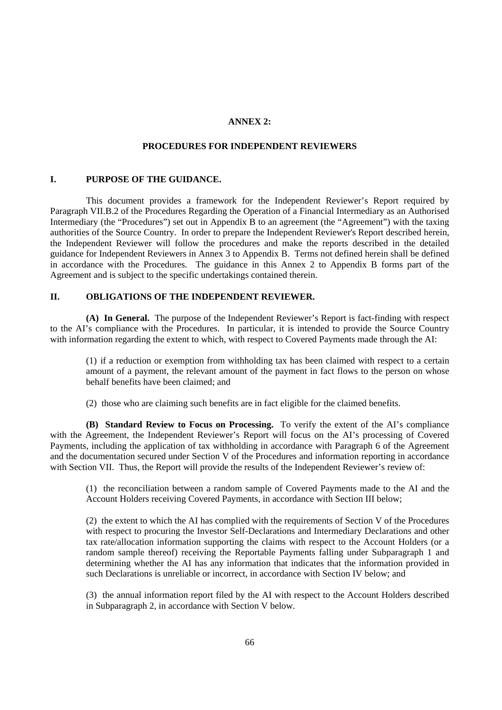### **ANNEX 2:**

#### **PROCEDURES FOR INDEPENDENT REVIEWERS**

#### **I. PURPOSE OF THE GUIDANCE.**

This document provides a framework for the Independent Reviewer's Report required by Paragraph VII.B.2 of the Procedures Regarding the Operation of a Financial Intermediary as an Authorised Intermediary (the "Procedures") set out in Appendix B to an agreement (the "Agreement") with the taxing authorities of the Source Country. In order to prepare the Independent Reviewer's Report described herein, the Independent Reviewer will follow the procedures and make the reports described in the detailed guidance for Independent Reviewers in Annex 3 to Appendix B. Terms not defined herein shall be defined in accordance with the Procedures. The guidance in this Annex 2 to Appendix B forms part of the Agreement and is subject to the specific undertakings contained therein.

#### **II. OBLIGATIONS OF THE INDEPENDENT REVIEWER.**

 **(A) In General.** The purpose of the Independent Reviewer's Report is fact-finding with respect to the AI's compliance with the Procedures. In particular, it is intended to provide the Source Country with information regarding the extent to which, with respect to Covered Payments made through the AI:

(1) if a reduction or exemption from withholding tax has been claimed with respect to a certain amount of a payment, the relevant amount of the payment in fact flows to the person on whose behalf benefits have been claimed; and

(2) those who are claiming such benefits are in fact eligible for the claimed benefits.

 **(B) Standard Review to Focus on Processing.** To verify the extent of the AI's compliance with the Agreement, the Independent Reviewer's Report will focus on the AI's processing of Covered Payments, including the application of tax withholding in accordance with Paragraph 6 of the Agreement and the documentation secured under Section V of the Procedures and information reporting in accordance with Section VII. Thus, the Report will provide the results of the Independent Reviewer's review of:

(1) the reconciliation between a random sample of Covered Payments made to the AI and the Account Holders receiving Covered Payments, in accordance with Section III below;

(2) the extent to which the AI has complied with the requirements of Section V of the Procedures with respect to procuring the Investor Self-Declarations and Intermediary Declarations and other tax rate/allocation information supporting the claims with respect to the Account Holders (or a random sample thereof) receiving the Reportable Payments falling under Subparagraph 1 and determining whether the AI has any information that indicates that the information provided in such Declarations is unreliable or incorrect, in accordance with Section IV below; and

(3) the annual information report filed by the AI with respect to the Account Holders described in Subparagraph 2, in accordance with Section V below.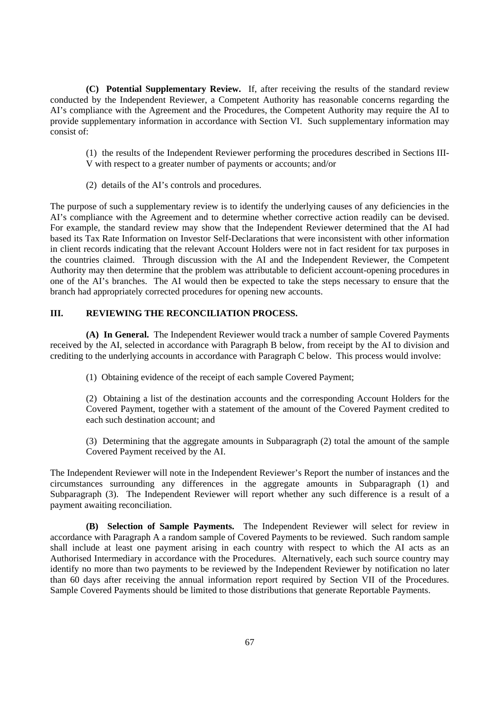**(C) Potential Supplementary Review.** If, after receiving the results of the standard review conducted by the Independent Reviewer, a Competent Authority has reasonable concerns regarding the AI's compliance with the Agreement and the Procedures, the Competent Authority may require the AI to provide supplementary information in accordance with Section VI. Such supplementary information may consist of:

(1) the results of the Independent Reviewer performing the procedures described in Sections III-V with respect to a greater number of payments or accounts; and/or

(2) details of the AI's controls and procedures.

The purpose of such a supplementary review is to identify the underlying causes of any deficiencies in the AI's compliance with the Agreement and to determine whether corrective action readily can be devised. For example, the standard review may show that the Independent Reviewer determined that the AI had based its Tax Rate Information on Investor Self-Declarations that were inconsistent with other information in client records indicating that the relevant Account Holders were not in fact resident for tax purposes in the countries claimed. Through discussion with the AI and the Independent Reviewer, the Competent Authority may then determine that the problem was attributable to deficient account-opening procedures in one of the AI's branches. The AI would then be expected to take the steps necessary to ensure that the branch had appropriately corrected procedures for opening new accounts.

#### **III. REVIEWING THE RECONCILIATION PROCESS.**

 **(A) In General.** The Independent Reviewer would track a number of sample Covered Payments received by the AI, selected in accordance with Paragraph B below, from receipt by the AI to division and crediting to the underlying accounts in accordance with Paragraph C below. This process would involve:

(1) Obtaining evidence of the receipt of each sample Covered Payment;

(2) Obtaining a list of the destination accounts and the corresponding Account Holders for the Covered Payment, together with a statement of the amount of the Covered Payment credited to each such destination account; and

(3) Determining that the aggregate amounts in Subparagraph (2) total the amount of the sample Covered Payment received by the AI.

The Independent Reviewer will note in the Independent Reviewer's Report the number of instances and the circumstances surrounding any differences in the aggregate amounts in Subparagraph (1) and Subparagraph (3). The Independent Reviewer will report whether any such difference is a result of a payment awaiting reconciliation.

 **(B) Selection of Sample Payments.** The Independent Reviewer will select for review in accordance with Paragraph A a random sample of Covered Payments to be reviewed. Such random sample shall include at least one payment arising in each country with respect to which the AI acts as an Authorised Intermediary in accordance with the Procedures. Alternatively, each such source country may identify no more than two payments to be reviewed by the Independent Reviewer by notification no later than 60 days after receiving the annual information report required by Section VII of the Procedures. Sample Covered Payments should be limited to those distributions that generate Reportable Payments.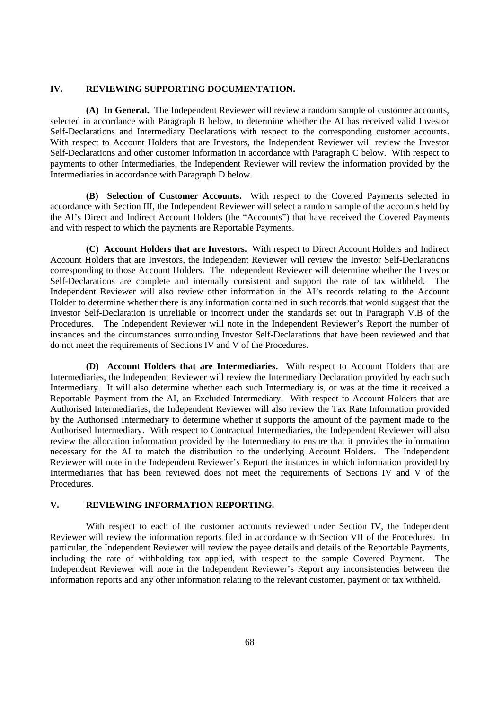## **IV. REVIEWING SUPPORTING DOCUMENTATION.**

 **(A) In General.** The Independent Reviewer will review a random sample of customer accounts, selected in accordance with Paragraph B below, to determine whether the AI has received valid Investor Self-Declarations and Intermediary Declarations with respect to the corresponding customer accounts. With respect to Account Holders that are Investors, the Independent Reviewer will review the Investor Self-Declarations and other customer information in accordance with Paragraph C below. With respect to payments to other Intermediaries, the Independent Reviewer will review the information provided by the Intermediaries in accordance with Paragraph D below.

 **(B) Selection of Customer Accounts.** With respect to the Covered Payments selected in accordance with Section III, the Independent Reviewer will select a random sample of the accounts held by the AI's Direct and Indirect Account Holders (the "Accounts") that have received the Covered Payments and with respect to which the payments are Reportable Payments.

 **(C) Account Holders that are Investors.** With respect to Direct Account Holders and Indirect Account Holders that are Investors, the Independent Reviewer will review the Investor Self-Declarations corresponding to those Account Holders. The Independent Reviewer will determine whether the Investor Self-Declarations are complete and internally consistent and support the rate of tax withheld. The Independent Reviewer will also review other information in the AI's records relating to the Account Holder to determine whether there is any information contained in such records that would suggest that the Investor Self-Declaration is unreliable or incorrect under the standards set out in Paragraph V.B of the Procedures. The Independent Reviewer will note in the Independent Reviewer's Report the number of instances and the circumstances surrounding Investor Self-Declarations that have been reviewed and that do not meet the requirements of Sections IV and V of the Procedures.

 **(D) Account Holders that are Intermediaries.** With respect to Account Holders that are Intermediaries, the Independent Reviewer will review the Intermediary Declaration provided by each such Intermediary. It will also determine whether each such Intermediary is, or was at the time it received a Reportable Payment from the AI, an Excluded Intermediary. With respect to Account Holders that are Authorised Intermediaries, the Independent Reviewer will also review the Tax Rate Information provided by the Authorised Intermediary to determine whether it supports the amount of the payment made to the Authorised Intermediary. With respect to Contractual Intermediaries, the Independent Reviewer will also review the allocation information provided by the Intermediary to ensure that it provides the information necessary for the AI to match the distribution to the underlying Account Holders. The Independent Reviewer will note in the Independent Reviewer's Report the instances in which information provided by Intermediaries that has been reviewed does not meet the requirements of Sections IV and V of the **Procedures** 

#### **V. REVIEWING INFORMATION REPORTING.**

With respect to each of the customer accounts reviewed under Section IV, the Independent Reviewer will review the information reports filed in accordance with Section VII of the Procedures. In particular, the Independent Reviewer will review the payee details and details of the Reportable Payments, including the rate of withholding tax applied, with respect to the sample Covered Payment. The Independent Reviewer will note in the Independent Reviewer's Report any inconsistencies between the information reports and any other information relating to the relevant customer, payment or tax withheld.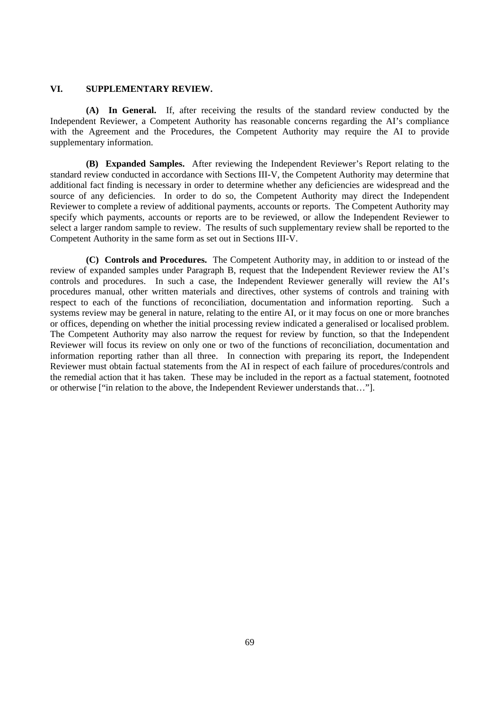### **VI. SUPPLEMENTARY REVIEW.**

 **(A) In General.** If, after receiving the results of the standard review conducted by the Independent Reviewer, a Competent Authority has reasonable concerns regarding the AI's compliance with the Agreement and the Procedures, the Competent Authority may require the AI to provide supplementary information.

**(B) Expanded Samples.** After reviewing the Independent Reviewer's Report relating to the standard review conducted in accordance with Sections III-V, the Competent Authority may determine that additional fact finding is necessary in order to determine whether any deficiencies are widespread and the source of any deficiencies. In order to do so, the Competent Authority may direct the Independent Reviewer to complete a review of additional payments, accounts or reports. The Competent Authority may specify which payments, accounts or reports are to be reviewed, or allow the Independent Reviewer to select a larger random sample to review. The results of such supplementary review shall be reported to the Competent Authority in the same form as set out in Sections III-V.

**(C) Controls and Procedures.** The Competent Authority may, in addition to or instead of the review of expanded samples under Paragraph B, request that the Independent Reviewer review the AI's controls and procedures. In such a case, the Independent Reviewer generally will review the AI's procedures manual, other written materials and directives, other systems of controls and training with respect to each of the functions of reconciliation, documentation and information reporting. Such a systems review may be general in nature, relating to the entire AI, or it may focus on one or more branches or offices, depending on whether the initial processing review indicated a generalised or localised problem. The Competent Authority may also narrow the request for review by function, so that the Independent Reviewer will focus its review on only one or two of the functions of reconciliation, documentation and information reporting rather than all three. In connection with preparing its report, the Independent Reviewer must obtain factual statements from the AI in respect of each failure of procedures/controls and the remedial action that it has taken. These may be included in the report as a factual statement, footnoted or otherwise ["in relation to the above, the Independent Reviewer understands that…"].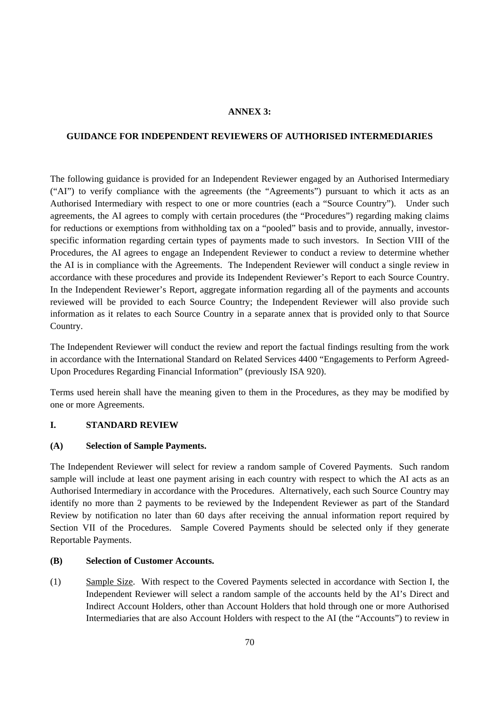## **ANNEX 3:**

### **GUIDANCE FOR INDEPENDENT REVIEWERS OF AUTHORISED INTERMEDIARIES**

The following guidance is provided for an Independent Reviewer engaged by an Authorised Intermediary ("AI") to verify compliance with the agreements (the "Agreements") pursuant to which it acts as an Authorised Intermediary with respect to one or more countries (each a "Source Country"). Under such agreements, the AI agrees to comply with certain procedures (the "Procedures") regarding making claims for reductions or exemptions from withholding tax on a "pooled" basis and to provide, annually, investorspecific information regarding certain types of payments made to such investors. In Section VIII of the Procedures, the AI agrees to engage an Independent Reviewer to conduct a review to determine whether the AI is in compliance with the Agreements. The Independent Reviewer will conduct a single review in accordance with these procedures and provide its Independent Reviewer's Report to each Source Country. In the Independent Reviewer's Report, aggregate information regarding all of the payments and accounts reviewed will be provided to each Source Country; the Independent Reviewer will also provide such information as it relates to each Source Country in a separate annex that is provided only to that Source Country.

The Independent Reviewer will conduct the review and report the factual findings resulting from the work in accordance with the International Standard on Related Services 4400 "Engagements to Perform Agreed-Upon Procedures Regarding Financial Information" (previously ISA 920).

Terms used herein shall have the meaning given to them in the Procedures, as they may be modified by one or more Agreements.

### **I. STANDARD REVIEW**

#### **(A) Selection of Sample Payments.**

The Independent Reviewer will select for review a random sample of Covered Payments. Such random sample will include at least one payment arising in each country with respect to which the AI acts as an Authorised Intermediary in accordance with the Procedures. Alternatively, each such Source Country may identify no more than 2 payments to be reviewed by the Independent Reviewer as part of the Standard Review by notification no later than 60 days after receiving the annual information report required by Section VII of the Procedures. Sample Covered Payments should be selected only if they generate Reportable Payments.

#### **(B) Selection of Customer Accounts.**

(1) Sample Size. With respect to the Covered Payments selected in accordance with Section I, the Independent Reviewer will select a random sample of the accounts held by the AI's Direct and Indirect Account Holders, other than Account Holders that hold through one or more Authorised Intermediaries that are also Account Holders with respect to the AI (the "Accounts") to review in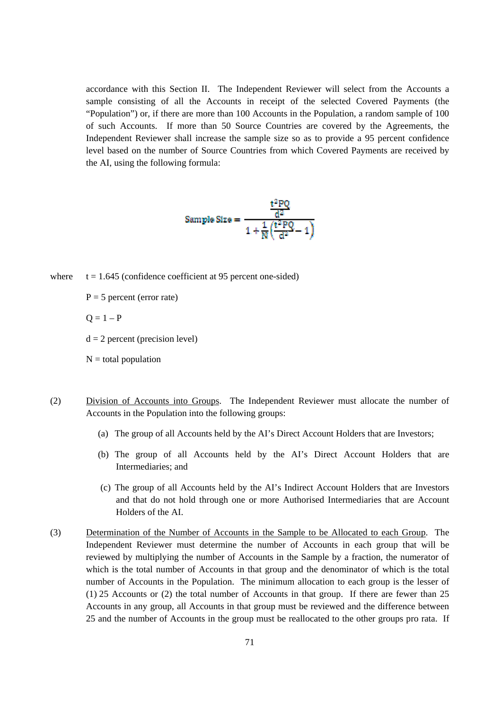accordance with this Section II. The Independent Reviewer will select from the Accounts a sample consisting of all the Accounts in receipt of the selected Covered Payments (the "Population") or, if there are more than 100 Accounts in the Population, a random sample of 100 of such Accounts. If more than 50 Source Countries are covered by the Agreements, the Independent Reviewer shall increase the sample size so as to provide a 95 percent confidence level based on the number of Source Countries from which Covered Payments are received by the AI, using the following formula:

$$
\text{Sample Size} = \frac{\frac{t^2 PQ}{d^2}}{1 + \frac{1}{N} \left(\frac{t^2 PQ}{d^2} - 1\right)}
$$

where  $t = 1.645$  (confidence coefficient at 95 percent one-sided)

 $P = 5$  percent (error rate)

- $Q = 1 P$
- $d = 2$  percent (precision level)

 $N =$  total population

- (2) Division of Accounts into Groups. The Independent Reviewer must allocate the number of Accounts in the Population into the following groups:
	- (a) The group of all Accounts held by the AI's Direct Account Holders that are Investors;
	- (b) The group of all Accounts held by the AI's Direct Account Holders that are Intermediaries; and
	- (c) The group of all Accounts held by the AI's Indirect Account Holders that are Investors and that do not hold through one or more Authorised Intermediaries that are Account Holders of the AI.
- (3) Determination of the Number of Accounts in the Sample to be Allocated to each Group. The Independent Reviewer must determine the number of Accounts in each group that will be reviewed by multiplying the number of Accounts in the Sample by a fraction, the numerator of which is the total number of Accounts in that group and the denominator of which is the total number of Accounts in the Population. The minimum allocation to each group is the lesser of (1) 25 Accounts or (2) the total number of Accounts in that group. If there are fewer than 25 Accounts in any group, all Accounts in that group must be reviewed and the difference between 25 and the number of Accounts in the group must be reallocated to the other groups pro rata. If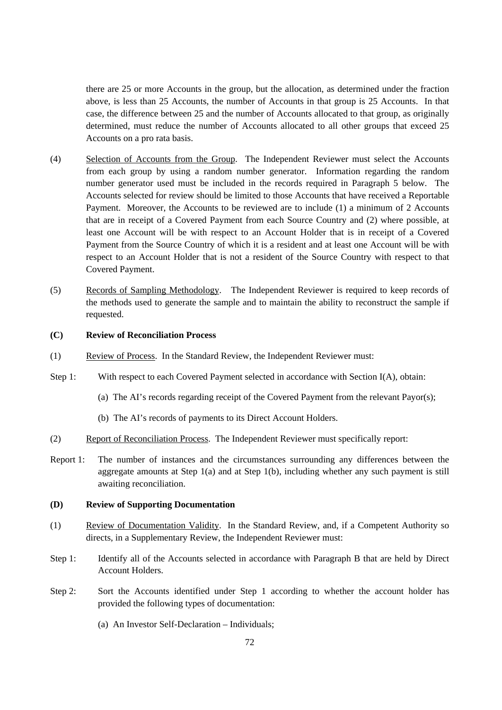there are 25 or more Accounts in the group, but the allocation, as determined under the fraction above, is less than 25 Accounts, the number of Accounts in that group is 25 Accounts. In that case, the difference between 25 and the number of Accounts allocated to that group, as originally determined, must reduce the number of Accounts allocated to all other groups that exceed 25 Accounts on a pro rata basis.

- (4) Selection of Accounts from the Group. The Independent Reviewer must select the Accounts from each group by using a random number generator. Information regarding the random number generator used must be included in the records required in Paragraph 5 below. The Accounts selected for review should be limited to those Accounts that have received a Reportable Payment. Moreover, the Accounts to be reviewed are to include (1) a minimum of 2 Accounts that are in receipt of a Covered Payment from each Source Country and (2) where possible, at least one Account will be with respect to an Account Holder that is in receipt of a Covered Payment from the Source Country of which it is a resident and at least one Account will be with respect to an Account Holder that is not a resident of the Source Country with respect to that Covered Payment.
- (5) Records of Sampling Methodology. The Independent Reviewer is required to keep records of the methods used to generate the sample and to maintain the ability to reconstruct the sample if requested.

#### **(C) Review of Reconciliation Process**

- (1) Review of Process. In the Standard Review, the Independent Reviewer must:
- Step 1: With respect to each Covered Payment selected in accordance with Section I(A), obtain:
	- (a) The AI's records regarding receipt of the Covered Payment from the relevant Payor(s);
	- (b) The AI's records of payments to its Direct Account Holders.
- (2) Report of Reconciliation Process. The Independent Reviewer must specifically report:
- Report 1: The number of instances and the circumstances surrounding any differences between the aggregate amounts at Step  $1(a)$  and at Step  $1(b)$ , including whether any such payment is still awaiting reconciliation.

## **(D) Review of Supporting Documentation**

- (1) Review of Documentation Validity. In the Standard Review, and, if a Competent Authority so directs, in a Supplementary Review, the Independent Reviewer must:
- Step 1: Identify all of the Accounts selected in accordance with Paragraph B that are held by Direct Account Holders.
- Step 2: Sort the Accounts identified under Step 1 according to whether the account holder has provided the following types of documentation:
	- (a) An Investor Self-Declaration Individuals;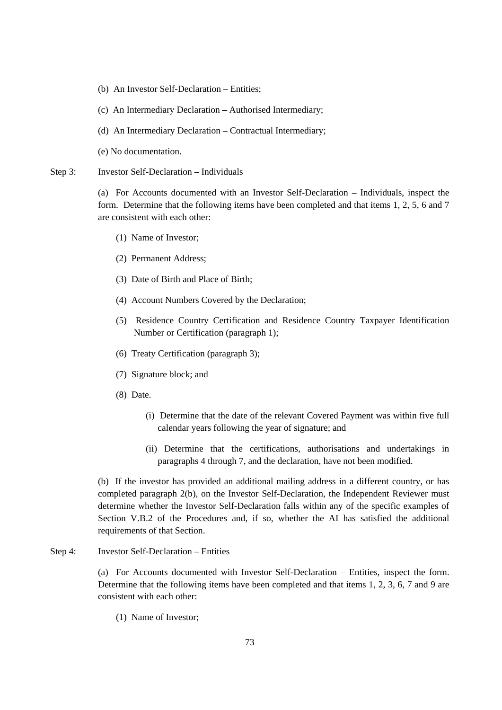- (b) An Investor Self-Declaration Entities;
- (c) An Intermediary Declaration Authorised Intermediary;
- (d) An Intermediary Declaration Contractual Intermediary;
- (e) No documentation.
- Step 3: Investor Self-Declaration Individuals

(a) For Accounts documented with an Investor Self-Declaration – Individuals, inspect the form. Determine that the following items have been completed and that items 1, 2, 5, 6 and 7 are consistent with each other:

- (1) Name of Investor;
- (2) Permanent Address;
- (3) Date of Birth and Place of Birth;
- (4) Account Numbers Covered by the Declaration;
- (5) Residence Country Certification and Residence Country Taxpayer Identification Number or Certification (paragraph 1);
- (6) Treaty Certification (paragraph 3);
- (7) Signature block; and
- (8) Date.
	- (i) Determine that the date of the relevant Covered Payment was within five full calendar years following the year of signature; and
	- (ii) Determine that the certifications, authorisations and undertakings in paragraphs 4 through 7, and the declaration, have not been modified.

(b) If the investor has provided an additional mailing address in a different country, or has completed paragraph 2(b), on the Investor Self-Declaration, the Independent Reviewer must determine whether the Investor Self-Declaration falls within any of the specific examples of Section V.B.2 of the Procedures and, if so, whether the AI has satisfied the additional requirements of that Section.

Step 4: Investor Self-Declaration – Entities

(a) For Accounts documented with Investor Self-Declaration – Entities, inspect the form. Determine that the following items have been completed and that items 1, 2, 3, 6, 7 and 9 are consistent with each other:

(1) Name of Investor;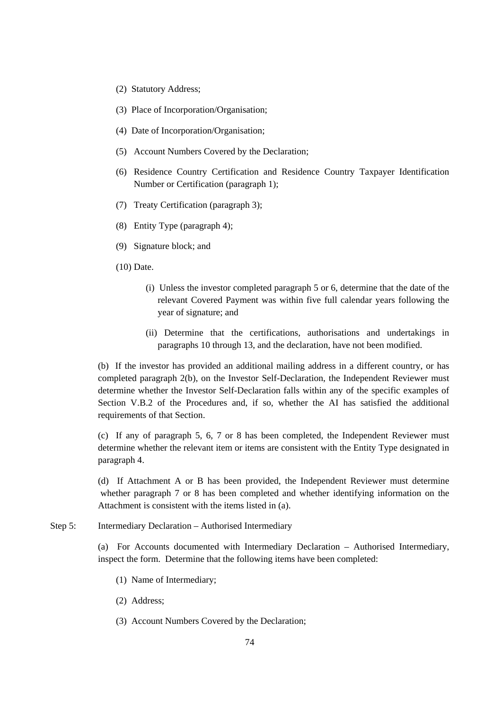- (2) Statutory Address;
- (3) Place of Incorporation/Organisation;
- (4) Date of Incorporation/Organisation;
- (5) Account Numbers Covered by the Declaration;
- (6) Residence Country Certification and Residence Country Taxpayer Identification Number or Certification (paragraph 1);
- (7) Treaty Certification (paragraph 3);
- (8) Entity Type (paragraph 4);
- (9) Signature block; and
- (10) Date.
	- (i) Unless the investor completed paragraph 5 or 6, determine that the date of the relevant Covered Payment was within five full calendar years following the year of signature; and
	- (ii) Determine that the certifications, authorisations and undertakings in paragraphs 10 through 13, and the declaration, have not been modified.

(b) If the investor has provided an additional mailing address in a different country, or has completed paragraph 2(b), on the Investor Self-Declaration, the Independent Reviewer must determine whether the Investor Self-Declaration falls within any of the specific examples of Section V.B.2 of the Procedures and, if so, whether the AI has satisfied the additional requirements of that Section.

(c) If any of paragraph 5, 6, 7 or 8 has been completed, the Independent Reviewer must determine whether the relevant item or items are consistent with the Entity Type designated in paragraph 4.

(d) If Attachment A or B has been provided, the Independent Reviewer must determine whether paragraph 7 or 8 has been completed and whether identifying information on the Attachment is consistent with the items listed in (a).

Step 5: Intermediary Declaration – Authorised Intermediary

(a) For Accounts documented with Intermediary Declaration – Authorised Intermediary, inspect the form. Determine that the following items have been completed:

- (1) Name of Intermediary;
- (2) Address;
- (3) Account Numbers Covered by the Declaration;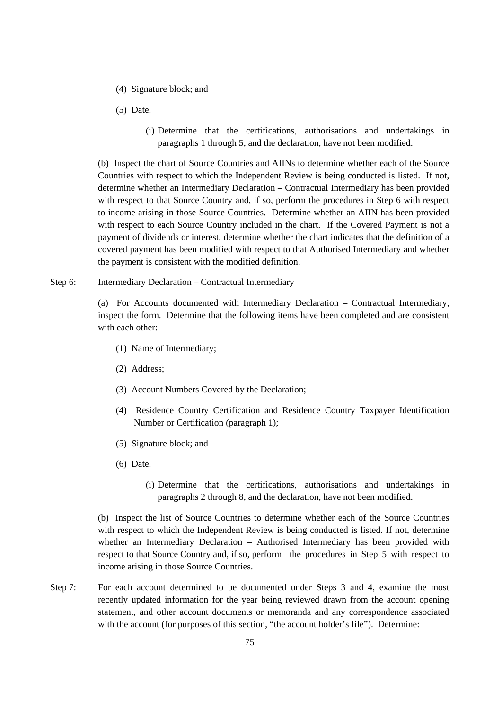- (4) Signature block; and
- (5) Date.
	- (i) Determine that the certifications, authorisations and undertakings in paragraphs 1 through 5, and the declaration, have not been modified.

(b) Inspect the chart of Source Countries and AIINs to determine whether each of the Source Countries with respect to which the Independent Review is being conducted is listed. If not, determine whether an Intermediary Declaration – Contractual Intermediary has been provided with respect to that Source Country and, if so, perform the procedures in Step 6 with respect to income arising in those Source Countries. Determine whether an AIIN has been provided with respect to each Source Country included in the chart. If the Covered Payment is not a payment of dividends or interest, determine whether the chart indicates that the definition of a covered payment has been modified with respect to that Authorised Intermediary and whether the payment is consistent with the modified definition.

Step 6: Intermediary Declaration – Contractual Intermediary

(a) For Accounts documented with Intermediary Declaration – Contractual Intermediary, inspect the form. Determine that the following items have been completed and are consistent with each other:

- (1) Name of Intermediary;
- (2) Address;
- (3) Account Numbers Covered by the Declaration;
- (4) Residence Country Certification and Residence Country Taxpayer Identification Number or Certification (paragraph 1);
- (5) Signature block; and
- (6) Date.
	- (i) Determine that the certifications, authorisations and undertakings in paragraphs 2 through 8, and the declaration, have not been modified.

(b) Inspect the list of Source Countries to determine whether each of the Source Countries with respect to which the Independent Review is being conducted is listed. If not, determine whether an Intermediary Declaration – Authorised Intermediary has been provided with respect to that Source Country and, if so, perform the procedures in Step 5 with respect to income arising in those Source Countries.

Step 7: For each account determined to be documented under Steps 3 and 4, examine the most recently updated information for the year being reviewed drawn from the account opening statement, and other account documents or memoranda and any correspondence associated with the account (for purposes of this section, "the account holder's file"). Determine: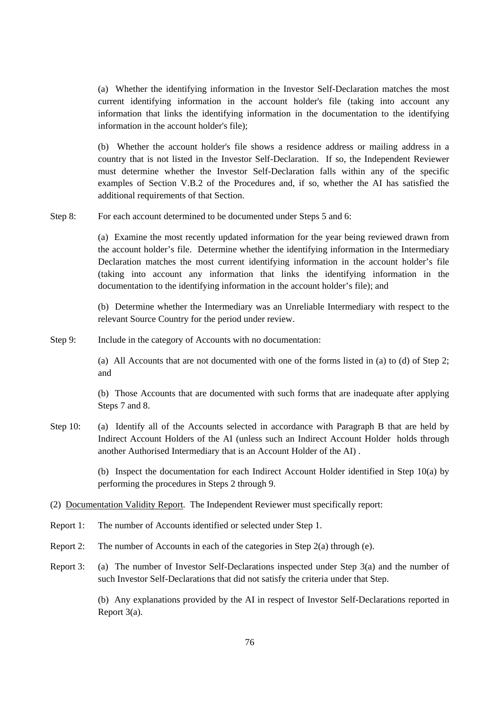(a) Whether the identifying information in the Investor Self-Declaration matches the most current identifying information in the account holder's file (taking into account any information that links the identifying information in the documentation to the identifying information in the account holder's file);

(b) Whether the account holder's file shows a residence address or mailing address in a country that is not listed in the Investor Self-Declaration. If so, the Independent Reviewer must determine whether the Investor Self-Declaration falls within any of the specific examples of Section V.B.2 of the Procedures and, if so, whether the AI has satisfied the additional requirements of that Section.

Step 8: For each account determined to be documented under Steps 5 and 6:

(a) Examine the most recently updated information for the year being reviewed drawn from the account holder's file. Determine whether the identifying information in the Intermediary Declaration matches the most current identifying information in the account holder's file (taking into account any information that links the identifying information in the documentation to the identifying information in the account holder's file); and

(b) Determine whether the Intermediary was an Unreliable Intermediary with respect to the relevant Source Country for the period under review.

Step 9: Include in the category of Accounts with no documentation:

(a) All Accounts that are not documented with one of the forms listed in (a) to (d) of Step 2; and

(b) Those Accounts that are documented with such forms that are inadequate after applying Steps 7 and 8.

Step 10: (a) Identify all of the Accounts selected in accordance with Paragraph B that are held by Indirect Account Holders of the AI (unless such an Indirect Account Holder holds through another Authorised Intermediary that is an Account Holder of the AI) .

> (b) Inspect the documentation for each Indirect Account Holder identified in Step 10(a) by performing the procedures in Steps 2 through 9.

- (2) Documentation Validity Report. The Independent Reviewer must specifically report:
- Report 1: The number of Accounts identified or selected under Step 1.
- Report 2: The number of Accounts in each of the categories in Step  $2(a)$  through (e).
- Report 3: (a) The number of Investor Self-Declarations inspected under Step 3(a) and the number of such Investor Self-Declarations that did not satisfy the criteria under that Step.

(b) Any explanations provided by the AI in respect of Investor Self-Declarations reported in Report 3(a).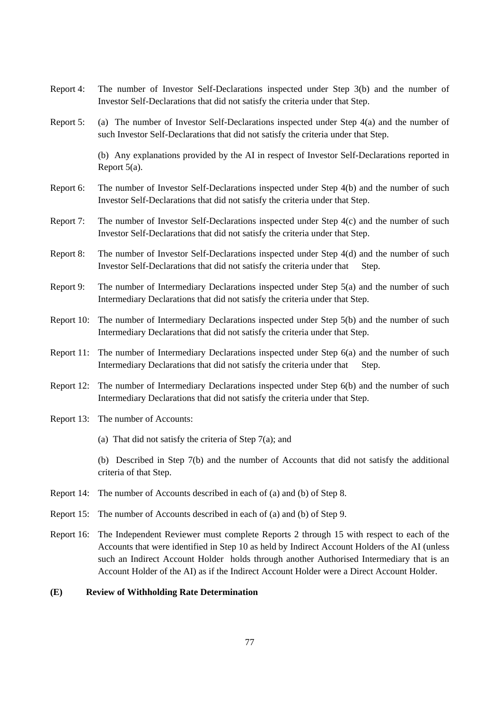- Report 4: The number of Investor Self-Declarations inspected under Step 3(b) and the number of Investor Self-Declarations that did not satisfy the criteria under that Step.
- Report 5: (a) The number of Investor Self-Declarations inspected under Step 4(a) and the number of such Investor Self-Declarations that did not satisfy the criteria under that Step.

(b) Any explanations provided by the AI in respect of Investor Self-Declarations reported in Report 5(a).

- Report 6: The number of Investor Self-Declarations inspected under Step 4(b) and the number of such Investor Self-Declarations that did not satisfy the criteria under that Step.
- Report 7: The number of Investor Self-Declarations inspected under Step 4(c) and the number of such Investor Self-Declarations that did not satisfy the criteria under that Step.
- Report 8: The number of Investor Self-Declarations inspected under Step 4(d) and the number of such Investor Self-Declarations that did not satisfy the criteria under that Step.
- Report 9: The number of Intermediary Declarations inspected under Step 5(a) and the number of such Intermediary Declarations that did not satisfy the criteria under that Step.
- Report 10: The number of Intermediary Declarations inspected under Step 5(b) and the number of such Intermediary Declarations that did not satisfy the criteria under that Step.
- Report 11: The number of Intermediary Declarations inspected under Step 6(a) and the number of such Intermediary Declarations that did not satisfy the criteria under that Step.
- Report 12: The number of Intermediary Declarations inspected under Step 6(b) and the number of such Intermediary Declarations that did not satisfy the criteria under that Step.
- Report 13: The number of Accounts:
	- (a) That did not satisfy the criteria of Step 7(a); and

(b) Described in Step 7(b) and the number of Accounts that did not satisfy the additional criteria of that Step.

- Report 14: The number of Accounts described in each of (a) and (b) of Step 8.
- Report 15: The number of Accounts described in each of (a) and (b) of Step 9.
- Report 16: The Independent Reviewer must complete Reports 2 through 15 with respect to each of the Accounts that were identified in Step 10 as held by Indirect Account Holders of the AI (unless such an Indirect Account Holder holds through another Authorised Intermediary that is an Account Holder of the AI) as if the Indirect Account Holder were a Direct Account Holder.

## **(E) Review of Withholding Rate Determination**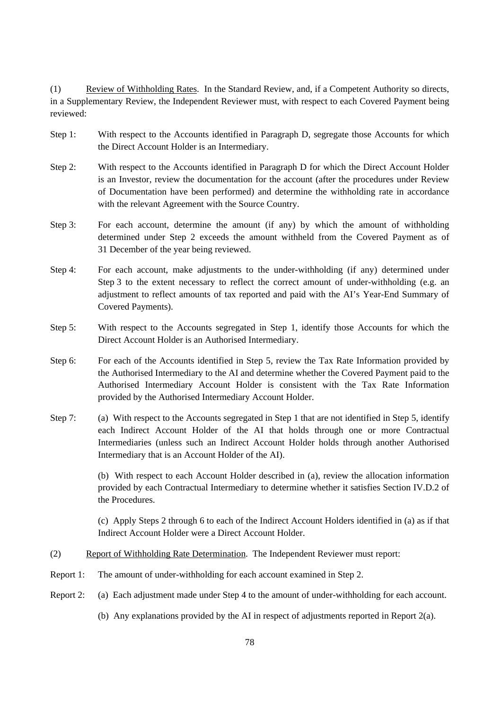(1) Review of Withholding Rates. In the Standard Review, and, if a Competent Authority so directs, in a Supplementary Review, the Independent Reviewer must, with respect to each Covered Payment being reviewed:

- Step 1: With respect to the Accounts identified in Paragraph D, segregate those Accounts for which the Direct Account Holder is an Intermediary.
- Step 2: With respect to the Accounts identified in Paragraph D for which the Direct Account Holder is an Investor, review the documentation for the account (after the procedures under Review of Documentation have been performed) and determine the withholding rate in accordance with the relevant Agreement with the Source Country.
- Step 3: For each account, determine the amount (if any) by which the amount of withholding determined under Step 2 exceeds the amount withheld from the Covered Payment as of 31 December of the year being reviewed.
- Step 4: For each account, make adjustments to the under-withholding (if any) determined under Step 3 to the extent necessary to reflect the correct amount of under-withholding (e.g. an adjustment to reflect amounts of tax reported and paid with the AI's Year-End Summary of Covered Payments).
- Step 5: With respect to the Accounts segregated in Step 1, identify those Accounts for which the Direct Account Holder is an Authorised Intermediary.
- Step 6: For each of the Accounts identified in Step 5, review the Tax Rate Information provided by the Authorised Intermediary to the AI and determine whether the Covered Payment paid to the Authorised Intermediary Account Holder is consistent with the Tax Rate Information provided by the Authorised Intermediary Account Holder.
- Step 7: (a) With respect to the Accounts segregated in Step 1 that are not identified in Step 5, identify each Indirect Account Holder of the AI that holds through one or more Contractual Intermediaries (unless such an Indirect Account Holder holds through another Authorised Intermediary that is an Account Holder of the AI).

(b) With respect to each Account Holder described in (a), review the allocation information provided by each Contractual Intermediary to determine whether it satisfies Section IV.D.2 of the Procedures.

(c) Apply Steps 2 through 6 to each of the Indirect Account Holders identified in (a) as if that Indirect Account Holder were a Direct Account Holder.

- (2) Report of Withholding Rate Determination. The Independent Reviewer must report:
- Report 1: The amount of under-withholding for each account examined in Step 2.
- Report 2: (a) Each adjustment made under Step 4 to the amount of under-withholding for each account.
	- (b) Any explanations provided by the AI in respect of adjustments reported in Report 2(a).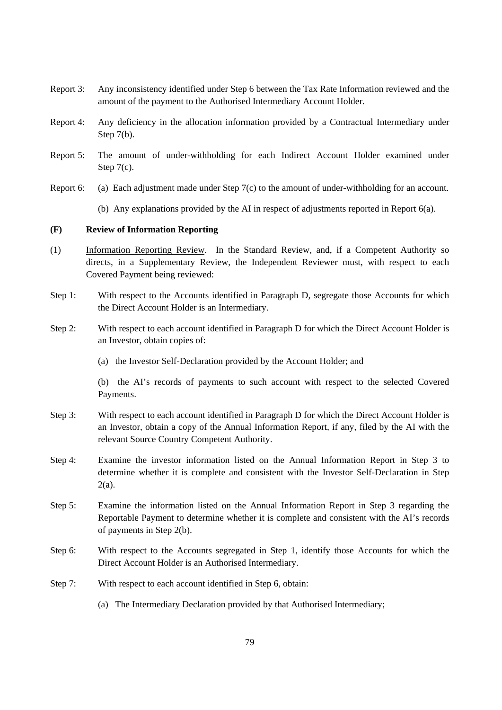- Report 3: Any inconsistency identified under Step 6 between the Tax Rate Information reviewed and the amount of the payment to the Authorised Intermediary Account Holder.
- Report 4: Any deficiency in the allocation information provided by a Contractual Intermediary under Step 7(b).
- Report 5: The amount of under-withholding for each Indirect Account Holder examined under Step  $7(c)$ .
- Report 6: (a) Each adjustment made under Step 7(c) to the amount of under-withholding for an account.

(b) Any explanations provided by the AI in respect of adjustments reported in Report 6(a).

### **(F) Review of Information Reporting**

- (1) Information Reporting Review. In the Standard Review, and, if a Competent Authority so directs, in a Supplementary Review, the Independent Reviewer must, with respect to each Covered Payment being reviewed:
- Step 1: With respect to the Accounts identified in Paragraph D, segregate those Accounts for which the Direct Account Holder is an Intermediary.
- Step 2: With respect to each account identified in Paragraph D for which the Direct Account Holder is an Investor, obtain copies of:
	- (a) the Investor Self-Declaration provided by the Account Holder; and

(b) the AI's records of payments to such account with respect to the selected Covered Payments.

- Step 3: With respect to each account identified in Paragraph D for which the Direct Account Holder is an Investor, obtain a copy of the Annual Information Report, if any, filed by the AI with the relevant Source Country Competent Authority.
- Step 4: Examine the investor information listed on the Annual Information Report in Step 3 to determine whether it is complete and consistent with the Investor Self-Declaration in Step  $2(a)$ .
- Step 5: Examine the information listed on the Annual Information Report in Step 3 regarding the Reportable Payment to determine whether it is complete and consistent with the AI's records of payments in Step 2(b).
- Step 6: With respect to the Accounts segregated in Step 1, identify those Accounts for which the Direct Account Holder is an Authorised Intermediary.
- Step 7: With respect to each account identified in Step 6, obtain:
	- (a) The Intermediary Declaration provided by that Authorised Intermediary;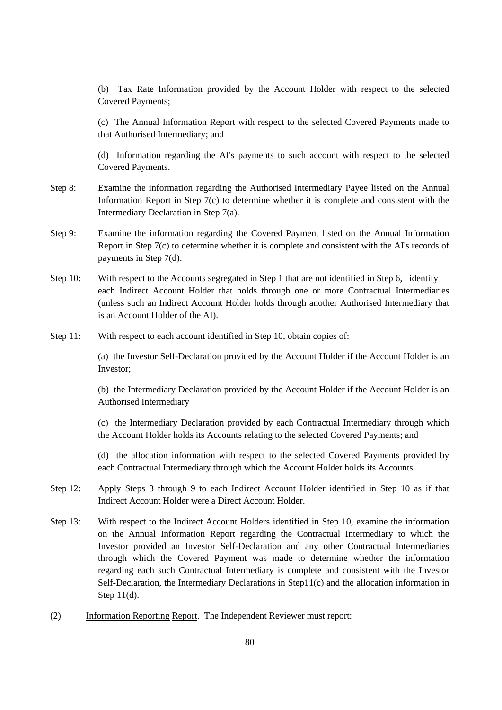(b) Tax Rate Information provided by the Account Holder with respect to the selected Covered Payments;

(c) The Annual Information Report with respect to the selected Covered Payments made to that Authorised Intermediary; and

(d) Information regarding the AI's payments to such account with respect to the selected Covered Payments.

- Step 8: Examine the information regarding the Authorised Intermediary Payee listed on the Annual Information Report in Step 7(c) to determine whether it is complete and consistent with the Intermediary Declaration in Step 7(a).
- Step 9: Examine the information regarding the Covered Payment listed on the Annual Information Report in Step 7(c) to determine whether it is complete and consistent with the AI's records of payments in Step 7(d).
- Step 10: With respect to the Accounts segregated in Step 1 that are not identified in Step 6, identify each Indirect Account Holder that holds through one or more Contractual Intermediaries (unless such an Indirect Account Holder holds through another Authorised Intermediary that is an Account Holder of the AI).
- Step 11: With respect to each account identified in Step 10, obtain copies of:

(a) the Investor Self-Declaration provided by the Account Holder if the Account Holder is an Investor;

(b) the Intermediary Declaration provided by the Account Holder if the Account Holder is an Authorised Intermediary

(c) the Intermediary Declaration provided by each Contractual Intermediary through which the Account Holder holds its Accounts relating to the selected Covered Payments; and

(d) the allocation information with respect to the selected Covered Payments provided by each Contractual Intermediary through which the Account Holder holds its Accounts.

- Step 12: Apply Steps 3 through 9 to each Indirect Account Holder identified in Step 10 as if that Indirect Account Holder were a Direct Account Holder.
- Step 13: With respect to the Indirect Account Holders identified in Step 10, examine the information on the Annual Information Report regarding the Contractual Intermediary to which the Investor provided an Investor Self-Declaration and any other Contractual Intermediaries through which the Covered Payment was made to determine whether the information regarding each such Contractual Intermediary is complete and consistent with the Investor Self-Declaration, the Intermediary Declarations in Step11(c) and the allocation information in Step 11(d).
- (2) Information Reporting Report. The Independent Reviewer must report: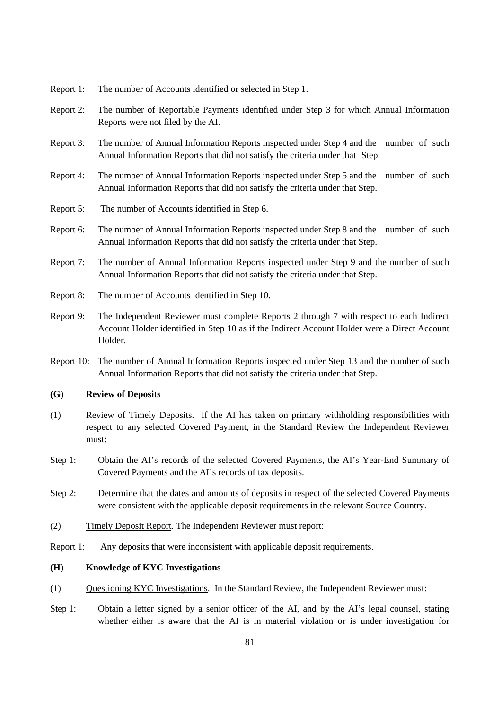- Report 1: The number of Accounts identified or selected in Step 1.
- Report 2: The number of Reportable Payments identified under Step 3 for which Annual Information Reports were not filed by the AI.
- Report 3: The number of Annual Information Reports inspected under Step 4 and the number of such Annual Information Reports that did not satisfy the criteria under that Step.
- Report 4: The number of Annual Information Reports inspected under Step 5 and the number of such Annual Information Reports that did not satisfy the criteria under that Step.
- Report 5: The number of Accounts identified in Step 6.
- Report 6: The number of Annual Information Reports inspected under Step 8 and the number of such Annual Information Reports that did not satisfy the criteria under that Step.
- Report 7: The number of Annual Information Reports inspected under Step 9 and the number of such Annual Information Reports that did not satisfy the criteria under that Step.
- Report 8: The number of Accounts identified in Step 10.
- Report 9: The Independent Reviewer must complete Reports 2 through 7 with respect to each Indirect Account Holder identified in Step 10 as if the Indirect Account Holder were a Direct Account Holder.
- Report 10: The number of Annual Information Reports inspected under Step 13 and the number of such Annual Information Reports that did not satisfy the criteria under that Step.

## **(G) Review of Deposits**

- (1) Review of Timely Deposits. If the AI has taken on primary withholding responsibilities with respect to any selected Covered Payment, in the Standard Review the Independent Reviewer must:
- Step 1: Obtain the AI's records of the selected Covered Payments, the AI's Year-End Summary of Covered Payments and the AI's records of tax deposits.
- Step 2: Determine that the dates and amounts of deposits in respect of the selected Covered Payments were consistent with the applicable deposit requirements in the relevant Source Country.
- (2) Timely Deposit Report. The Independent Reviewer must report:
- Report 1: Any deposits that were inconsistent with applicable deposit requirements.

#### **(H) Knowledge of KYC Investigations**

- (1) Questioning KYC Investigations. In the Standard Review, the Independent Reviewer must:
- Step 1: Obtain a letter signed by a senior officer of the AI, and by the AI's legal counsel, stating whether either is aware that the AI is in material violation or is under investigation for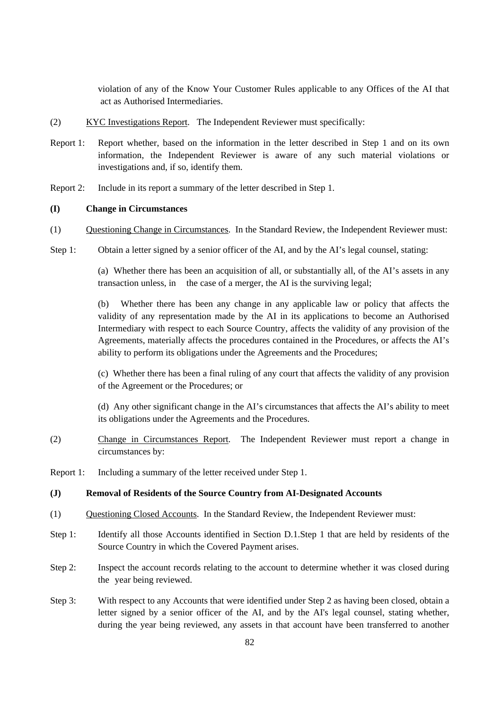violation of any of the Know Your Customer Rules applicable to any Offices of the AI that act as Authorised Intermediaries.

- (2) KYC Investigations Report. The Independent Reviewer must specifically:
- Report 1: Report whether, based on the information in the letter described in Step 1 and on its own information, the Independent Reviewer is aware of any such material violations or investigations and, if so, identify them.
- Report 2: Include in its report a summary of the letter described in Step 1.

# **(I) Change in Circumstances**

- (1) Questioning Change in Circumstances. In the Standard Review, the Independent Reviewer must:
- Step 1: Obtain a letter signed by a senior officer of the AI, and by the AI's legal counsel, stating:

(a) Whether there has been an acquisition of all, or substantially all, of the AI's assets in any transaction unless, in the case of a merger, the AI is the surviving legal;

(b)Whether there has been any change in any applicable law or policy that affects the validity of any representation made by the AI in its applications to become an Authorised Intermediary with respect to each Source Country, affects the validity of any provision of the Agreements, materially affects the procedures contained in the Procedures, or affects the AI's ability to perform its obligations under the Agreements and the Procedures;

(c)Whether there has been a final ruling of any court that affects the validity of any provision of the Agreement or the Procedures; or

(d)Any other significant change in the AI's circumstances that affects the AI's ability to meet its obligations under the Agreements and the Procedures.

- (2) Change in Circumstances Report. The Independent Reviewer must report a change in circumstances by:
- Report 1: Including a summary of the letter received under Step 1.

# **(J) Removal of Residents of the Source Country from AI-Designated Accounts**

- (1) Questioning Closed Accounts. In the Standard Review, the Independent Reviewer must:
- Step 1: Identify all those Accounts identified in Section D.1.Step 1 that are held by residents of the Source Country in which the Covered Payment arises.
- Step 2: Inspect the account records relating to the account to determine whether it was closed during the year being reviewed.
- Step 3: With respect to any Accounts that were identified under Step 2 as having been closed, obtain a letter signed by a senior officer of the AI, and by the AI's legal counsel, stating whether, during the year being reviewed, any assets in that account have been transferred to another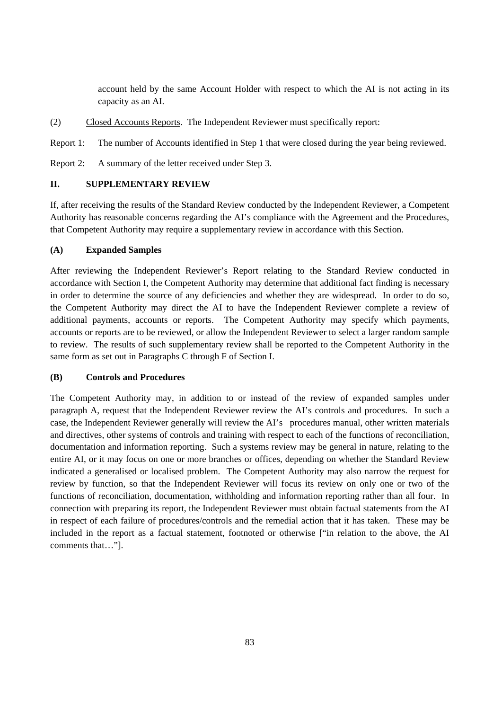account held by the same Account Holder with respect to which the AI is not acting in its capacity as an AI.

(2) Closed Accounts Reports. The Independent Reviewer must specifically report:

Report 1: The number of Accounts identified in Step 1 that were closed during the year being reviewed.

Report 2: A summary of the letter received under Step 3.

## **II. SUPPLEMENTARY REVIEW**

If, after receiving the results of the Standard Review conducted by the Independent Reviewer, a Competent Authority has reasonable concerns regarding the AI's compliance with the Agreement and the Procedures, that Competent Authority may require a supplementary review in accordance with this Section.

# **(A) Expanded Samples**

After reviewing the Independent Reviewer's Report relating to the Standard Review conducted in accordance with Section I, the Competent Authority may determine that additional fact finding is necessary in order to determine the source of any deficiencies and whether they are widespread. In order to do so, the Competent Authority may direct the AI to have the Independent Reviewer complete a review of additional payments, accounts or reports. The Competent Authority may specify which payments, accounts or reports are to be reviewed, or allow the Independent Reviewer to select a larger random sample to review. The results of such supplementary review shall be reported to the Competent Authority in the same form as set out in Paragraphs C through F of Section I.

# **(B) Controls and Procedures**

The Competent Authority may, in addition to or instead of the review of expanded samples under paragraph A, request that the Independent Reviewer review the AI's controls and procedures. In such a case, the Independent Reviewer generally will review the AI's procedures manual, other written materials and directives, other systems of controls and training with respect to each of the functions of reconciliation, documentation and information reporting. Such a systems review may be general in nature, relating to the entire AI, or it may focus on one or more branches or offices, depending on whether the Standard Review indicated a generalised or localised problem. The Competent Authority may also narrow the request for review by function, so that the Independent Reviewer will focus its review on only one or two of the functions of reconciliation, documentation, withholding and information reporting rather than all four. In connection with preparing its report, the Independent Reviewer must obtain factual statements from the AI in respect of each failure of procedures/controls and the remedial action that it has taken. These may be included in the report as a factual statement, footnoted or otherwise ["in relation to the above, the AI comments that…"].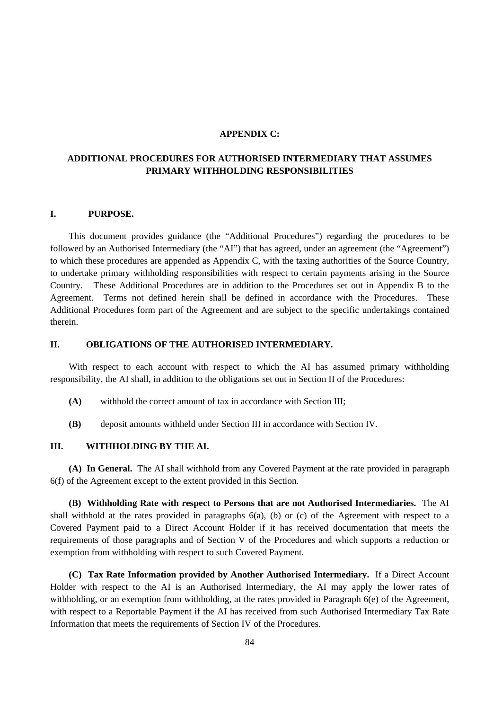# **APPENDIX C:**

# **ADDITIONAL PROCEDURES FOR AUTHORISED INTERMEDIARY THAT ASSUMES PRIMARY WITHHOLDING RESPONSIBILITIES**

## **I. PURPOSE.**

This document provides guidance (the "Additional Procedures") regarding the procedures to be followed by an Authorised Intermediary (the "AI") that has agreed, under an agreement (the "Agreement") to which these procedures are appended as Appendix C, with the taxing authorities of the Source Country, to undertake primary withholding responsibilities with respect to certain payments arising in the Source Country. These Additional Procedures are in addition to the Procedures set out in Appendix B to the Agreement. Terms not defined herein shall be defined in accordance with the Procedures. These Additional Procedures form part of the Agreement and are subject to the specific undertakings contained therein.

## **II. OBLIGATIONS OF THE AUTHORISED INTERMEDIARY.**

With respect to each account with respect to which the AI has assumed primary withholding responsibility, the AI shall, in addition to the obligations set out in Section II of the Procedures:

- **(A)** withhold the correct amount of tax in accordance with Section III;
- **(B)** deposit amounts withheld under Section III in accordance with Section IV.

# **III. WITHHOLDING BY THE AI.**

**(A) In General.** The AI shall withhold from any Covered Payment at the rate provided in paragraph 6(f) of the Agreement except to the extent provided in this Section.

**(B) Withholding Rate with respect to Persons that are not Authorised Intermediaries.** The AI shall withhold at the rates provided in paragraphs 6(a), (b) or (c) of the Agreement with respect to a Covered Payment paid to a Direct Account Holder if it has received documentation that meets the requirements of those paragraphs and of Section V of the Procedures and which supports a reduction or exemption from withholding with respect to such Covered Payment.

**(C) Tax Rate Information provided by Another Authorised Intermediary.** If a Direct Account Holder with respect to the AI is an Authorised Intermediary, the AI may apply the lower rates of withholding, or an exemption from withholding, at the rates provided in Paragraph 6(e) of the Agreement, with respect to a Reportable Payment if the AI has received from such Authorised Intermediary Tax Rate Information that meets the requirements of Section IV of the Procedures.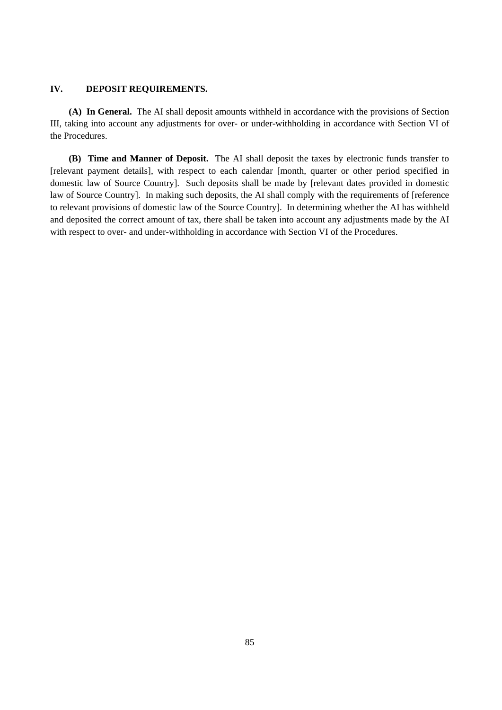# **IV. DEPOSIT REQUIREMENTS.**

**(A) In General.** The AI shall deposit amounts withheld in accordance with the provisions of Section III, taking into account any adjustments for over- or under-withholding in accordance with Section VI of the Procedures.

**(B) Time and Manner of Deposit.** The AI shall deposit the taxes by electronic funds transfer to [relevant payment details], with respect to each calendar [month, quarter or other period specified in domestic law of Source Country]. Such deposits shall be made by [relevant dates provided in domestic law of Source Country]. In making such deposits, the AI shall comply with the requirements of [reference to relevant provisions of domestic law of the Source Country]. In determining whether the AI has withheld and deposited the correct amount of tax, there shall be taken into account any adjustments made by the AI with respect to over- and under-withholding in accordance with Section VI of the Procedures.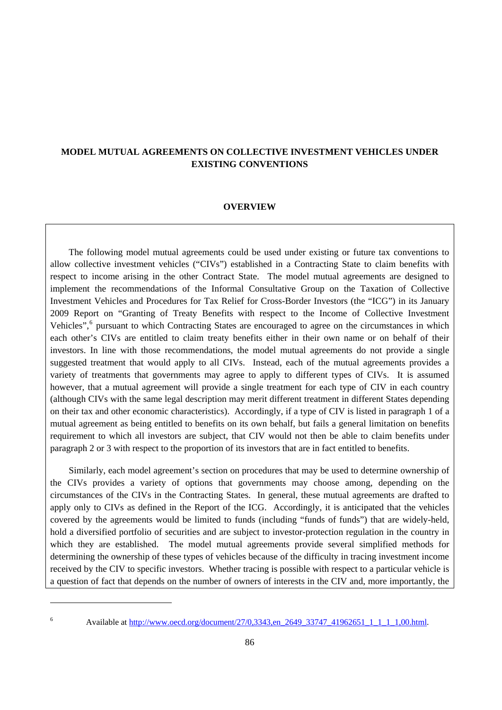# **MODEL MUTUAL AGREEMENTS ON COLLECTIVE INVESTMENT VEHICLES UNDER EXISTING CONVENTIONS**

# **OVERVIEW**

The following model mutual agreements could be used under existing or future tax conventions to allow collective investment vehicles ("CIVs") established in a Contracting State to claim benefits with respect to income arising in the other Contract State. The model mutual agreements are designed to implement the recommendations of the Informal Consultative Group on the Taxation of Collective Investment Vehicles and Procedures for Tax Relief for Cross-Border Investors (the "ICG") in its January 2009 Report on "Granting of Treaty Benefits with respect to the Income of Collective Investment Vehicles",<sup>[6](#page-85-0)</sup> pursuant to which Contracting States are encouraged to agree on the circumstances in which each other's CIVs are entitled to claim treaty benefits either in their own name or on behalf of their investors. In line with those recommendations, the model mutual agreements do not provide a single suggested treatment that would apply to all CIVs. Instead, each of the mutual agreements provides a variety of treatments that governments may agree to apply to different types of CIVs. It is assumed however, that a mutual agreement will provide a single treatment for each type of CIV in each country (although CIVs with the same legal description may merit different treatment in different States depending on their tax and other economic characteristics). Accordingly, if a type of CIV is listed in paragraph 1 of a mutual agreement as being entitled to benefits on its own behalf, but fails a general limitation on benefits requirement to which all investors are subject, that CIV would not then be able to claim benefits under paragraph 2 or 3 with respect to the proportion of its investors that are in fact entitled to benefits.

Similarly, each model agreement's section on procedures that may be used to determine ownership of the CIVs provides a variety of options that governments may choose among, depending on the circumstances of the CIVs in the Contracting States. In general, these mutual agreements are drafted to apply only to CIVs as defined in the Report of the ICG. Accordingly, it is anticipated that the vehicles covered by the agreements would be limited to funds (including "funds of funds") that are widely-held, hold a diversified portfolio of securities and are subject to investor-protection regulation in the country in which they are established. The model mutual agreements provide several simplified methods for determining the ownership of these types of vehicles because of the difficulty in tracing investment income received by the CIV to specific investors. Whether tracing is possible with respect to a particular vehicle is a question of fact that depends on the number of owners of interests in the CIV and, more importantly, the

1

<span id="page-85-0"></span><sup>6</sup>

Available at [http://www.oecd.org/document/27/0,3343,en\\_2649\\_33747\\_41962651\\_1\\_1\\_1\\_1,00.html](http://www.oecd.org/document/27/0,3343,en_2649_33747_41962651_1_1_1_1,00.html).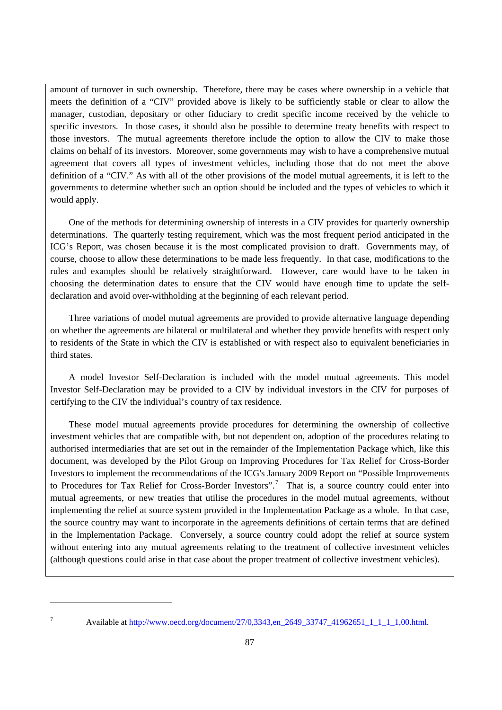amount of turnover in such ownership. Therefore, there may be cases where ownership in a vehicle that meets the definition of a "CIV" provided above is likely to be sufficiently stable or clear to allow the manager, custodian, depositary or other fiduciary to credit specific income received by the vehicle to specific investors. In those cases, it should also be possible to determine treaty benefits with respect to those investors. The mutual agreements therefore include the option to allow the CIV to make those claims on behalf of its investors. Moreover, some governments may wish to have a comprehensive mutual agreement that covers all types of investment vehicles, including those that do not meet the above definition of a "CIV." As with all of the other provisions of the model mutual agreements, it is left to the governments to determine whether such an option should be included and the types of vehicles to which it would apply.

One of the methods for determining ownership of interests in a CIV provides for quarterly ownership determinations. The quarterly testing requirement, which was the most frequent period anticipated in the ICG's Report, was chosen because it is the most complicated provision to draft. Governments may, of course, choose to allow these determinations to be made less frequently. In that case, modifications to the rules and examples should be relatively straightforward. However, care would have to be taken in choosing the determination dates to ensure that the CIV would have enough time to update the selfdeclaration and avoid over-withholding at the beginning of each relevant period.

Three variations of model mutual agreements are provided to provide alternative language depending on whether the agreements are bilateral or multilateral and whether they provide benefits with respect only to residents of the State in which the CIV is established or with respect also to equivalent beneficiaries in third states.

A model Investor Self-Declaration is included with the model mutual agreements. This model Investor Self-Declaration may be provided to a CIV by individual investors in the CIV for purposes of certifying to the CIV the individual's country of tax residence.

These model mutual agreements provide procedures for determining the ownership of collective investment vehicles that are compatible with, but not dependent on, adoption of the procedures relating to authorised intermediaries that are set out in the remainder of the Implementation Package which, like this document, was developed by the Pilot Group on Improving Procedures for Tax Relief for Cross-Border Investors to implement the recommendations of the ICG's January 2009 Report on "Possible Improvements to Procedures for Tax Relief for Cross-Border Investors".<sup>[7](#page-86-0)</sup> That is, a source country could enter into mutual agreements, or new treaties that utilise the procedures in the model mutual agreements, without implementing the relief at source system provided in the Implementation Package as a whole. In that case, the source country may want to incorporate in the agreements definitions of certain terms that are defined in the Implementation Package. Conversely, a source country could adopt the relief at source system without entering into any mutual agreements relating to the treatment of collective investment vehicles (although questions could arise in that case about the proper treatment of collective investment vehicles).

<span id="page-86-0"></span><sup>1</sup> 7

Available at [http://www.oecd.org/document/27/0,3343,en\\_2649\\_33747\\_41962651\\_1\\_1\\_1\\_1,00.html](http://www.oecd.org/document/27/0,3343,en_2649_33747_41962651_1_1_1_1,00.html).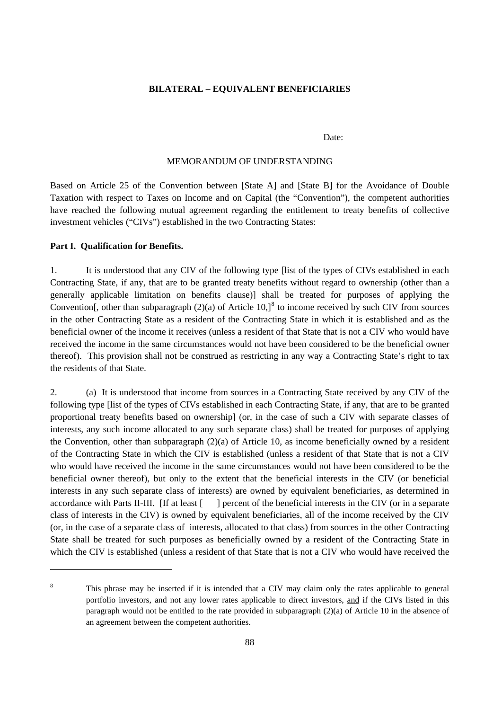#### **BILATERAL – EQUIVALENT BENEFICIARIES**

Date:

# MEMORANDUM OF UNDERSTANDING

Based on Article 25 of the Convention between [State A] and [State B] for the Avoidance of Double Taxation with respect to Taxes on Income and on Capital (the "Convention"), the competent authorities have reached the following mutual agreement regarding the entitlement to treaty benefits of collective investment vehicles ("CIVs") established in the two Contracting States:

#### **Part I. Qualification for Benefits.**

<span id="page-87-0"></span>1 8

1. It is understood that any CIV of the following type [list of the types of CIVs established in each Contracting State, if any, that are to be granted treaty benefits without regard to ownership (other than a generally applicable limitation on benefits clause)] shall be treated for purposes of applying the Convention[, other than subparagraph  $(2)(a)$  of Article 10,]<sup>[8](#page-87-0)</sup> to income received by such CIV from sources in the other Contracting State as a resident of the Contracting State in which it is established and as the beneficial owner of the income it receives (unless a resident of that State that is not a CIV who would have received the income in the same circumstances would not have been considered to be the beneficial owner thereof). This provision shall not be construed as restricting in any way a Contracting State's right to tax the residents of that State.

2. (a) It is understood that income from sources in a Contracting State received by any CIV of the following type [list of the types of CIVs established in each Contracting State, if any, that are to be granted proportional treaty benefits based on ownership] (or, in the case of such a CIV with separate classes of interests, any such income allocated to any such separate class) shall be treated for purposes of applying the Convention, other than subparagraph (2)(a) of Article 10, as income beneficially owned by a resident of the Contracting State in which the CIV is established (unless a resident of that State that is not a CIV who would have received the income in the same circumstances would not have been considered to be the beneficial owner thereof), but only to the extent that the beneficial interests in the CIV (or beneficial interests in any such separate class of interests) are owned by equivalent beneficiaries, as determined in accordance with Parts II-III. [If at least [ ] percent of the beneficial interests in the CIV (or in a separate class of interests in the CIV) is owned by equivalent beneficiaries, all of the income received by the CIV (or, in the case of a separate class of interests, allocated to that class) from sources in the other Contracting State shall be treated for such purposes as beneficially owned by a resident of the Contracting State in which the CIV is established (unless a resident of that State that is not a CIV who would have received the

This phrase may be inserted if it is intended that a CIV may claim only the rates applicable to general portfolio investors, and not any lower rates applicable to direct investors, and if the CIVs listed in this paragraph would not be entitled to the rate provided in subparagraph (2)(a) of Article 10 in the absence of an agreement between the competent authorities.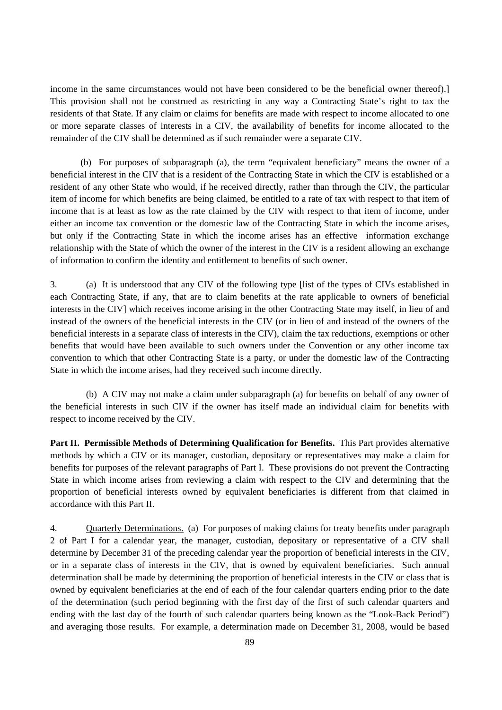income in the same circumstances would not have been considered to be the beneficial owner thereof).] This provision shall not be construed as restricting in any way a Contracting State's right to tax the residents of that State. If any claim or claims for benefits are made with respect to income allocated to one or more separate classes of interests in a CIV, the availability of benefits for income allocated to the remainder of the CIV shall be determined as if such remainder were a separate CIV.

(b) For purposes of subparagraph (a), the term "equivalent beneficiary" means the owner of a beneficial interest in the CIV that is a resident of the Contracting State in which the CIV is established or a resident of any other State who would, if he received directly, rather than through the CIV, the particular item of income for which benefits are being claimed, be entitled to a rate of tax with respect to that item of income that is at least as low as the rate claimed by the CIV with respect to that item of income, under either an income tax convention or the domestic law of the Contracting State in which the income arises, but only if the Contracting State in which the income arises has an effective information exchange relationship with the State of which the owner of the interest in the CIV is a resident allowing an exchange of information to confirm the identity and entitlement to benefits of such owner.

3. (a) It is understood that any CIV of the following type [list of the types of CIVs established in each Contracting State, if any, that are to claim benefits at the rate applicable to owners of beneficial interests in the CIV] which receives income arising in the other Contracting State may itself, in lieu of and instead of the owners of the beneficial interests in the CIV (or in lieu of and instead of the owners of the beneficial interests in a separate class of interests in the CIV), claim the tax reductions, exemptions or other benefits that would have been available to such owners under the Convention or any other income tax convention to which that other Contracting State is a party, or under the domestic law of the Contracting State in which the income arises, had they received such income directly.

(b) A CIV may not make a claim under subparagraph (a) for benefits on behalf of any owner of the beneficial interests in such CIV if the owner has itself made an individual claim for benefits with respect to income received by the CIV.

**Part II. Permissible Methods of Determining Qualification for Benefits.** This Part provides alternative methods by which a CIV or its manager, custodian, depositary or representatives may make a claim for benefits for purposes of the relevant paragraphs of Part I. These provisions do not prevent the Contracting State in which income arises from reviewing a claim with respect to the CIV and determining that the proportion of beneficial interests owned by equivalent beneficiaries is different from that claimed in accordance with this Part II.

4. Quarterly Determinations.(a) For purposes of making claims for treaty benefits under paragraph 2 of Part I for a calendar year, the manager, custodian, depositary or representative of a CIV shall determine by December 31 of the preceding calendar year the proportion of beneficial interests in the CIV, or in a separate class of interests in the CIV, that is owned by equivalent beneficiaries. Such annual determination shall be made by determining the proportion of beneficial interests in the CIV or class that is owned by equivalent beneficiaries at the end of each of the four calendar quarters ending prior to the date of the determination (such period beginning with the first day of the first of such calendar quarters and ending with the last day of the fourth of such calendar quarters being known as the "Look-Back Period") and averaging those results. For example, a determination made on December 31, 2008, would be based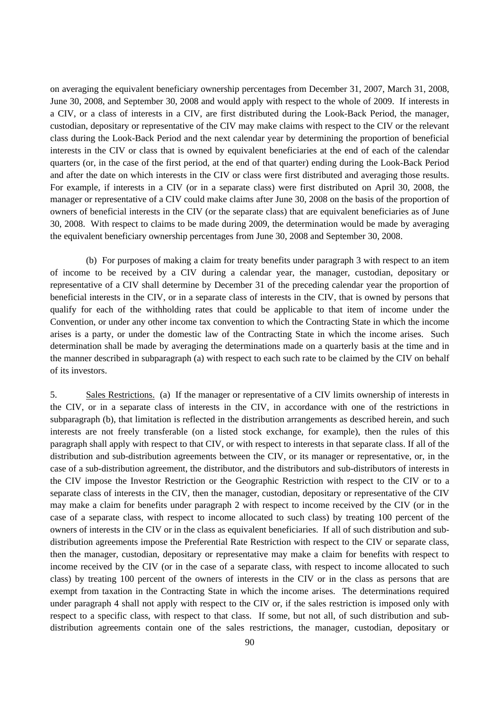on averaging the equivalent beneficiary ownership percentages from December 31, 2007, March 31, 2008, June 30, 2008, and September 30, 2008 and would apply with respect to the whole of 2009. If interests in a CIV, or a class of interests in a CIV, are first distributed during the Look-Back Period, the manager, custodian, depositary or representative of the CIV may make claims with respect to the CIV or the relevant class during the Look-Back Period and the next calendar year by determining the proportion of beneficial interests in the CIV or class that is owned by equivalent beneficiaries at the end of each of the calendar quarters (or, in the case of the first period, at the end of that quarter) ending during the Look-Back Period and after the date on which interests in the CIV or class were first distributed and averaging those results. For example, if interests in a CIV (or in a separate class) were first distributed on April 30, 2008, the manager or representative of a CIV could make claims after June 30, 2008 on the basis of the proportion of owners of beneficial interests in the CIV (or the separate class) that are equivalent beneficiaries as of June 30, 2008. With respect to claims to be made during 2009, the determination would be made by averaging the equivalent beneficiary ownership percentages from June 30, 2008 and September 30, 2008.

 (b) For purposes of making a claim for treaty benefits under paragraph 3 with respect to an item of income to be received by a CIV during a calendar year, the manager, custodian, depositary or representative of a CIV shall determine by December 31 of the preceding calendar year the proportion of beneficial interests in the CIV, or in a separate class of interests in the CIV, that is owned by persons that qualify for each of the withholding rates that could be applicable to that item of income under the Convention, or under any other income tax convention to which the Contracting State in which the income arises is a party, or under the domestic law of the Contracting State in which the income arises. Such determination shall be made by averaging the determinations made on a quarterly basis at the time and in the manner described in subparagraph (a) with respect to each such rate to be claimed by the CIV on behalf of its investors.

5. Sales Restrictions. (a) If the manager or representative of a CIV limits ownership of interests in the CIV, or in a separate class of interests in the CIV, in accordance with one of the restrictions in subparagraph (b), that limitation is reflected in the distribution arrangements as described herein, and such interests are not freely transferable (on a listed stock exchange, for example), then the rules of this paragraph shall apply with respect to that CIV, or with respect to interests in that separate class. If all of the distribution and sub-distribution agreements between the CIV, or its manager or representative, or, in the case of a sub-distribution agreement, the distributor, and the distributors and sub-distributors of interests in the CIV impose the Investor Restriction or the Geographic Restriction with respect to the CIV or to a separate class of interests in the CIV, then the manager, custodian, depositary or representative of the CIV may make a claim for benefits under paragraph 2 with respect to income received by the CIV (or in the case of a separate class, with respect to income allocated to such class) by treating 100 percent of the owners of interests in the CIV or in the class as equivalent beneficiaries. If all of such distribution and subdistribution agreements impose the Preferential Rate Restriction with respect to the CIV or separate class, then the manager, custodian, depositary or representative may make a claim for benefits with respect to income received by the CIV (or in the case of a separate class, with respect to income allocated to such class) by treating 100 percent of the owners of interests in the CIV or in the class as persons that are exempt from taxation in the Contracting State in which the income arises. The determinations required under paragraph 4 shall not apply with respect to the CIV or, if the sales restriction is imposed only with respect to a specific class, with respect to that class. If some, but not all, of such distribution and subdistribution agreements contain one of the sales restrictions, the manager, custodian, depositary or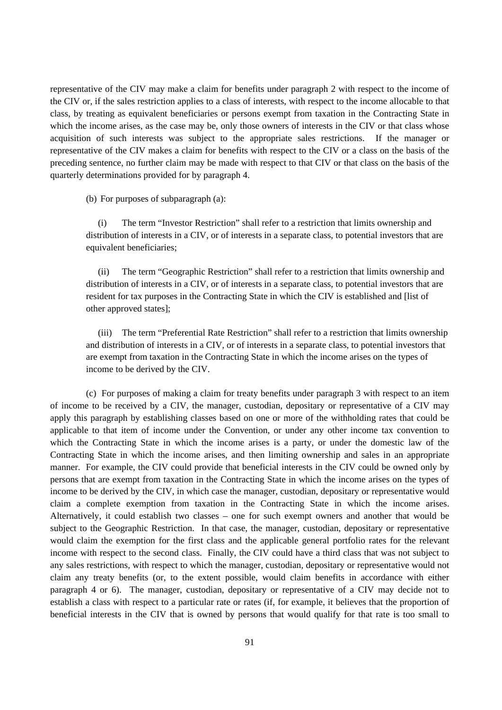representative of the CIV may make a claim for benefits under paragraph 2 with respect to the income of the CIV or, if the sales restriction applies to a class of interests, with respect to the income allocable to that class, by treating as equivalent beneficiaries or persons exempt from taxation in the Contracting State in which the income arises, as the case may be, only those owners of interests in the CIV or that class whose acquisition of such interests was subject to the appropriate sales restrictions. If the manager or representative of the CIV makes a claim for benefits with respect to the CIV or a class on the basis of the preceding sentence, no further claim may be made with respect to that CIV or that class on the basis of the quarterly determinations provided for by paragraph 4.

(b) For purposes of subparagraph (a):

 (i) The term "Investor Restriction" shall refer to a restriction that limits ownership and distribution of interests in a CIV, or of interests in a separate class, to potential investors that are equivalent beneficiaries;

 (ii) The term "Geographic Restriction" shall refer to a restriction that limits ownership and distribution of interests in a CIV, or of interests in a separate class, to potential investors that are resident for tax purposes in the Contracting State in which the CIV is established and [list of other approved states];

 (iii) The term "Preferential Rate Restriction" shall refer to a restriction that limits ownership and distribution of interests in a CIV, or of interests in a separate class, to potential investors that are exempt from taxation in the Contracting State in which the income arises on the types of income to be derived by the CIV.

 (c) For purposes of making a claim for treaty benefits under paragraph 3 with respect to an item of income to be received by a CIV, the manager, custodian, depositary or representative of a CIV may apply this paragraph by establishing classes based on one or more of the withholding rates that could be applicable to that item of income under the Convention, or under any other income tax convention to which the Contracting State in which the income arises is a party, or under the domestic law of the Contracting State in which the income arises, and then limiting ownership and sales in an appropriate manner. For example, the CIV could provide that beneficial interests in the CIV could be owned only by persons that are exempt from taxation in the Contracting State in which the income arises on the types of income to be derived by the CIV, in which case the manager, custodian, depositary or representative would claim a complete exemption from taxation in the Contracting State in which the income arises. Alternatively, it could establish two classes – one for such exempt owners and another that would be subject to the Geographic Restriction. In that case, the manager, custodian, depositary or representative would claim the exemption for the first class and the applicable general portfolio rates for the relevant income with respect to the second class. Finally, the CIV could have a third class that was not subject to any sales restrictions, with respect to which the manager, custodian, depositary or representative would not claim any treaty benefits (or, to the extent possible, would claim benefits in accordance with either paragraph 4 or 6). The manager, custodian, depositary or representative of a CIV may decide not to establish a class with respect to a particular rate or rates (if, for example, it believes that the proportion of beneficial interests in the CIV that is owned by persons that would qualify for that rate is too small to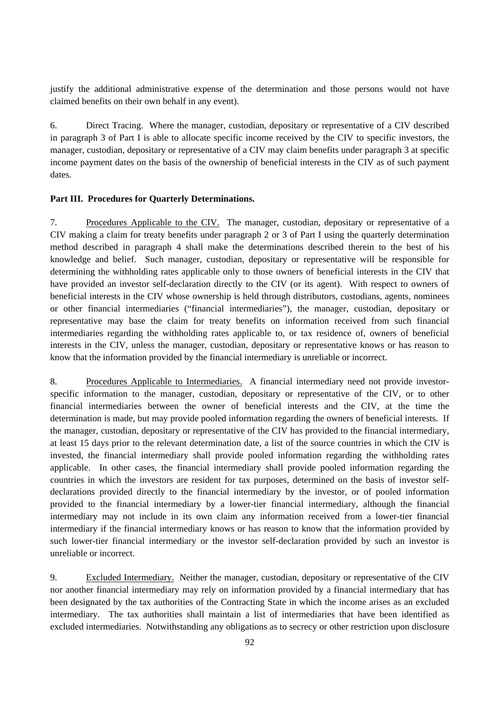justify the additional administrative expense of the determination and those persons would not have claimed benefits on their own behalf in any event).

6. Direct Tracing. Where the manager, custodian, depositary or representative of a CIV described in paragraph 3 of Part I is able to allocate specific income received by the CIV to specific investors, the manager, custodian, depositary or representative of a CIV may claim benefits under paragraph 3 at specific income payment dates on the basis of the ownership of beneficial interests in the CIV as of such payment dates.

## **Part III. Procedures for Quarterly Determinations.**

7. Procedures Applicable to the CIV. The manager, custodian, depositary or representative of a CIV making a claim for treaty benefits under paragraph 2 or 3 of Part I using the quarterly determination method described in paragraph 4 shall make the determinations described therein to the best of his knowledge and belief. Such manager, custodian, depositary or representative will be responsible for determining the withholding rates applicable only to those owners of beneficial interests in the CIV that have provided an investor self-declaration directly to the CIV (or its agent). With respect to owners of beneficial interests in the CIV whose ownership is held through distributors, custodians, agents, nominees or other financial intermediaries ("financial intermediaries"), the manager, custodian, depositary or representative may base the claim for treaty benefits on information received from such financial intermediaries regarding the withholding rates applicable to, or tax residence of, owners of beneficial interests in the CIV, unless the manager, custodian, depositary or representative knows or has reason to know that the information provided by the financial intermediary is unreliable or incorrect.

8. Procedures Applicable to Intermediaries. A financial intermediary need not provide investorspecific information to the manager, custodian, depositary or representative of the CIV, or to other financial intermediaries between the owner of beneficial interests and the CIV, at the time the determination is made, but may provide pooled information regarding the owners of beneficial interests. If the manager, custodian, depositary or representative of the CIV has provided to the financial intermediary, at least 15 days prior to the relevant determination date, a list of the source countries in which the CIV is invested, the financial intermediary shall provide pooled information regarding the withholding rates applicable. In other cases, the financial intermediary shall provide pooled information regarding the countries in which the investors are resident for tax purposes, determined on the basis of investor selfdeclarations provided directly to the financial intermediary by the investor, or of pooled information provided to the financial intermediary by a lower-tier financial intermediary, although the financial intermediary may not include in its own claim any information received from a lower-tier financial intermediary if the financial intermediary knows or has reason to know that the information provided by such lower-tier financial intermediary or the investor self-declaration provided by such an investor is unreliable or incorrect.

9. Excluded Intermediary.Neither the manager, custodian, depositary or representative of the CIV nor another financial intermediary may rely on information provided by a financial intermediary that has been designated by the tax authorities of the Contracting State in which the income arises as an excluded intermediary. The tax authorities shall maintain a list of intermediaries that have been identified as excluded intermediaries. Notwithstanding any obligations as to secrecy or other restriction upon disclosure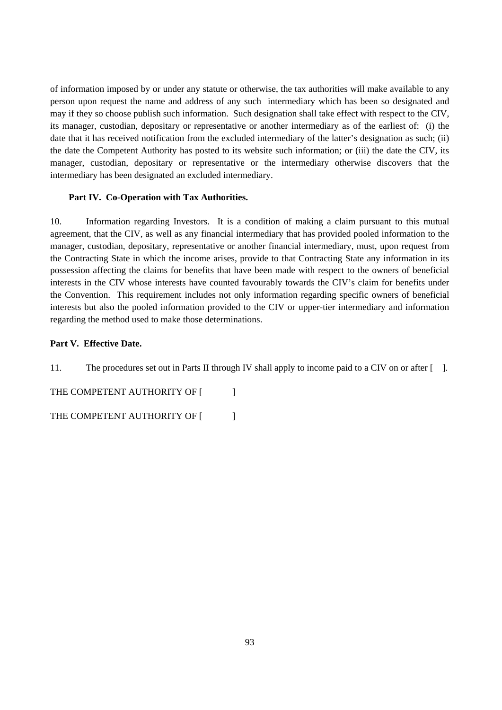of information imposed by or under any statute or otherwise, the tax authorities will make available to any person upon request the name and address of any such intermediary which has been so designated and may if they so choose publish such information. Such designation shall take effect with respect to the CIV, its manager, custodian, depositary or representative or another intermediary as of the earliest of: (i) the date that it has received notification from the excluded intermediary of the latter's designation as such; (ii) the date the Competent Authority has posted to its website such information; or (iii) the date the CIV, its manager, custodian, depositary or representative or the intermediary otherwise discovers that the intermediary has been designated an excluded intermediary.

# **Part IV. Co-Operation with Tax Authorities.**

10. Information regarding Investors. It is a condition of making a claim pursuant to this mutual agreement, that the CIV, as well as any financial intermediary that has provided pooled information to the manager, custodian, depositary, representative or another financial intermediary, must, upon request from the Contracting State in which the income arises, provide to that Contracting State any information in its possession affecting the claims for benefits that have been made with respect to the owners of beneficial interests in the CIV whose interests have counted favourably towards the CIV's claim for benefits under the Convention. This requirement includes not only information regarding specific owners of beneficial interests but also the pooled information provided to the CIV or upper-tier intermediary and information regarding the method used to make those determinations.

### **Part V. Effective Date.**

11. The procedures set out in Parts II through IV shall apply to income paid to a CIV on or after [ ].

THE COMPETENT AUTHORITY OF [ THE COMPETENT AUTHORITY OF [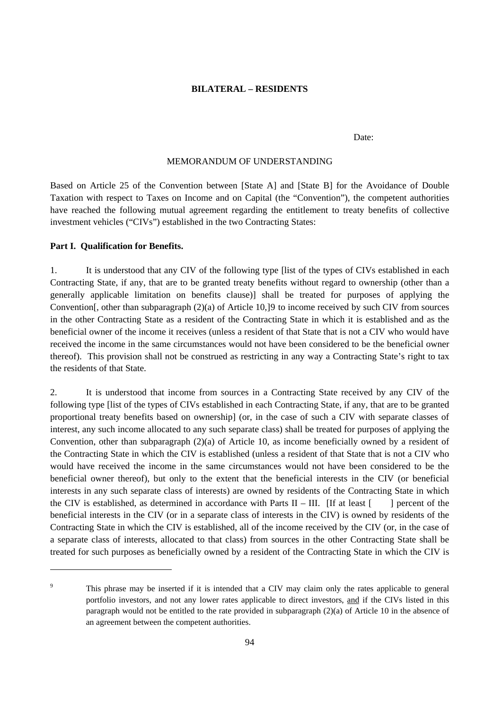# **BILATERAL – RESIDENTS**

Date:

# MEMORANDUM OF UNDERSTANDING

Based on Article 25 of the Convention between [State A] and [State B] for the Avoidance of Double Taxation with respect to Taxes on Income and on Capital (the "Convention"), the competent authorities have reached the following mutual agreement regarding the entitlement to treaty benefits of collective investment vehicles ("CIVs") established in the two Contracting States:

#### **Part I. Qualification for Benefits.**

<span id="page-93-0"></span>1 9

1. It is understood that any CIV of the following type [list of the types of CIVs established in each Contracting State, if any, that are to be granted treaty benefits without regard to ownership (other than a generally applicable limitation on benefits clause)] shall be treated for purposes of applying the Convention[, other than subparagraph (2)(a) of Article 10,][9](#page-93-0) to income received by such CIV from sources in the other Contracting State as a resident of the Contracting State in which it is established and as the beneficial owner of the income it receives (unless a resident of that State that is not a CIV who would have received the income in the same circumstances would not have been considered to be the beneficial owner thereof). This provision shall not be construed as restricting in any way a Contracting State's right to tax the residents of that State.

2. It is understood that income from sources in a Contracting State received by any CIV of the following type [list of the types of CIVs established in each Contracting State, if any, that are to be granted proportional treaty benefits based on ownership] (or, in the case of such a CIV with separate classes of interest, any such income allocated to any such separate class) shall be treated for purposes of applying the Convention, other than subparagraph (2)(a) of Article 10, as income beneficially owned by a resident of the Contracting State in which the CIV is established (unless a resident of that State that is not a CIV who would have received the income in the same circumstances would not have been considered to be the beneficial owner thereof), but only to the extent that the beneficial interests in the CIV (or beneficial interests in any such separate class of interests) are owned by residents of the Contracting State in which the CIV is established, as determined in accordance with Parts II – III. [If at least  $\lceil \cdot \rceil$  percent of the beneficial interests in the CIV (or in a separate class of interests in the CIV) is owned by residents of the Contracting State in which the CIV is established, all of the income received by the CIV (or, in the case of a separate class of interests, allocated to that class) from sources in the other Contracting State shall be treated for such purposes as beneficially owned by a resident of the Contracting State in which the CIV is

This phrase may be inserted if it is intended that a CIV may claim only the rates applicable to general portfolio investors, and not any lower rates applicable to direct investors, and if the CIVs listed in this paragraph would not be entitled to the rate provided in subparagraph (2)(a) of Article 10 in the absence of an agreement between the competent authorities.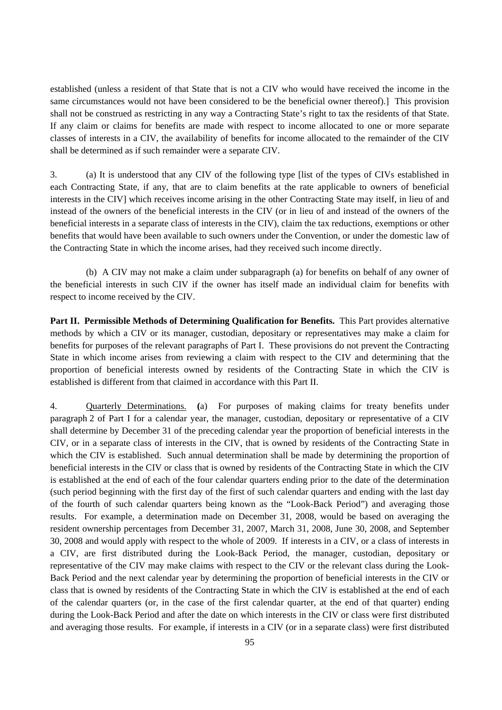established (unless a resident of that State that is not a CIV who would have received the income in the same circumstances would not have been considered to be the beneficial owner thereof).] This provision shall not be construed as restricting in any way a Contracting State's right to tax the residents of that State. If any claim or claims for benefits are made with respect to income allocated to one or more separate classes of interests in a CIV, the availability of benefits for income allocated to the remainder of the CIV shall be determined as if such remainder were a separate CIV.

3. (a) It is understood that any CIV of the following type [list of the types of CIVs established in each Contracting State, if any, that are to claim benefits at the rate applicable to owners of beneficial interests in the CIV] which receives income arising in the other Contracting State may itself, in lieu of and instead of the owners of the beneficial interests in the CIV (or in lieu of and instead of the owners of the beneficial interests in a separate class of interests in the CIV), claim the tax reductions, exemptions or other benefits that would have been available to such owners under the Convention, or under the domestic law of the Contracting State in which the income arises, had they received such income directly.

(b) A CIV may not make a claim under subparagraph (a) for benefits on behalf of any owner of the beneficial interests in such CIV if the owner has itself made an individual claim for benefits with respect to income received by the CIV.

**Part II. Permissible Methods of Determining Qualification for Benefits.** This Part provides alternative methods by which a CIV or its manager, custodian, depositary or representatives may make a claim for benefits for purposes of the relevant paragraphs of Part I. These provisions do not prevent the Contracting State in which income arises from reviewing a claim with respect to the CIV and determining that the proportion of beneficial interests owned by residents of the Contracting State in which the CIV is established is different from that claimed in accordance with this Part II.

4. Quarterly Determinations. **(**a) For purposes of making claims for treaty benefits under paragraph 2 of Part I for a calendar year, the manager, custodian, depositary or representative of a CIV shall determine by December 31 of the preceding calendar year the proportion of beneficial interests in the CIV, or in a separate class of interests in the CIV, that is owned by residents of the Contracting State in which the CIV is established. Such annual determination shall be made by determining the proportion of beneficial interests in the CIV or class that is owned by residents of the Contracting State in which the CIV is established at the end of each of the four calendar quarters ending prior to the date of the determination (such period beginning with the first day of the first of such calendar quarters and ending with the last day of the fourth of such calendar quarters being known as the "Look-Back Period") and averaging those results. For example, a determination made on December 31, 2008, would be based on averaging the resident ownership percentages from December 31, 2007, March 31, 2008, June 30, 2008, and September 30, 2008 and would apply with respect to the whole of 2009. If interests in a CIV, or a class of interests in a CIV, are first distributed during the Look-Back Period, the manager, custodian, depositary or representative of the CIV may make claims with respect to the CIV or the relevant class during the Look-Back Period and the next calendar year by determining the proportion of beneficial interests in the CIV or class that is owned by residents of the Contracting State in which the CIV is established at the end of each of the calendar quarters (or, in the case of the first calendar quarter, at the end of that quarter) ending during the Look-Back Period and after the date on which interests in the CIV or class were first distributed and averaging those results. For example, if interests in a CIV (or in a separate class) were first distributed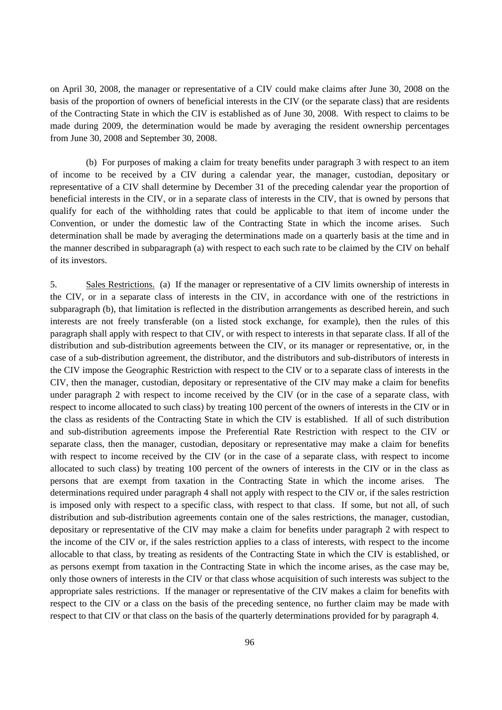on April 30, 2008, the manager or representative of a CIV could make claims after June 30, 2008 on the basis of the proportion of owners of beneficial interests in the CIV (or the separate class) that are residents of the Contracting State in which the CIV is established as of June 30, 2008. With respect to claims to be made during 2009, the determination would be made by averaging the resident ownership percentages from June 30, 2008 and September 30, 2008.

 (b) For purposes of making a claim for treaty benefits under paragraph 3 with respect to an item of income to be received by a CIV during a calendar year, the manager, custodian, depositary or representative of a CIV shall determine by December 31 of the preceding calendar year the proportion of beneficial interests in the CIV, or in a separate class of interests in the CIV, that is owned by persons that qualify for each of the withholding rates that could be applicable to that item of income under the Convention, or under the domestic law of the Contracting State in which the income arises. Such determination shall be made by averaging the determinations made on a quarterly basis at the time and in the manner described in subparagraph (a) with respect to each such rate to be claimed by the CIV on behalf of its investors.

5. Sales Restrictions. (a) If the manager or representative of a CIV limits ownership of interests in the CIV, or in a separate class of interests in the CIV, in accordance with one of the restrictions in subparagraph (b), that limitation is reflected in the distribution arrangements as described herein, and such interests are not freely transferable (on a listed stock exchange, for example), then the rules of this paragraph shall apply with respect to that CIV, or with respect to interests in that separate class. If all of the distribution and sub-distribution agreements between the CIV, or its manager or representative, or, in the case of a sub-distribution agreement, the distributor, and the distributors and sub-distributors of interests in the CIV impose the Geographic Restriction with respect to the CIV or to a separate class of interests in the CIV, then the manager, custodian, depositary or representative of the CIV may make a claim for benefits under paragraph 2 with respect to income received by the CIV (or in the case of a separate class, with respect to income allocated to such class) by treating 100 percent of the owners of interests in the CIV or in the class as residents of the Contracting State in which the CIV is established. If all of such distribution and sub-distribution agreements impose the Preferential Rate Restriction with respect to the CIV or separate class, then the manager, custodian, depositary or representative may make a claim for benefits with respect to income received by the CIV (or in the case of a separate class, with respect to income allocated to such class) by treating 100 percent of the owners of interests in the CIV or in the class as persons that are exempt from taxation in the Contracting State in which the income arises. The determinations required under paragraph 4 shall not apply with respect to the CIV or, if the sales restriction is imposed only with respect to a specific class, with respect to that class. If some, but not all, of such distribution and sub-distribution agreements contain one of the sales restrictions, the manager, custodian, depositary or representative of the CIV may make a claim for benefits under paragraph 2 with respect to the income of the CIV or, if the sales restriction applies to a class of interests, with respect to the income allocable to that class, by treating as residents of the Contracting State in which the CIV is established, or as persons exempt from taxation in the Contracting State in which the income arises, as the case may be, only those owners of interests in the CIV or that class whose acquisition of such interests was subject to the appropriate sales restrictions. If the manager or representative of the CIV makes a claim for benefits with respect to the CIV or a class on the basis of the preceding sentence, no further claim may be made with respect to that CIV or that class on the basis of the quarterly determinations provided for by paragraph 4.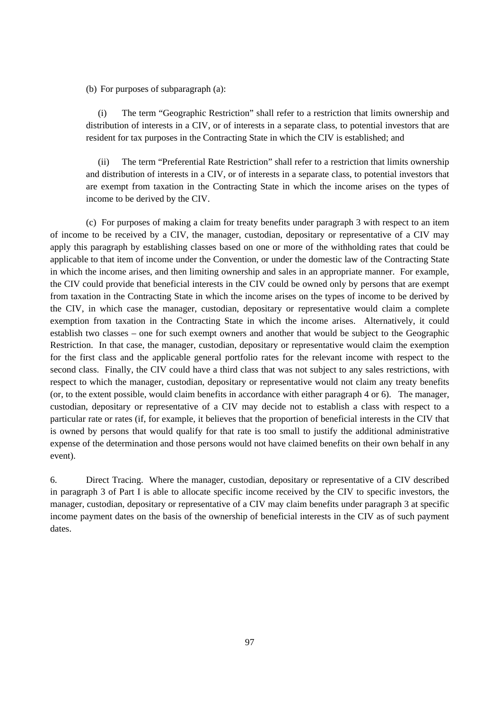(b) For purposes of subparagraph (a):

 (i) The term "Geographic Restriction" shall refer to a restriction that limits ownership and distribution of interests in a CIV, or of interests in a separate class, to potential investors that are resident for tax purposes in the Contracting State in which the CIV is established; and

 (ii) The term "Preferential Rate Restriction" shall refer to a restriction that limits ownership and distribution of interests in a CIV, or of interests in a separate class, to potential investors that are exempt from taxation in the Contracting State in which the income arises on the types of income to be derived by the CIV.

 (c) For purposes of making a claim for treaty benefits under paragraph 3 with respect to an item of income to be received by a CIV, the manager, custodian, depositary or representative of a CIV may apply this paragraph by establishing classes based on one or more of the withholding rates that could be applicable to that item of income under the Convention, or under the domestic law of the Contracting State in which the income arises, and then limiting ownership and sales in an appropriate manner. For example, the CIV could provide that beneficial interests in the CIV could be owned only by persons that are exempt from taxation in the Contracting State in which the income arises on the types of income to be derived by the CIV, in which case the manager, custodian, depositary or representative would claim a complete exemption from taxation in the Contracting State in which the income arises. Alternatively, it could establish two classes – one for such exempt owners and another that would be subject to the Geographic Restriction. In that case, the manager, custodian, depositary or representative would claim the exemption for the first class and the applicable general portfolio rates for the relevant income with respect to the second class. Finally, the CIV could have a third class that was not subject to any sales restrictions, with respect to which the manager, custodian, depositary or representative would not claim any treaty benefits (or, to the extent possible, would claim benefits in accordance with either paragraph 4 or 6). The manager, custodian, depositary or representative of a CIV may decide not to establish a class with respect to a particular rate or rates (if, for example, it believes that the proportion of beneficial interests in the CIV that is owned by persons that would qualify for that rate is too small to justify the additional administrative expense of the determination and those persons would not have claimed benefits on their own behalf in any event).

6. Direct Tracing. Where the manager, custodian, depositary or representative of a CIV described in paragraph 3 of Part I is able to allocate specific income received by the CIV to specific investors, the manager, custodian, depositary or representative of a CIV may claim benefits under paragraph 3 at specific income payment dates on the basis of the ownership of beneficial interests in the CIV as of such payment dates.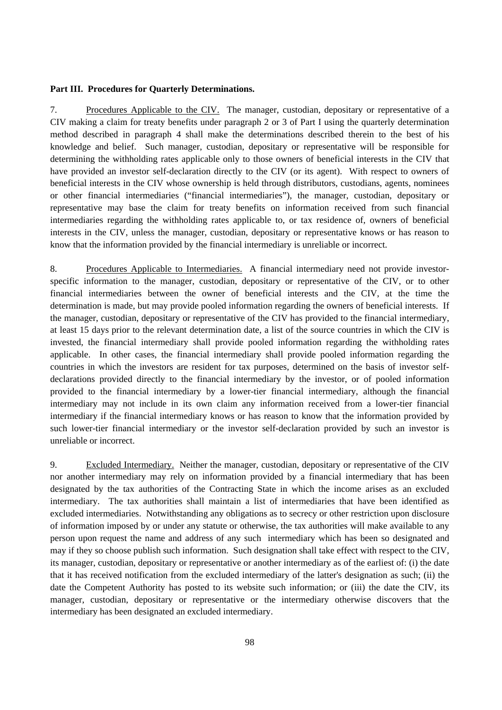#### **Part III. Procedures for Quarterly Determinations.**

7. Procedures Applicable to the CIV. The manager, custodian, depositary or representative of a CIV making a claim for treaty benefits under paragraph 2 or 3 of Part I using the quarterly determination method described in paragraph 4 shall make the determinations described therein to the best of his knowledge and belief. Such manager, custodian, depositary or representative will be responsible for determining the withholding rates applicable only to those owners of beneficial interests in the CIV that have provided an investor self-declaration directly to the CIV (or its agent). With respect to owners of beneficial interests in the CIV whose ownership is held through distributors, custodians, agents, nominees or other financial intermediaries ("financial intermediaries"), the manager, custodian, depositary or representative may base the claim for treaty benefits on information received from such financial intermediaries regarding the withholding rates applicable to, or tax residence of, owners of beneficial interests in the CIV, unless the manager, custodian, depositary or representative knows or has reason to know that the information provided by the financial intermediary is unreliable or incorrect.

8. Procedures Applicable to Intermediaries. A financial intermediary need not provide investorspecific information to the manager, custodian, depositary or representative of the CIV, or to other financial intermediaries between the owner of beneficial interests and the CIV, at the time the determination is made, but may provide pooled information regarding the owners of beneficial interests. If the manager, custodian, depositary or representative of the CIV has provided to the financial intermediary, at least 15 days prior to the relevant determination date, a list of the source countries in which the CIV is invested, the financial intermediary shall provide pooled information regarding the withholding rates applicable. In other cases, the financial intermediary shall provide pooled information regarding the countries in which the investors are resident for tax purposes, determined on the basis of investor selfdeclarations provided directly to the financial intermediary by the investor, or of pooled information provided to the financial intermediary by a lower-tier financial intermediary, although the financial intermediary may not include in its own claim any information received from a lower-tier financial intermediary if the financial intermediary knows or has reason to know that the information provided by such lower-tier financial intermediary or the investor self-declaration provided by such an investor is unreliable or incorrect.

9. Excluded Intermediary.Neither the manager, custodian, depositary or representative of the CIV nor another intermediary may rely on information provided by a financial intermediary that has been designated by the tax authorities of the Contracting State in which the income arises as an excluded intermediary. The tax authorities shall maintain a list of intermediaries that have been identified as excluded intermediaries. Notwithstanding any obligations as to secrecy or other restriction upon disclosure of information imposed by or under any statute or otherwise, the tax authorities will make available to any person upon request the name and address of any such intermediary which has been so designated and may if they so choose publish such information. Such designation shall take effect with respect to the CIV, its manager, custodian, depositary or representative or another intermediary as of the earliest of: (i) the date that it has received notification from the excluded intermediary of the latter's designation as such; (ii) the date the Competent Authority has posted to its website such information; or (iii) the date the CIV, its manager, custodian, depositary or representative or the intermediary otherwise discovers that the intermediary has been designated an excluded intermediary.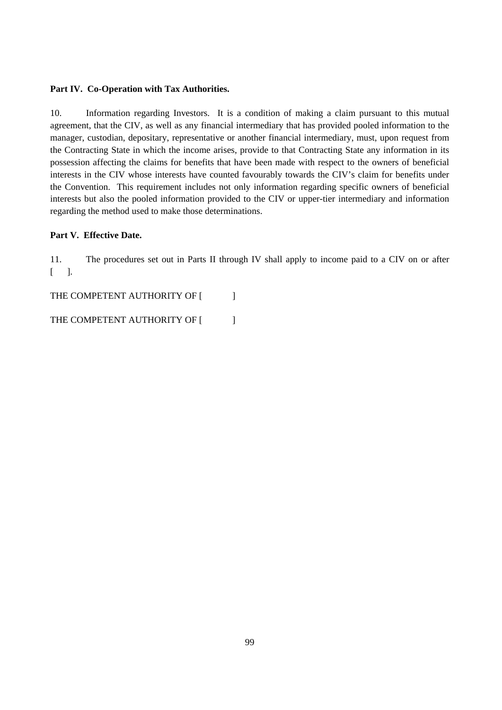# **Part IV. Co-Operation with Tax Authorities.**

10. Information regarding Investors. It is a condition of making a claim pursuant to this mutual agreement, that the CIV, as well as any financial intermediary that has provided pooled information to the manager, custodian, depositary, representative or another financial intermediary, must, upon request from the Contracting State in which the income arises, provide to that Contracting State any information in its possession affecting the claims for benefits that have been made with respect to the owners of beneficial interests in the CIV whose interests have counted favourably towards the CIV's claim for benefits under the Convention. This requirement includes not only information regarding specific owners of beneficial interests but also the pooled information provided to the CIV or upper-tier intermediary and information regarding the method used to make those determinations.

# **Part V. Effective Date.**

11. The procedures set out in Parts II through IV shall apply to income paid to a CIV on or after [ ].

THE COMPETENT AUTHORITY OF [  $\qquad$  ]

THE COMPETENT AUTHORITY OF [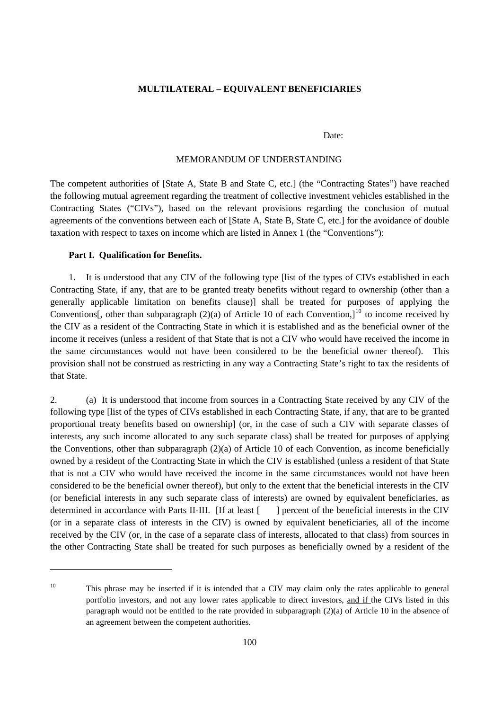#### **MULTILATERAL – EQUIVALENT BENEFICIARIES**

Date:

#### MEMORANDUM OF UNDERSTANDING

The competent authorities of [State A, State B and State C, etc.] (the "Contracting States") have reached the following mutual agreement regarding the treatment of collective investment vehicles established in the Contracting States ("CIVs"), based on the relevant provisions regarding the conclusion of mutual agreements of the conventions between each of [State A, State B, State C, etc.] for the avoidance of double taxation with respect to taxes on income which are listed in Annex 1 (the "Conventions"):

#### **Part I. Qualification for Benefits.**

1

1. It is understood that any CIV of the following type [list of the types of CIVs established in each Contracting State, if any, that are to be granted treaty benefits without regard to ownership (other than a generally applicable limitation on benefits clause)] shall be treated for purposes of applying the Conventions[, other than subparagraph  $(2)(a)$  of Article [10](#page-99-0) of each Convention,]<sup>10</sup> to income received by the CIV as a resident of the Contracting State in which it is established and as the beneficial owner of the income it receives (unless a resident of that State that is not a CIV who would have received the income in the same circumstances would not have been considered to be the beneficial owner thereof). This provision shall not be construed as restricting in any way a Contracting State's right to tax the residents of that State.

2. (a) It is understood that income from sources in a Contracting State received by any CIV of the following type [list of the types of CIVs established in each Contracting State, if any, that are to be granted proportional treaty benefits based on ownership] (or, in the case of such a CIV with separate classes of interests, any such income allocated to any such separate class) shall be treated for purposes of applying the Conventions, other than subparagraph  $(2)(a)$  of Article 10 of each Convention, as income beneficially owned by a resident of the Contracting State in which the CIV is established (unless a resident of that State that is not a CIV who would have received the income in the same circumstances would not have been considered to be the beneficial owner thereof), but only to the extent that the beneficial interests in the CIV (or beneficial interests in any such separate class of interests) are owned by equivalent beneficiaries, as determined in accordance with Parts II-III. [If at least [ ] percent of the beneficial interests in the CIV (or in a separate class of interests in the CIV) is owned by equivalent beneficiaries, all of the income received by the CIV (or, in the case of a separate class of interests, allocated to that class) from sources in the other Contracting State shall be treated for such purposes as beneficially owned by a resident of the

<span id="page-99-0"></span><sup>&</sup>lt;sup>10</sup> This phrase may be inserted if it is intended that a CIV may claim only the rates applicable to general portfolio investors, and not any lower rates applicable to direct investors, and if the CIVs listed in this paragraph would not be entitled to the rate provided in subparagraph (2)(a) of Article 10 in the absence of an agreement between the competent authorities.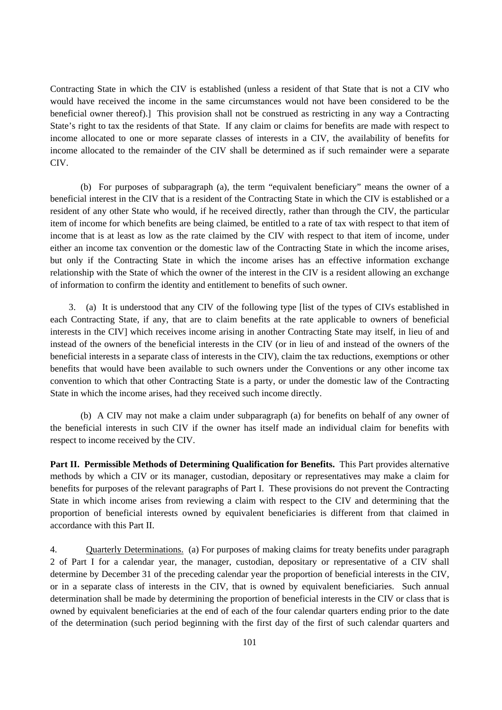Contracting State in which the CIV is established (unless a resident of that State that is not a CIV who would have received the income in the same circumstances would not have been considered to be the beneficial owner thereof).] This provision shall not be construed as restricting in any way a Contracting State's right to tax the residents of that State. If any claim or claims for benefits are made with respect to income allocated to one or more separate classes of interests in a CIV, the availability of benefits for income allocated to the remainder of the CIV shall be determined as if such remainder were a separate CIV.

(b) For purposes of subparagraph (a), the term "equivalent beneficiary" means the owner of a beneficial interest in the CIV that is a resident of the Contracting State in which the CIV is established or a resident of any other State who would, if he received directly, rather than through the CIV, the particular item of income for which benefits are being claimed, be entitled to a rate of tax with respect to that item of income that is at least as low as the rate claimed by the CIV with respect to that item of income, under either an income tax convention or the domestic law of the Contracting State in which the income arises, but only if the Contracting State in which the income arises has an effective information exchange relationship with the State of which the owner of the interest in the CIV is a resident allowing an exchange of information to confirm the identity and entitlement to benefits of such owner.

3. (a) It is understood that any CIV of the following type [list of the types of CIVs established in each Contracting State, if any, that are to claim benefits at the rate applicable to owners of beneficial interests in the CIV] which receives income arising in another Contracting State may itself, in lieu of and instead of the owners of the beneficial interests in the CIV (or in lieu of and instead of the owners of the beneficial interests in a separate class of interests in the CIV), claim the tax reductions, exemptions or other benefits that would have been available to such owners under the Conventions or any other income tax convention to which that other Contracting State is a party, or under the domestic law of the Contracting State in which the income arises, had they received such income directly.

(b) A CIV may not make a claim under subparagraph (a) for benefits on behalf of any owner of the beneficial interests in such CIV if the owner has itself made an individual claim for benefits with respect to income received by the CIV.

**Part II. Permissible Methods of Determining Qualification for Benefits.** This Part provides alternative methods by which a CIV or its manager, custodian, depositary or representatives may make a claim for benefits for purposes of the relevant paragraphs of Part I. These provisions do not prevent the Contracting State in which income arises from reviewing a claim with respect to the CIV and determining that the proportion of beneficial interests owned by equivalent beneficiaries is different from that claimed in accordance with this Part II.

4. Quarterly Determinations.(a) For purposes of making claims for treaty benefits under paragraph 2 of Part I for a calendar year, the manager, custodian, depositary or representative of a CIV shall determine by December 31 of the preceding calendar year the proportion of beneficial interests in the CIV, or in a separate class of interests in the CIV, that is owned by equivalent beneficiaries. Such annual determination shall be made by determining the proportion of beneficial interests in the CIV or class that is owned by equivalent beneficiaries at the end of each of the four calendar quarters ending prior to the date of the determination (such period beginning with the first day of the first of such calendar quarters and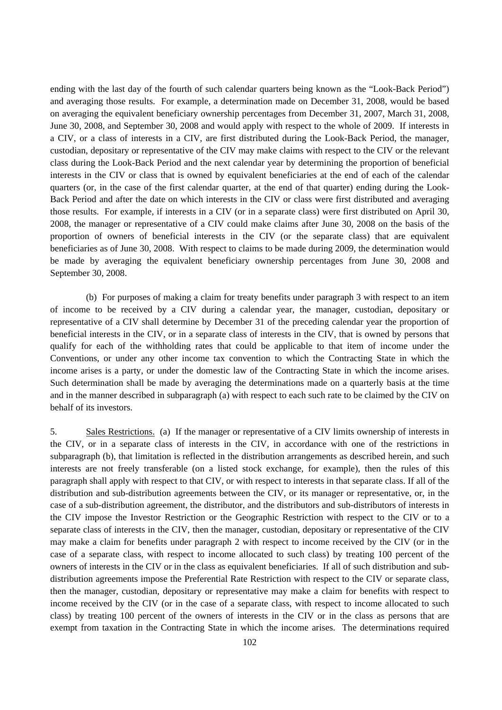ending with the last day of the fourth of such calendar quarters being known as the "Look-Back Period") and averaging those results. For example, a determination made on December 31, 2008, would be based on averaging the equivalent beneficiary ownership percentages from December 31, 2007, March 31, 2008, June 30, 2008, and September 30, 2008 and would apply with respect to the whole of 2009. If interests in a CIV, or a class of interests in a CIV, are first distributed during the Look-Back Period, the manager, custodian, depositary or representative of the CIV may make claims with respect to the CIV or the relevant class during the Look-Back Period and the next calendar year by determining the proportion of beneficial interests in the CIV or class that is owned by equivalent beneficiaries at the end of each of the calendar quarters (or, in the case of the first calendar quarter, at the end of that quarter) ending during the Look-Back Period and after the date on which interests in the CIV or class were first distributed and averaging those results. For example, if interests in a CIV (or in a separate class) were first distributed on April 30, 2008, the manager or representative of a CIV could make claims after June 30, 2008 on the basis of the proportion of owners of beneficial interests in the CIV (or the separate class) that are equivalent beneficiaries as of June 30, 2008. With respect to claims to be made during 2009, the determination would be made by averaging the equivalent beneficiary ownership percentages from June 30, 2008 and September 30, 2008.

 (b) For purposes of making a claim for treaty benefits under paragraph 3 with respect to an item of income to be received by a CIV during a calendar year, the manager, custodian, depositary or representative of a CIV shall determine by December 31 of the preceding calendar year the proportion of beneficial interests in the CIV, or in a separate class of interests in the CIV, that is owned by persons that qualify for each of the withholding rates that could be applicable to that item of income under the Conventions, or under any other income tax convention to which the Contracting State in which the income arises is a party, or under the domestic law of the Contracting State in which the income arises. Such determination shall be made by averaging the determinations made on a quarterly basis at the time and in the manner described in subparagraph (a) with respect to each such rate to be claimed by the CIV on behalf of its investors.

5. Sales Restrictions. (a) If the manager or representative of a CIV limits ownership of interests in the CIV, or in a separate class of interests in the CIV, in accordance with one of the restrictions in subparagraph (b), that limitation is reflected in the distribution arrangements as described herein, and such interests are not freely transferable (on a listed stock exchange, for example), then the rules of this paragraph shall apply with respect to that CIV, or with respect to interests in that separate class. If all of the distribution and sub-distribution agreements between the CIV, or its manager or representative, or, in the case of a sub-distribution agreement, the distributor, and the distributors and sub-distributors of interests in the CIV impose the Investor Restriction or the Geographic Restriction with respect to the CIV or to a separate class of interests in the CIV, then the manager, custodian, depositary or representative of the CIV may make a claim for benefits under paragraph 2 with respect to income received by the CIV (or in the case of a separate class, with respect to income allocated to such class) by treating 100 percent of the owners of interests in the CIV or in the class as equivalent beneficiaries. If all of such distribution and subdistribution agreements impose the Preferential Rate Restriction with respect to the CIV or separate class, then the manager, custodian, depositary or representative may make a claim for benefits with respect to income received by the CIV (or in the case of a separate class, with respect to income allocated to such class) by treating 100 percent of the owners of interests in the CIV or in the class as persons that are exempt from taxation in the Contracting State in which the income arises. The determinations required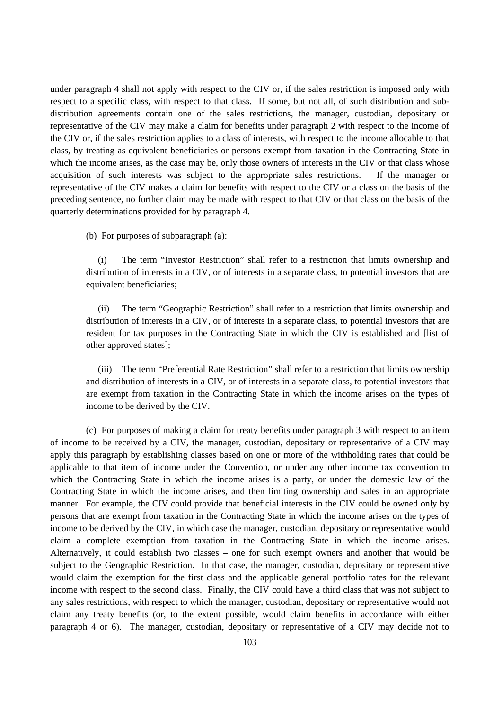under paragraph 4 shall not apply with respect to the CIV or, if the sales restriction is imposed only with respect to a specific class, with respect to that class. If some, but not all, of such distribution and subdistribution agreements contain one of the sales restrictions, the manager, custodian, depositary or representative of the CIV may make a claim for benefits under paragraph 2 with respect to the income of the CIV or, if the sales restriction applies to a class of interests, with respect to the income allocable to that class, by treating as equivalent beneficiaries or persons exempt from taxation in the Contracting State in which the income arises, as the case may be, only those owners of interests in the CIV or that class whose acquisition of such interests was subject to the appropriate sales restrictions. If the manager or representative of the CIV makes a claim for benefits with respect to the CIV or a class on the basis of the preceding sentence, no further claim may be made with respect to that CIV or that class on the basis of the quarterly determinations provided for by paragraph 4.

(b) For purposes of subparagraph (a):

 (i) The term "Investor Restriction" shall refer to a restriction that limits ownership and distribution of interests in a CIV, or of interests in a separate class, to potential investors that are equivalent beneficiaries;

 (ii) The term "Geographic Restriction" shall refer to a restriction that limits ownership and distribution of interests in a CIV, or of interests in a separate class, to potential investors that are resident for tax purposes in the Contracting State in which the CIV is established and [list of other approved states];

 (iii) The term "Preferential Rate Restriction" shall refer to a restriction that limits ownership and distribution of interests in a CIV, or of interests in a separate class, to potential investors that are exempt from taxation in the Contracting State in which the income arises on the types of income to be derived by the CIV.

 (c) For purposes of making a claim for treaty benefits under paragraph 3 with respect to an item of income to be received by a CIV, the manager, custodian, depositary or representative of a CIV may apply this paragraph by establishing classes based on one or more of the withholding rates that could be applicable to that item of income under the Convention, or under any other income tax convention to which the Contracting State in which the income arises is a party, or under the domestic law of the Contracting State in which the income arises, and then limiting ownership and sales in an appropriate manner. For example, the CIV could provide that beneficial interests in the CIV could be owned only by persons that are exempt from taxation in the Contracting State in which the income arises on the types of income to be derived by the CIV, in which case the manager, custodian, depositary or representative would claim a complete exemption from taxation in the Contracting State in which the income arises. Alternatively, it could establish two classes – one for such exempt owners and another that would be subject to the Geographic Restriction. In that case, the manager, custodian, depositary or representative would claim the exemption for the first class and the applicable general portfolio rates for the relevant income with respect to the second class. Finally, the CIV could have a third class that was not subject to any sales restrictions, with respect to which the manager, custodian, depositary or representative would not claim any treaty benefits (or, to the extent possible, would claim benefits in accordance with either paragraph 4 or 6). The manager, custodian, depositary or representative of a CIV may decide not to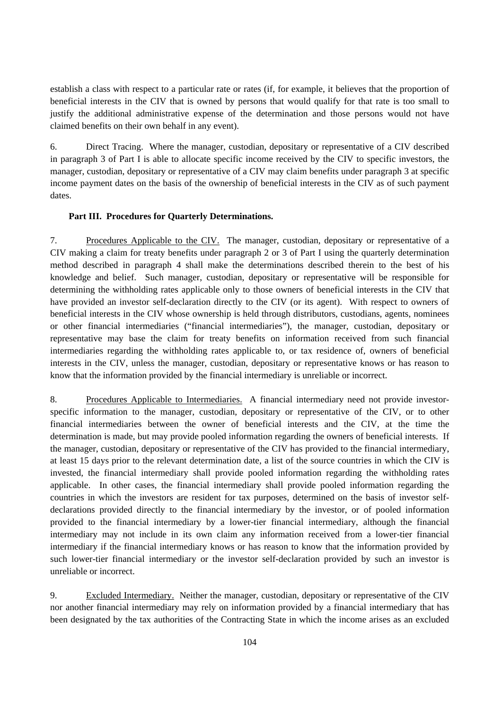establish a class with respect to a particular rate or rates (if, for example, it believes that the proportion of beneficial interests in the CIV that is owned by persons that would qualify for that rate is too small to justify the additional administrative expense of the determination and those persons would not have claimed benefits on their own behalf in any event).

6. Direct Tracing. Where the manager, custodian, depositary or representative of a CIV described in paragraph 3 of Part I is able to allocate specific income received by the CIV to specific investors, the manager, custodian, depositary or representative of a CIV may claim benefits under paragraph 3 at specific income payment dates on the basis of the ownership of beneficial interests in the CIV as of such payment dates.

# **Part III. Procedures for Quarterly Determinations.**

7. Procedures Applicable to the CIV. The manager, custodian, depositary or representative of a CIV making a claim for treaty benefits under paragraph 2 or 3 of Part I using the quarterly determination method described in paragraph 4 shall make the determinations described therein to the best of his knowledge and belief. Such manager, custodian, depositary or representative will be responsible for determining the withholding rates applicable only to those owners of beneficial interests in the CIV that have provided an investor self-declaration directly to the CIV (or its agent). With respect to owners of beneficial interests in the CIV whose ownership is held through distributors, custodians, agents, nominees or other financial intermediaries ("financial intermediaries"), the manager, custodian, depositary or representative may base the claim for treaty benefits on information received from such financial intermediaries regarding the withholding rates applicable to, or tax residence of, owners of beneficial interests in the CIV, unless the manager, custodian, depositary or representative knows or has reason to know that the information provided by the financial intermediary is unreliable or incorrect.

8. Procedures Applicable to Intermediaries. A financial intermediary need not provide investorspecific information to the manager, custodian, depositary or representative of the CIV, or to other financial intermediaries between the owner of beneficial interests and the CIV, at the time the determination is made, but may provide pooled information regarding the owners of beneficial interests. If the manager, custodian, depositary or representative of the CIV has provided to the financial intermediary, at least 15 days prior to the relevant determination date, a list of the source countries in which the CIV is invested, the financial intermediary shall provide pooled information regarding the withholding rates applicable. In other cases, the financial intermediary shall provide pooled information regarding the countries in which the investors are resident for tax purposes, determined on the basis of investor selfdeclarations provided directly to the financial intermediary by the investor, or of pooled information provided to the financial intermediary by a lower-tier financial intermediary, although the financial intermediary may not include in its own claim any information received from a lower-tier financial intermediary if the financial intermediary knows or has reason to know that the information provided by such lower-tier financial intermediary or the investor self-declaration provided by such an investor is unreliable or incorrect.

9. Excluded Intermediary.Neither the manager, custodian, depositary or representative of the CIV nor another financial intermediary may rely on information provided by a financial intermediary that has been designated by the tax authorities of the Contracting State in which the income arises as an excluded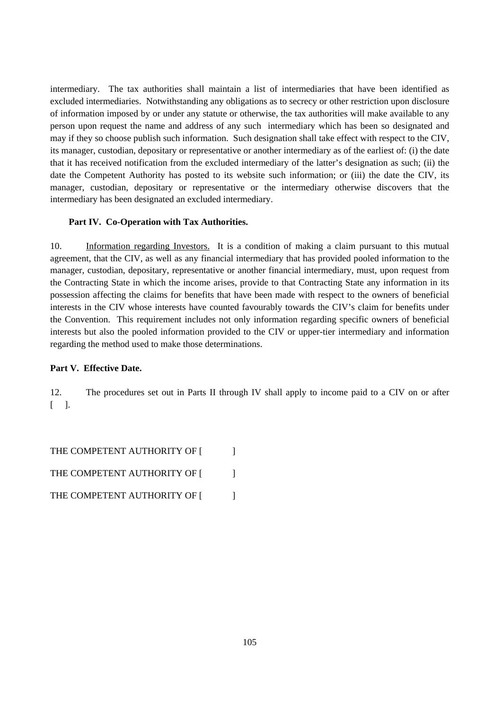intermediary. The tax authorities shall maintain a list of intermediaries that have been identified as excluded intermediaries. Notwithstanding any obligations as to secrecy or other restriction upon disclosure of information imposed by or under any statute or otherwise, the tax authorities will make available to any person upon request the name and address of any such intermediary which has been so designated and may if they so choose publish such information. Such designation shall take effect with respect to the CIV, its manager, custodian, depositary or representative or another intermediary as of the earliest of: (i) the date that it has received notification from the excluded intermediary of the latter's designation as such; (ii) the date the Competent Authority has posted to its website such information; or (iii) the date the CIV, its manager, custodian, depositary or representative or the intermediary otherwise discovers that the intermediary has been designated an excluded intermediary.

# **Part IV. Co-Operation with Tax Authorities.**

10. Information regarding Investors. It is a condition of making a claim pursuant to this mutual agreement, that the CIV, as well as any financial intermediary that has provided pooled information to the manager, custodian, depositary, representative or another financial intermediary, must, upon request from the Contracting State in which the income arises, provide to that Contracting State any information in its possession affecting the claims for benefits that have been made with respect to the owners of beneficial interests in the CIV whose interests have counted favourably towards the CIV's claim for benefits under the Convention. This requirement includes not only information regarding specific owners of beneficial interests but also the pooled information provided to the CIV or upper-tier intermediary and information regarding the method used to make those determinations.

# **Part V. Effective Date.**

12. The procedures set out in Parts II through IV shall apply to income paid to a CIV on or after  $\lceil$  ].

THE COMPETENT AUTHORITY OF [ THE COMPETENT AUTHORITY OF [ THE COMPETENT AUTHORITY OF [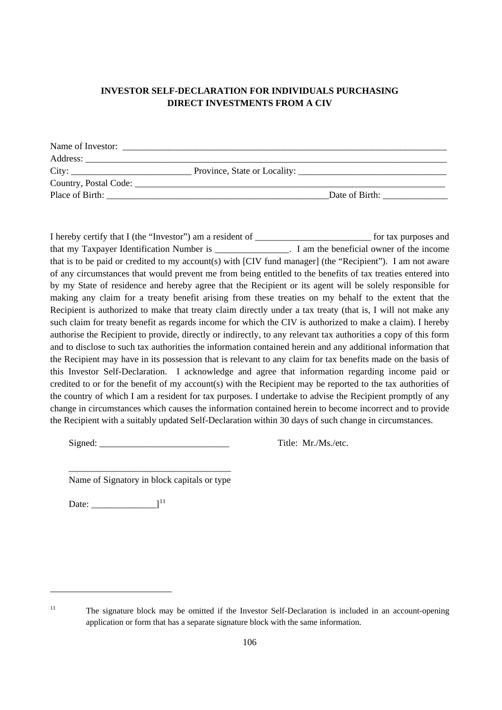# **INVESTOR SELF-DECLARATION FOR INDIVIDUALS PURCHASING DIRECT INVESTMENTS FROM A CIV**

| Name of Investor:     |                 |                |  |
|-----------------------|-----------------|----------------|--|
|                       |                 |                |  |
| City:                 |                 |                |  |
| Country, Postal Code: |                 |                |  |
|                       | Place of Birth: | Date of Birth: |  |

I hereby certify that I (the "Investor") am a resident of \_\_\_\_\_\_\_\_\_\_\_\_\_\_\_\_\_\_\_\_\_\_\_\_\_ for tax purposes and that my Taxpayer Identification Number is \_\_\_\_\_\_\_\_\_\_\_\_\_\_\_\_. I am the beneficial owner of the income that is to be paid or credited to my account(s) with [CIV fund manager] (the "Recipient"). I am not aware of any circumstances that would prevent me from being entitled to the benefits of tax treaties entered into by my State of residence and hereby agree that the Recipient or its agent will be solely responsible for making any claim for a treaty benefit arising from these treaties on my behalf to the extent that the Recipient is authorized to make that treaty claim directly under a tax treaty (that is, I will not make any such claim for treaty benefit as regards income for which the CIV is authorized to make a claim). I hereby authorise the Recipient to provide, directly or indirectly, to any relevant tax authorities a copy of this form and to disclose to such tax authorities the information contained herein and any additional information that the Recipient may have in its possession that is relevant to any claim for tax benefits made on the basis of this Investor Self-Declaration. I acknowledge and agree that information regarding income paid or credited to or for the benefit of my account(s) with the Recipient may be reported to the tax authorities of the country of which I am a resident for tax purposes. I undertake to advise the Recipient promptly of any change in circumstances which causes the information contained herein to become incorrect and to provide the Recipient with a suitably updated Self-Declaration within 30 days of such change in circumstances.

Signed: Title: Mr./Ms./etc.

\_\_\_\_\_\_\_\_\_\_\_\_\_\_\_\_\_\_\_\_\_\_\_\_\_\_\_\_\_\_\_\_\_\_\_ Name of Signatory in block capitals or type

Date: \_\_\_\_\_\_\_\_\_\_\_\_\_\_][11](#page-105-0)

1

<span id="page-105-0"></span><sup>&</sup>lt;sup>11</sup> The signature block may be omitted if the Investor Self-Declaration is included in an account-opening application or form that has a separate signature block with the same information.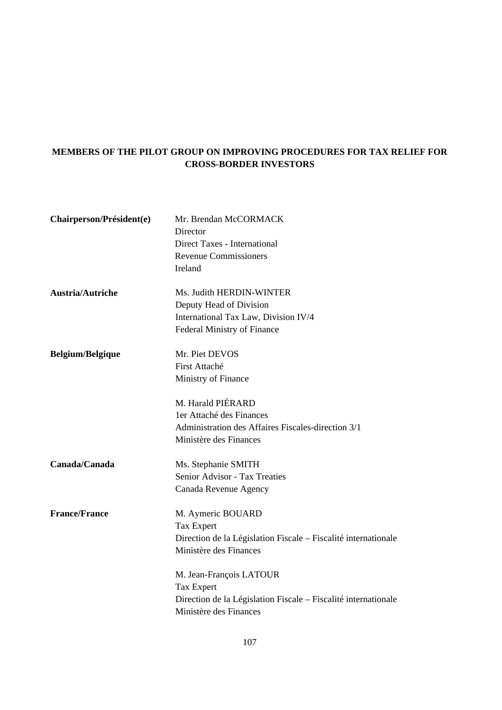# **MEMBERS OF THE PILOT GROUP ON IMPROVING PROCEDURES FOR TAX RELIEF FOR CROSS-BORDER INVESTORS**

| Chairperson/Président(e) | Mr. Brendan McCORMACK<br>Director<br>Direct Taxes - International<br><b>Revenue Commissioners</b><br>Ireland |
|--------------------------|--------------------------------------------------------------------------------------------------------------|
| <b>Austria/Autriche</b>  | Ms. Judith HERDIN-WINTER<br>Deputy Head of Division                                                          |
|                          | International Tax Law, Division IV/4                                                                         |
|                          | Federal Ministry of Finance                                                                                  |
| Belgium/Belgique         | Mr. Piet DEVOS                                                                                               |
|                          | First Attaché                                                                                                |
|                          | Ministry of Finance                                                                                          |
|                          | M. Harald PIÉRARD                                                                                            |
|                          | 1er Attaché des Finances                                                                                     |
|                          | Administration des Affaires Fiscales-direction 3/1                                                           |
|                          | Ministère des Finances                                                                                       |
| Canada/Canada            | Ms. Stephanie SMITH                                                                                          |
|                          | Senior Advisor - Tax Treaties                                                                                |
|                          | Canada Revenue Agency                                                                                        |
| <b>France/France</b>     | M. Aymeric BOUARD                                                                                            |
|                          | <b>Tax Expert</b>                                                                                            |
|                          | Direction de la Législation Fiscale - Fiscalité internationale                                               |
|                          | Ministère des Finances                                                                                       |
|                          | M. Jean-François LATOUR                                                                                      |
|                          | <b>Tax Expert</b>                                                                                            |
|                          | Direction de la Législation Fiscale - Fiscalité internationale<br>Ministère des Finances                     |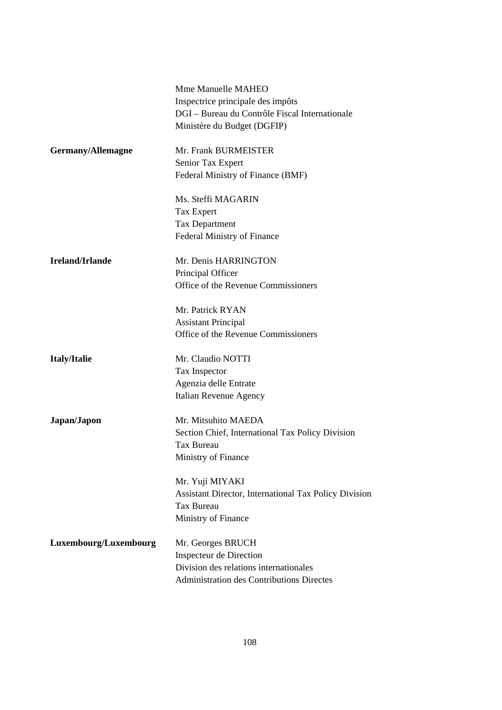|                          | Mme Manuelle MAHEO                                    |
|--------------------------|-------------------------------------------------------|
|                          | Inspectrice principale des impôts                     |
|                          | DGI - Bureau du Contrôle Fiscal Internationale        |
|                          | Ministère du Budget (DGFIP)                           |
| <b>Germany/Allemagne</b> | Mr. Frank BURMEISTER                                  |
|                          | Senior Tax Expert                                     |
|                          | Federal Ministry of Finance (BMF)                     |
|                          | Ms. Steffi MAGARIN                                    |
|                          | <b>Tax Expert</b>                                     |
|                          | <b>Tax Department</b>                                 |
|                          | Federal Ministry of Finance                           |
| <b>Ireland/Irlande</b>   | Mr. Denis HARRINGTON                                  |
|                          | Principal Officer                                     |
|                          | Office of the Revenue Commissioners                   |
|                          | Mr. Patrick RYAN                                      |
|                          | <b>Assistant Principal</b>                            |
|                          | Office of the Revenue Commissioners                   |
| <b>Italy/Italie</b>      | Mr. Claudio NOTTI                                     |
|                          | Tax Inspector                                         |
|                          | Agenzia delle Entrate                                 |
|                          | Italian Revenue Agency                                |
| Japan/Japon              | Mr. Mitsuhito MAEDA                                   |
|                          | Section Chief, International Tax Policy Division      |
|                          | Tax Bureau                                            |
|                          | Ministry of Finance                                   |
|                          | Mr. Yuji MIYAKI                                       |
|                          | Assistant Director, International Tax Policy Division |
|                          | <b>Tax Bureau</b>                                     |
|                          | Ministry of Finance                                   |
| Luxembourg/Luxembourg    | Mr. Georges BRUCH                                     |
|                          | Inspecteur de Direction                               |
|                          | Division des relations internationales                |
|                          | Administration des Contributions Directes             |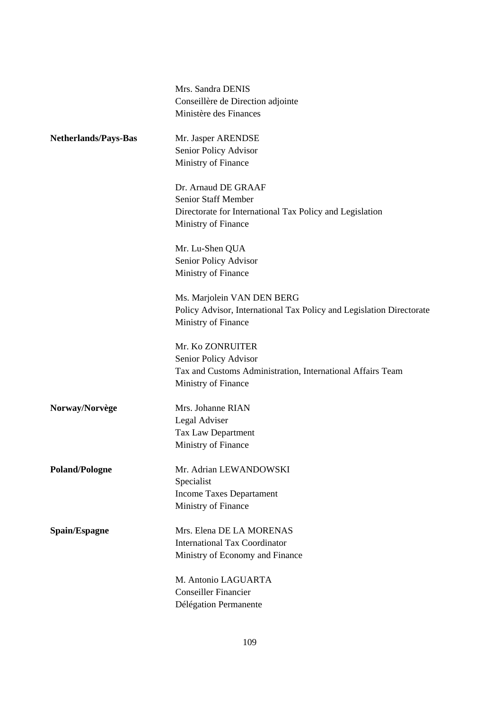|                             | Mrs. Sandra DENIS<br>Conseillère de Direction adjointe<br>Ministère des Finances                                                     |
|-----------------------------|--------------------------------------------------------------------------------------------------------------------------------------|
| <b>Netherlands/Pays-Bas</b> | Mr. Jasper ARENDSE<br>Senior Policy Advisor<br>Ministry of Finance                                                                   |
|                             | Dr. Arnaud DE GRAAF<br><b>Senior Staff Member</b><br>Directorate for International Tax Policy and Legislation<br>Ministry of Finance |
|                             | Mr. Lu-Shen QUA<br>Senior Policy Advisor<br>Ministry of Finance                                                                      |
|                             | Ms. Marjolein VAN DEN BERG<br>Policy Advisor, International Tax Policy and Legislation Directorate<br>Ministry of Finance            |
|                             | Mr. Ko ZONRUITER<br>Senior Policy Advisor<br>Tax and Customs Administration, International Affairs Team<br>Ministry of Finance       |
| Norway/Norvège              | Mrs. Johanne RIAN<br>Legal Adviser<br>Tax Law Department<br>Ministry of Finance                                                      |
| <b>Poland/Pologne</b>       | Mr. Adrian LEWANDOWSKI<br>Specialist<br><b>Income Taxes Departament</b><br>Ministry of Finance                                       |
| Spain/Espagne               | Mrs. Elena DE LA MORENAS<br><b>International Tax Coordinator</b><br>Ministry of Economy and Finance                                  |
|                             | M. Antonio LAGUARTA<br><b>Conseiller Financier</b><br>Délégation Permanente                                                          |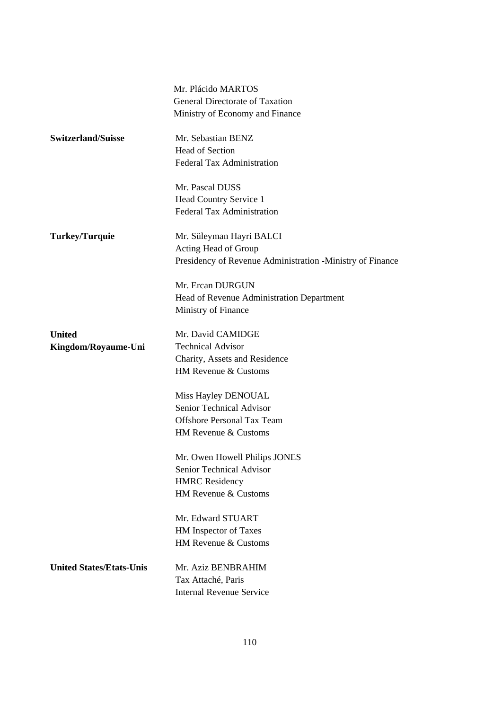|                                 | Mr. Plácido MARTOS                                        |
|---------------------------------|-----------------------------------------------------------|
|                                 | General Directorate of Taxation                           |
|                                 | Ministry of Economy and Finance                           |
| <b>Switzerland/Suisse</b>       | Mr. Sebastian BENZ                                        |
|                                 | <b>Head of Section</b>                                    |
|                                 | <b>Federal Tax Administration</b>                         |
|                                 | Mr. Pascal DUSS                                           |
|                                 | <b>Head Country Service 1</b>                             |
|                                 | <b>Federal Tax Administration</b>                         |
| <b>Turkey/Turquie</b>           | Mr. Süleyman Hayri BALCI                                  |
|                                 | Acting Head of Group                                      |
|                                 | Presidency of Revenue Administration -Ministry of Finance |
|                                 | Mr. Ercan DURGUN                                          |
|                                 | Head of Revenue Administration Department                 |
|                                 | Ministry of Finance                                       |
| <b>United</b>                   | Mr. David CAMIDGE                                         |
| Kingdom/Royaume-Uni             | <b>Technical Advisor</b>                                  |
|                                 | Charity, Assets and Residence                             |
|                                 | HM Revenue & Customs                                      |
|                                 | Miss Hayley DENOUAL                                       |
|                                 | Senior Technical Advisor                                  |
|                                 | <b>Offshore Personal Tax Team</b>                         |
|                                 | HM Revenue & Customs                                      |
|                                 | Mr. Owen Howell Philips JONES                             |
|                                 | Senior Technical Advisor                                  |
|                                 | <b>HMRC</b> Residency                                     |
|                                 | HM Revenue & Customs                                      |
|                                 | Mr. Edward STUART                                         |
|                                 | HM Inspector of Taxes                                     |
|                                 | HM Revenue & Customs                                      |
| <b>United States/Etats-Unis</b> | Mr. Aziz BENBRAHIM                                        |
|                                 | Tax Attaché, Paris                                        |
|                                 | <b>Internal Revenue Service</b>                           |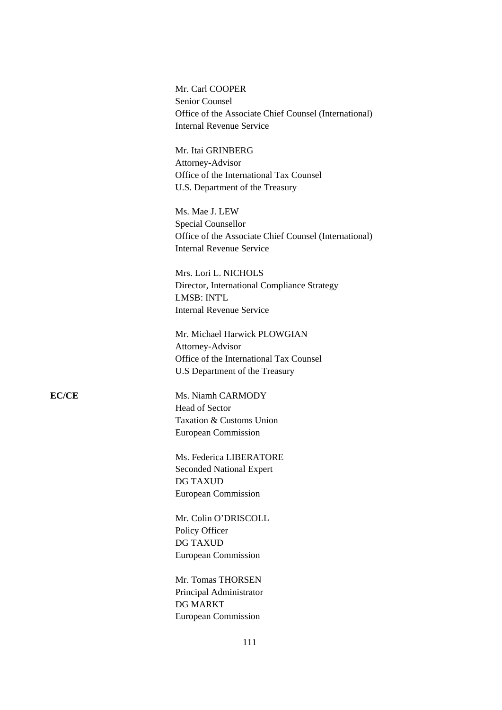|       | Mr. Carl COOPER                                       |
|-------|-------------------------------------------------------|
|       | <b>Senior Counsel</b>                                 |
|       | Office of the Associate Chief Counsel (International) |
|       | <b>Internal Revenue Service</b>                       |
|       |                                                       |
|       | Mr. Itai GRINBERG                                     |
|       | Attorney-Advisor                                      |
|       | Office of the International Tax Counsel               |
|       | U.S. Department of the Treasury                       |
|       | Ms. Mae J. LEW                                        |
|       | <b>Special Counsellor</b>                             |
|       | Office of the Associate Chief Counsel (International) |
|       | <b>Internal Revenue Service</b>                       |
|       |                                                       |
|       | Mrs. Lori L. NICHOLS                                  |
|       | Director, International Compliance Strategy           |
|       | LMSB: INT'L                                           |
|       | <b>Internal Revenue Service</b>                       |
|       |                                                       |
|       | Mr. Michael Harwick PLOWGIAN                          |
|       | Attorney-Advisor                                      |
|       | Office of the International Tax Counsel               |
|       | U.S Department of the Treasury                        |
| EC/CE | Ms. Niamh CARMODY                                     |
|       | <b>Head of Sector</b>                                 |
|       | Taxation & Customs Union                              |
|       | European Commission                                   |
|       |                                                       |
|       | Ms. Federica LIBERATORE                               |
|       | <b>Seconded National Expert</b>                       |
|       | DG TAXUD                                              |
|       | <b>European Commission</b>                            |
|       | Mr. Colin O'DRISCOLL                                  |
|       | Policy Officer                                        |
|       | <b>DG TAXUD</b>                                       |
|       | <b>European Commission</b>                            |
|       |                                                       |
|       | Mr. Tomas THORSEN                                     |
|       | Principal Administrator                               |
|       | <b>DG MARKT</b>                                       |
|       | <b>European Commission</b>                            |
|       |                                                       |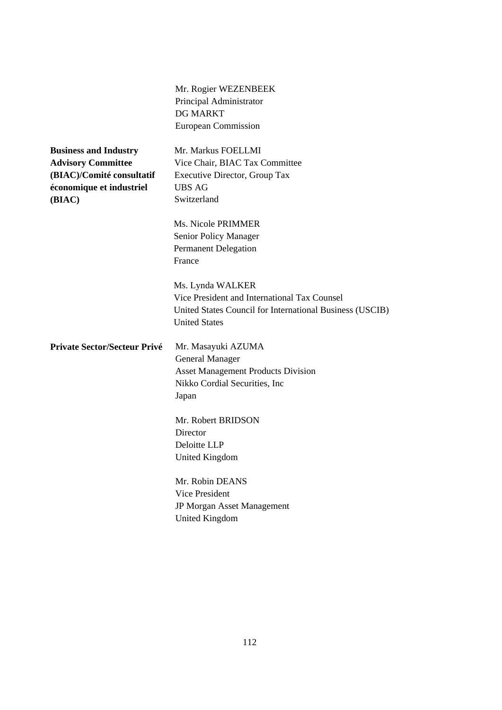|                                     | Mr. Rogier WEZENBEEK                                     |
|-------------------------------------|----------------------------------------------------------|
|                                     | Principal Administrator                                  |
|                                     | <b>DG MARKT</b>                                          |
|                                     | <b>European Commission</b>                               |
| <b>Business and Industry</b>        | Mr. Markus FOELLMI                                       |
| <b>Advisory Committee</b>           | Vice Chair, BIAC Tax Committee                           |
| (BIAC)/Comité consultatif           | Executive Director, Group Tax                            |
| économique et industriel            | UBS AG                                                   |
| (BIAC)                              | Switzerland                                              |
|                                     | <b>Ms. Nicole PRIMMER</b>                                |
|                                     | Senior Policy Manager                                    |
|                                     | <b>Permanent Delegation</b>                              |
|                                     | France                                                   |
|                                     | Ms. Lynda WALKER                                         |
|                                     | Vice President and International Tax Counsel             |
|                                     | United States Council for International Business (USCIB) |
|                                     | <b>United States</b>                                     |
| <b>Private Sector/Secteur Privé</b> | Mr. Masayuki AZUMA                                       |
|                                     | <b>General Manager</b>                                   |
|                                     | <b>Asset Management Products Division</b>                |
|                                     | Nikko Cordial Securities, Inc                            |
|                                     | Japan                                                    |
|                                     | Mr. Robert BRIDSON                                       |
|                                     | Director                                                 |
|                                     | Deloitte LLP                                             |
|                                     | <b>United Kingdom</b>                                    |
|                                     | Mr. Robin DEANS                                          |
|                                     | Vice President                                           |
|                                     | JP Morgan Asset Management                               |
|                                     | <b>United Kingdom</b>                                    |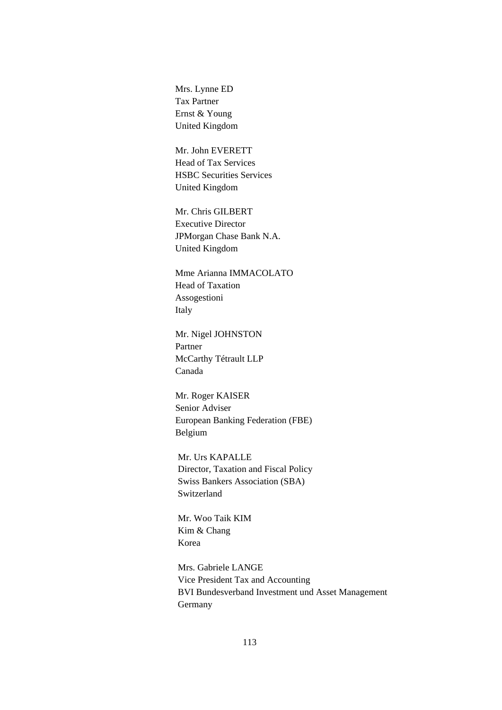Mrs. Lynne ED Tax Partner Ernst & Young United Kingdom

Mr. John EVERETT Head of Tax Services HSBC Securities Services United Kingdom

Mr. Chris GILBERT Executive Director JPMorgan Chase Bank N.A. United Kingdom

Mme Arianna IMMACOLATO Head of Taxation Assogestioni Italy

Mr. Nigel JOHNSTON Partner McCarthy Tétrault LLP Canada

Mr. Roger KAISER Senior Adviser European Banking Federation (FBE) Belgium

Mr. Urs KAPALLE Director, Taxation and Fiscal Policy Swiss Bankers Association (SBA) Switzerland

Mr. Woo Taik KIM Kim & Chang Korea

Mrs. Gabriele LANGE Vice President Tax and Accounting BVI Bundesverband Investment und Asset Management Germany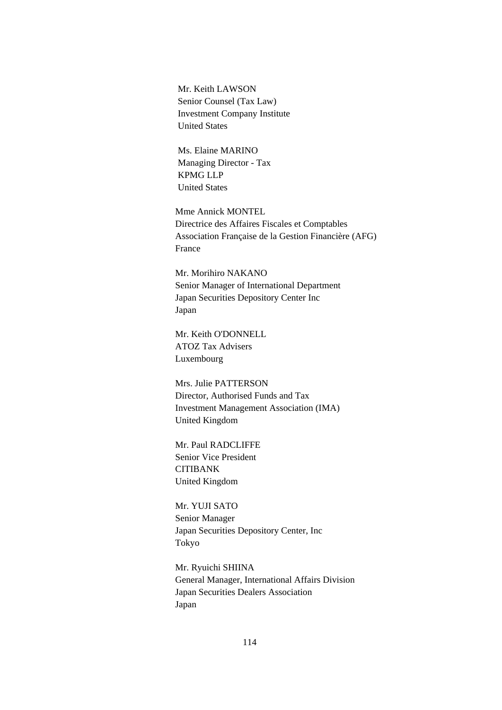Mr. Keith LAWSON Senior Counsel (Tax Law) Investment Company Institute United States

Ms. Elaine MARINO Managing Director - Tax KPMG LLP United States

Mme Annick MONTEL Directrice des Affaires Fiscales et Comptables Association Française de la Gestion Financière (AFG) France

Mr. Morihiro NAKANO Senior Manager of International Department Japan Securities Depository Center Inc Japan

Mr. Keith O'DONNELL ATOZ Tax Advisers Luxembourg

Mrs. Julie PATTERSON Director, Authorised Funds and Tax Investment Management Association (IMA) United Kingdom

Mr. Paul RADCLIFFE Senior Vice President CITIBANK United Kingdom

Mr. YUJI SATO Senior Manager Japan Securities Depository Center, Inc Tokyo

Mr. Ryuichi SHIINA General Manager, International Affairs Division Japan Securities Dealers Association Japan